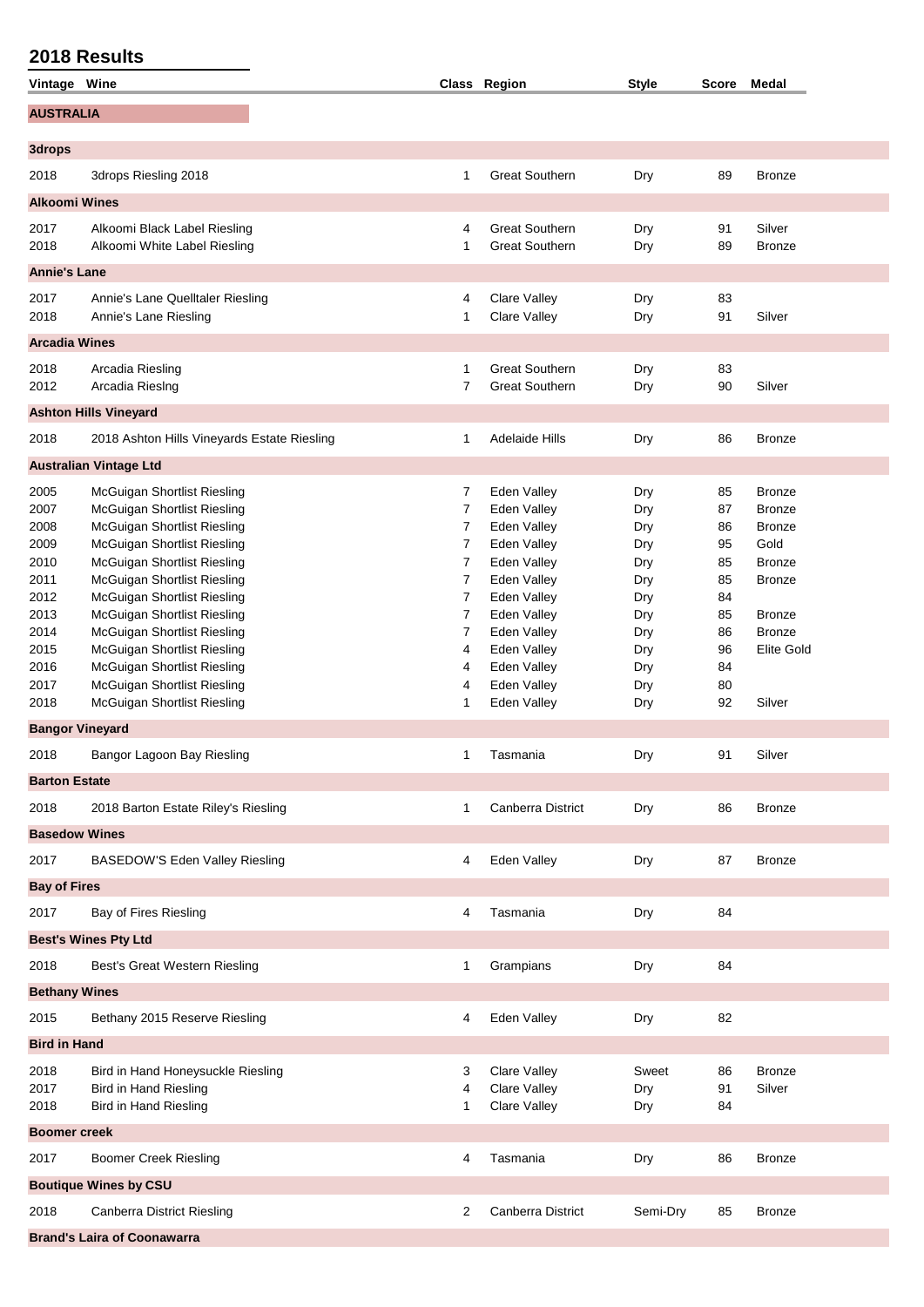| <b>AUSTRALIA</b><br>3drops Riesling 2018<br><b>Great Southern</b><br>Dry<br>89<br>2018<br>1<br><b>Bronze</b><br><b>Alkoomi Wines</b><br><b>Great Southern</b><br>91<br>Silver<br>Alkoomi Black Label Riesling<br>2017<br>4<br>Dry<br>2018<br>Alkoomi White Label Riesling<br><b>Great Southern</b><br>89<br>1<br>Dry<br><b>Bronze</b><br><b>Annie's Lane</b><br>2017<br>Annie's Lane Quelltaler Riesling<br>Clare Valley<br>Dry<br>83<br>4<br>2018<br>Annie's Lane Riesling<br>1<br>Clare Valley<br>91<br>Silver<br>Dry<br><b>Arcadia Wines</b><br><b>Great Southern</b><br>Arcadia Riesling<br>83<br>2018<br>1<br>Dry<br><b>Great Southern</b><br>2012<br>Arcadia RiesIng<br>7<br>90<br>Silver<br>Dry<br><b>Ashton Hills Vineyard</b><br>2018<br>2018 Ashton Hills Vineyards Estate Riesling<br><b>Adelaide Hills</b><br>Dry<br><b>Bronze</b><br>1<br>86<br><b>Australian Vintage Ltd</b><br>McGuigan Shortlist Riesling<br>Eden Valley<br>85<br>2005<br>7<br>Dry<br><b>Bronze</b><br>McGuigan Shortlist Riesling<br>Eden Valley<br>87<br>2007<br>7<br>Dry<br><b>Bronze</b><br>McGuigan Shortlist Riesling<br>7<br>Eden Valley<br>2008<br>Dry<br>86<br><b>Bronze</b><br>McGuigan Shortlist Riesling<br>$\overline{7}$<br>2009<br>Eden Valley<br>95<br>Gold<br>Dry<br>7<br>McGuigan Shortlist Riesling<br>Eden Valley<br>85<br><b>Bronze</b><br>2010<br>Dry<br>7<br>McGuigan Shortlist Riesling<br>Eden Valley<br>85<br>2011<br>Dry<br><b>Bronze</b><br>7<br>McGuigan Shortlist Riesling<br>Eden Valley<br>84<br>2012<br>Dry<br>McGuigan Shortlist Riesling<br>$\overline{7}$<br>2013<br>Eden Valley<br>85<br><b>Bronze</b><br>Dry<br>McGuigan Shortlist Riesling<br>7<br>Eden Valley<br><b>Bronze</b><br>2014<br>86<br>Dry<br>McGuigan Shortlist Riesling<br>Eden Valley<br>96<br>Elite Gold<br>4<br>Dry<br>McGuigan Shortlist Riesling<br>Eden Valley<br>84<br>2016<br>4<br>Dry<br>McGuigan Shortlist Riesling<br>Eden Valley<br>80<br>2017<br>4<br>Dry<br>2018<br>McGuigan Shortlist Riesling<br>Eden Valley<br>92<br>Silver<br>1<br>Dry<br><b>Bangor Vineyard</b><br>Bangor Lagoon Bay Riesling<br>91<br>Silver<br>2018<br>Tasmania<br>Dry<br>1<br><b>Barton Estate</b><br><b>Canberra District</b><br>2018 Barton Estate Riley's Riesling<br>Dry<br><b>Bronze</b><br>2018<br>1<br>86<br><b>Basedow Wines</b><br>Eden Valley<br>BASEDOW'S Eden Valley Riesling<br>Dry<br><b>Bronze</b><br>2017<br>4<br>87<br><b>Bay of Fires</b><br>Bay of Fires Riesling<br>Tasmania<br>Dry<br>84<br>4<br><b>Best's Wines Pty Ltd</b><br>Best's Great Western Riesling<br>Grampians<br>84<br>2018<br>1<br>Dry<br><b>Bethany Wines</b><br>Bethany 2015 Reserve Riesling<br>Eden Valley<br>Dry<br>82<br>4<br><b>Bird in Hand</b><br>Clare Valley<br>2018<br>Bird in Hand Honeysuckle Riesling<br>Sweet<br><b>Bronze</b><br>3<br>86<br>Clare Valley<br>2017<br><b>Bird in Hand Riesling</b><br>Silver<br>4<br>Dry<br>91<br><b>Bird in Hand Riesling</b><br>Clare Valley<br>2018<br>1<br>Dry<br>84<br><b>Boomer creek</b><br>Tasmania<br><b>Boomer Creek Riesling</b><br>Dry<br>2017<br>4<br>86<br><b>Bronze</b><br><b>Boutique Wines by CSU</b><br>Canberra District<br>Semi-Dry<br><b>Canberra District Riesling</b><br>2<br>2018<br>85<br><b>Bronze</b><br><b>Brand's Laira of Coonawarra</b> | Vintage Wine |  | Class Region | Style | Score Medal |
|-----------------------------------------------------------------------------------------------------------------------------------------------------------------------------------------------------------------------------------------------------------------------------------------------------------------------------------------------------------------------------------------------------------------------------------------------------------------------------------------------------------------------------------------------------------------------------------------------------------------------------------------------------------------------------------------------------------------------------------------------------------------------------------------------------------------------------------------------------------------------------------------------------------------------------------------------------------------------------------------------------------------------------------------------------------------------------------------------------------------------------------------------------------------------------------------------------------------------------------------------------------------------------------------------------------------------------------------------------------------------------------------------------------------------------------------------------------------------------------------------------------------------------------------------------------------------------------------------------------------------------------------------------------------------------------------------------------------------------------------------------------------------------------------------------------------------------------------------------------------------------------------------------------------------------------------------------------------------------------------------------------------------------------------------------------------------------------------------------------------------------------------------------------------------------------------------------------------------------------------------------------------------------------------------------------------------------------------------------------------------------------------------------------------------------------------------------------------------------------------------------------------------------------------------------------------------------------------------------------------------------------------------------------------------------------------------------------------------------------------------------------------------------------------------------------------------------------------------------------------------------------------------------------------------------------------------------------------------------------------------------------------------------------------------------------------------------------------------------------------------------------------------------------------------------------------------------------------------------------------------------------------------------------|--------------|--|--------------|-------|-------------|
|                                                                                                                                                                                                                                                                                                                                                                                                                                                                                                                                                                                                                                                                                                                                                                                                                                                                                                                                                                                                                                                                                                                                                                                                                                                                                                                                                                                                                                                                                                                                                                                                                                                                                                                                                                                                                                                                                                                                                                                                                                                                                                                                                                                                                                                                                                                                                                                                                                                                                                                                                                                                                                                                                                                                                                                                                                                                                                                                                                                                                                                                                                                                                                                                                                                                                   |              |  |              |       |             |
|                                                                                                                                                                                                                                                                                                                                                                                                                                                                                                                                                                                                                                                                                                                                                                                                                                                                                                                                                                                                                                                                                                                                                                                                                                                                                                                                                                                                                                                                                                                                                                                                                                                                                                                                                                                                                                                                                                                                                                                                                                                                                                                                                                                                                                                                                                                                                                                                                                                                                                                                                                                                                                                                                                                                                                                                                                                                                                                                                                                                                                                                                                                                                                                                                                                                                   | 3drops       |  |              |       |             |
|                                                                                                                                                                                                                                                                                                                                                                                                                                                                                                                                                                                                                                                                                                                                                                                                                                                                                                                                                                                                                                                                                                                                                                                                                                                                                                                                                                                                                                                                                                                                                                                                                                                                                                                                                                                                                                                                                                                                                                                                                                                                                                                                                                                                                                                                                                                                                                                                                                                                                                                                                                                                                                                                                                                                                                                                                                                                                                                                                                                                                                                                                                                                                                                                                                                                                   |              |  |              |       |             |
|                                                                                                                                                                                                                                                                                                                                                                                                                                                                                                                                                                                                                                                                                                                                                                                                                                                                                                                                                                                                                                                                                                                                                                                                                                                                                                                                                                                                                                                                                                                                                                                                                                                                                                                                                                                                                                                                                                                                                                                                                                                                                                                                                                                                                                                                                                                                                                                                                                                                                                                                                                                                                                                                                                                                                                                                                                                                                                                                                                                                                                                                                                                                                                                                                                                                                   |              |  |              |       |             |
|                                                                                                                                                                                                                                                                                                                                                                                                                                                                                                                                                                                                                                                                                                                                                                                                                                                                                                                                                                                                                                                                                                                                                                                                                                                                                                                                                                                                                                                                                                                                                                                                                                                                                                                                                                                                                                                                                                                                                                                                                                                                                                                                                                                                                                                                                                                                                                                                                                                                                                                                                                                                                                                                                                                                                                                                                                                                                                                                                                                                                                                                                                                                                                                                                                                                                   |              |  |              |       |             |
|                                                                                                                                                                                                                                                                                                                                                                                                                                                                                                                                                                                                                                                                                                                                                                                                                                                                                                                                                                                                                                                                                                                                                                                                                                                                                                                                                                                                                                                                                                                                                                                                                                                                                                                                                                                                                                                                                                                                                                                                                                                                                                                                                                                                                                                                                                                                                                                                                                                                                                                                                                                                                                                                                                                                                                                                                                                                                                                                                                                                                                                                                                                                                                                                                                                                                   |              |  |              |       |             |
|                                                                                                                                                                                                                                                                                                                                                                                                                                                                                                                                                                                                                                                                                                                                                                                                                                                                                                                                                                                                                                                                                                                                                                                                                                                                                                                                                                                                                                                                                                                                                                                                                                                                                                                                                                                                                                                                                                                                                                                                                                                                                                                                                                                                                                                                                                                                                                                                                                                                                                                                                                                                                                                                                                                                                                                                                                                                                                                                                                                                                                                                                                                                                                                                                                                                                   |              |  |              |       |             |
|                                                                                                                                                                                                                                                                                                                                                                                                                                                                                                                                                                                                                                                                                                                                                                                                                                                                                                                                                                                                                                                                                                                                                                                                                                                                                                                                                                                                                                                                                                                                                                                                                                                                                                                                                                                                                                                                                                                                                                                                                                                                                                                                                                                                                                                                                                                                                                                                                                                                                                                                                                                                                                                                                                                                                                                                                                                                                                                                                                                                                                                                                                                                                                                                                                                                                   |              |  |              |       |             |
|                                                                                                                                                                                                                                                                                                                                                                                                                                                                                                                                                                                                                                                                                                                                                                                                                                                                                                                                                                                                                                                                                                                                                                                                                                                                                                                                                                                                                                                                                                                                                                                                                                                                                                                                                                                                                                                                                                                                                                                                                                                                                                                                                                                                                                                                                                                                                                                                                                                                                                                                                                                                                                                                                                                                                                                                                                                                                                                                                                                                                                                                                                                                                                                                                                                                                   |              |  |              |       |             |
|                                                                                                                                                                                                                                                                                                                                                                                                                                                                                                                                                                                                                                                                                                                                                                                                                                                                                                                                                                                                                                                                                                                                                                                                                                                                                                                                                                                                                                                                                                                                                                                                                                                                                                                                                                                                                                                                                                                                                                                                                                                                                                                                                                                                                                                                                                                                                                                                                                                                                                                                                                                                                                                                                                                                                                                                                                                                                                                                                                                                                                                                                                                                                                                                                                                                                   |              |  |              |       |             |
|                                                                                                                                                                                                                                                                                                                                                                                                                                                                                                                                                                                                                                                                                                                                                                                                                                                                                                                                                                                                                                                                                                                                                                                                                                                                                                                                                                                                                                                                                                                                                                                                                                                                                                                                                                                                                                                                                                                                                                                                                                                                                                                                                                                                                                                                                                                                                                                                                                                                                                                                                                                                                                                                                                                                                                                                                                                                                                                                                                                                                                                                                                                                                                                                                                                                                   |              |  |              |       |             |
|                                                                                                                                                                                                                                                                                                                                                                                                                                                                                                                                                                                                                                                                                                                                                                                                                                                                                                                                                                                                                                                                                                                                                                                                                                                                                                                                                                                                                                                                                                                                                                                                                                                                                                                                                                                                                                                                                                                                                                                                                                                                                                                                                                                                                                                                                                                                                                                                                                                                                                                                                                                                                                                                                                                                                                                                                                                                                                                                                                                                                                                                                                                                                                                                                                                                                   |              |  |              |       |             |
|                                                                                                                                                                                                                                                                                                                                                                                                                                                                                                                                                                                                                                                                                                                                                                                                                                                                                                                                                                                                                                                                                                                                                                                                                                                                                                                                                                                                                                                                                                                                                                                                                                                                                                                                                                                                                                                                                                                                                                                                                                                                                                                                                                                                                                                                                                                                                                                                                                                                                                                                                                                                                                                                                                                                                                                                                                                                                                                                                                                                                                                                                                                                                                                                                                                                                   |              |  |              |       |             |
|                                                                                                                                                                                                                                                                                                                                                                                                                                                                                                                                                                                                                                                                                                                                                                                                                                                                                                                                                                                                                                                                                                                                                                                                                                                                                                                                                                                                                                                                                                                                                                                                                                                                                                                                                                                                                                                                                                                                                                                                                                                                                                                                                                                                                                                                                                                                                                                                                                                                                                                                                                                                                                                                                                                                                                                                                                                                                                                                                                                                                                                                                                                                                                                                                                                                                   |              |  |              |       |             |
|                                                                                                                                                                                                                                                                                                                                                                                                                                                                                                                                                                                                                                                                                                                                                                                                                                                                                                                                                                                                                                                                                                                                                                                                                                                                                                                                                                                                                                                                                                                                                                                                                                                                                                                                                                                                                                                                                                                                                                                                                                                                                                                                                                                                                                                                                                                                                                                                                                                                                                                                                                                                                                                                                                                                                                                                                                                                                                                                                                                                                                                                                                                                                                                                                                                                                   |              |  |              |       |             |
|                                                                                                                                                                                                                                                                                                                                                                                                                                                                                                                                                                                                                                                                                                                                                                                                                                                                                                                                                                                                                                                                                                                                                                                                                                                                                                                                                                                                                                                                                                                                                                                                                                                                                                                                                                                                                                                                                                                                                                                                                                                                                                                                                                                                                                                                                                                                                                                                                                                                                                                                                                                                                                                                                                                                                                                                                                                                                                                                                                                                                                                                                                                                                                                                                                                                                   |              |  |              |       |             |
|                                                                                                                                                                                                                                                                                                                                                                                                                                                                                                                                                                                                                                                                                                                                                                                                                                                                                                                                                                                                                                                                                                                                                                                                                                                                                                                                                                                                                                                                                                                                                                                                                                                                                                                                                                                                                                                                                                                                                                                                                                                                                                                                                                                                                                                                                                                                                                                                                                                                                                                                                                                                                                                                                                                                                                                                                                                                                                                                                                                                                                                                                                                                                                                                                                                                                   |              |  |              |       |             |
|                                                                                                                                                                                                                                                                                                                                                                                                                                                                                                                                                                                                                                                                                                                                                                                                                                                                                                                                                                                                                                                                                                                                                                                                                                                                                                                                                                                                                                                                                                                                                                                                                                                                                                                                                                                                                                                                                                                                                                                                                                                                                                                                                                                                                                                                                                                                                                                                                                                                                                                                                                                                                                                                                                                                                                                                                                                                                                                                                                                                                                                                                                                                                                                                                                                                                   |              |  |              |       |             |
|                                                                                                                                                                                                                                                                                                                                                                                                                                                                                                                                                                                                                                                                                                                                                                                                                                                                                                                                                                                                                                                                                                                                                                                                                                                                                                                                                                                                                                                                                                                                                                                                                                                                                                                                                                                                                                                                                                                                                                                                                                                                                                                                                                                                                                                                                                                                                                                                                                                                                                                                                                                                                                                                                                                                                                                                                                                                                                                                                                                                                                                                                                                                                                                                                                                                                   |              |  |              |       |             |
|                                                                                                                                                                                                                                                                                                                                                                                                                                                                                                                                                                                                                                                                                                                                                                                                                                                                                                                                                                                                                                                                                                                                                                                                                                                                                                                                                                                                                                                                                                                                                                                                                                                                                                                                                                                                                                                                                                                                                                                                                                                                                                                                                                                                                                                                                                                                                                                                                                                                                                                                                                                                                                                                                                                                                                                                                                                                                                                                                                                                                                                                                                                                                                                                                                                                                   |              |  |              |       |             |
|                                                                                                                                                                                                                                                                                                                                                                                                                                                                                                                                                                                                                                                                                                                                                                                                                                                                                                                                                                                                                                                                                                                                                                                                                                                                                                                                                                                                                                                                                                                                                                                                                                                                                                                                                                                                                                                                                                                                                                                                                                                                                                                                                                                                                                                                                                                                                                                                                                                                                                                                                                                                                                                                                                                                                                                                                                                                                                                                                                                                                                                                                                                                                                                                                                                                                   |              |  |              |       |             |
|                                                                                                                                                                                                                                                                                                                                                                                                                                                                                                                                                                                                                                                                                                                                                                                                                                                                                                                                                                                                                                                                                                                                                                                                                                                                                                                                                                                                                                                                                                                                                                                                                                                                                                                                                                                                                                                                                                                                                                                                                                                                                                                                                                                                                                                                                                                                                                                                                                                                                                                                                                                                                                                                                                                                                                                                                                                                                                                                                                                                                                                                                                                                                                                                                                                                                   |              |  |              |       |             |
|                                                                                                                                                                                                                                                                                                                                                                                                                                                                                                                                                                                                                                                                                                                                                                                                                                                                                                                                                                                                                                                                                                                                                                                                                                                                                                                                                                                                                                                                                                                                                                                                                                                                                                                                                                                                                                                                                                                                                                                                                                                                                                                                                                                                                                                                                                                                                                                                                                                                                                                                                                                                                                                                                                                                                                                                                                                                                                                                                                                                                                                                                                                                                                                                                                                                                   |              |  |              |       |             |
|                                                                                                                                                                                                                                                                                                                                                                                                                                                                                                                                                                                                                                                                                                                                                                                                                                                                                                                                                                                                                                                                                                                                                                                                                                                                                                                                                                                                                                                                                                                                                                                                                                                                                                                                                                                                                                                                                                                                                                                                                                                                                                                                                                                                                                                                                                                                                                                                                                                                                                                                                                                                                                                                                                                                                                                                                                                                                                                                                                                                                                                                                                                                                                                                                                                                                   | 2015         |  |              |       |             |
|                                                                                                                                                                                                                                                                                                                                                                                                                                                                                                                                                                                                                                                                                                                                                                                                                                                                                                                                                                                                                                                                                                                                                                                                                                                                                                                                                                                                                                                                                                                                                                                                                                                                                                                                                                                                                                                                                                                                                                                                                                                                                                                                                                                                                                                                                                                                                                                                                                                                                                                                                                                                                                                                                                                                                                                                                                                                                                                                                                                                                                                                                                                                                                                                                                                                                   |              |  |              |       |             |
|                                                                                                                                                                                                                                                                                                                                                                                                                                                                                                                                                                                                                                                                                                                                                                                                                                                                                                                                                                                                                                                                                                                                                                                                                                                                                                                                                                                                                                                                                                                                                                                                                                                                                                                                                                                                                                                                                                                                                                                                                                                                                                                                                                                                                                                                                                                                                                                                                                                                                                                                                                                                                                                                                                                                                                                                                                                                                                                                                                                                                                                                                                                                                                                                                                                                                   |              |  |              |       |             |
|                                                                                                                                                                                                                                                                                                                                                                                                                                                                                                                                                                                                                                                                                                                                                                                                                                                                                                                                                                                                                                                                                                                                                                                                                                                                                                                                                                                                                                                                                                                                                                                                                                                                                                                                                                                                                                                                                                                                                                                                                                                                                                                                                                                                                                                                                                                                                                                                                                                                                                                                                                                                                                                                                                                                                                                                                                                                                                                                                                                                                                                                                                                                                                                                                                                                                   |              |  |              |       |             |
|                                                                                                                                                                                                                                                                                                                                                                                                                                                                                                                                                                                                                                                                                                                                                                                                                                                                                                                                                                                                                                                                                                                                                                                                                                                                                                                                                                                                                                                                                                                                                                                                                                                                                                                                                                                                                                                                                                                                                                                                                                                                                                                                                                                                                                                                                                                                                                                                                                                                                                                                                                                                                                                                                                                                                                                                                                                                                                                                                                                                                                                                                                                                                                                                                                                                                   |              |  |              |       |             |
|                                                                                                                                                                                                                                                                                                                                                                                                                                                                                                                                                                                                                                                                                                                                                                                                                                                                                                                                                                                                                                                                                                                                                                                                                                                                                                                                                                                                                                                                                                                                                                                                                                                                                                                                                                                                                                                                                                                                                                                                                                                                                                                                                                                                                                                                                                                                                                                                                                                                                                                                                                                                                                                                                                                                                                                                                                                                                                                                                                                                                                                                                                                                                                                                                                                                                   |              |  |              |       |             |
|                                                                                                                                                                                                                                                                                                                                                                                                                                                                                                                                                                                                                                                                                                                                                                                                                                                                                                                                                                                                                                                                                                                                                                                                                                                                                                                                                                                                                                                                                                                                                                                                                                                                                                                                                                                                                                                                                                                                                                                                                                                                                                                                                                                                                                                                                                                                                                                                                                                                                                                                                                                                                                                                                                                                                                                                                                                                                                                                                                                                                                                                                                                                                                                                                                                                                   |              |  |              |       |             |
|                                                                                                                                                                                                                                                                                                                                                                                                                                                                                                                                                                                                                                                                                                                                                                                                                                                                                                                                                                                                                                                                                                                                                                                                                                                                                                                                                                                                                                                                                                                                                                                                                                                                                                                                                                                                                                                                                                                                                                                                                                                                                                                                                                                                                                                                                                                                                                                                                                                                                                                                                                                                                                                                                                                                                                                                                                                                                                                                                                                                                                                                                                                                                                                                                                                                                   |              |  |              |       |             |
|                                                                                                                                                                                                                                                                                                                                                                                                                                                                                                                                                                                                                                                                                                                                                                                                                                                                                                                                                                                                                                                                                                                                                                                                                                                                                                                                                                                                                                                                                                                                                                                                                                                                                                                                                                                                                                                                                                                                                                                                                                                                                                                                                                                                                                                                                                                                                                                                                                                                                                                                                                                                                                                                                                                                                                                                                                                                                                                                                                                                                                                                                                                                                                                                                                                                                   |              |  |              |       |             |
|                                                                                                                                                                                                                                                                                                                                                                                                                                                                                                                                                                                                                                                                                                                                                                                                                                                                                                                                                                                                                                                                                                                                                                                                                                                                                                                                                                                                                                                                                                                                                                                                                                                                                                                                                                                                                                                                                                                                                                                                                                                                                                                                                                                                                                                                                                                                                                                                                                                                                                                                                                                                                                                                                                                                                                                                                                                                                                                                                                                                                                                                                                                                                                                                                                                                                   |              |  |              |       |             |
|                                                                                                                                                                                                                                                                                                                                                                                                                                                                                                                                                                                                                                                                                                                                                                                                                                                                                                                                                                                                                                                                                                                                                                                                                                                                                                                                                                                                                                                                                                                                                                                                                                                                                                                                                                                                                                                                                                                                                                                                                                                                                                                                                                                                                                                                                                                                                                                                                                                                                                                                                                                                                                                                                                                                                                                                                                                                                                                                                                                                                                                                                                                                                                                                                                                                                   |              |  |              |       |             |
|                                                                                                                                                                                                                                                                                                                                                                                                                                                                                                                                                                                                                                                                                                                                                                                                                                                                                                                                                                                                                                                                                                                                                                                                                                                                                                                                                                                                                                                                                                                                                                                                                                                                                                                                                                                                                                                                                                                                                                                                                                                                                                                                                                                                                                                                                                                                                                                                                                                                                                                                                                                                                                                                                                                                                                                                                                                                                                                                                                                                                                                                                                                                                                                                                                                                                   | 2017         |  |              |       |             |
|                                                                                                                                                                                                                                                                                                                                                                                                                                                                                                                                                                                                                                                                                                                                                                                                                                                                                                                                                                                                                                                                                                                                                                                                                                                                                                                                                                                                                                                                                                                                                                                                                                                                                                                                                                                                                                                                                                                                                                                                                                                                                                                                                                                                                                                                                                                                                                                                                                                                                                                                                                                                                                                                                                                                                                                                                                                                                                                                                                                                                                                                                                                                                                                                                                                                                   |              |  |              |       |             |
|                                                                                                                                                                                                                                                                                                                                                                                                                                                                                                                                                                                                                                                                                                                                                                                                                                                                                                                                                                                                                                                                                                                                                                                                                                                                                                                                                                                                                                                                                                                                                                                                                                                                                                                                                                                                                                                                                                                                                                                                                                                                                                                                                                                                                                                                                                                                                                                                                                                                                                                                                                                                                                                                                                                                                                                                                                                                                                                                                                                                                                                                                                                                                                                                                                                                                   |              |  |              |       |             |
|                                                                                                                                                                                                                                                                                                                                                                                                                                                                                                                                                                                                                                                                                                                                                                                                                                                                                                                                                                                                                                                                                                                                                                                                                                                                                                                                                                                                                                                                                                                                                                                                                                                                                                                                                                                                                                                                                                                                                                                                                                                                                                                                                                                                                                                                                                                                                                                                                                                                                                                                                                                                                                                                                                                                                                                                                                                                                                                                                                                                                                                                                                                                                                                                                                                                                   |              |  |              |       |             |
|                                                                                                                                                                                                                                                                                                                                                                                                                                                                                                                                                                                                                                                                                                                                                                                                                                                                                                                                                                                                                                                                                                                                                                                                                                                                                                                                                                                                                                                                                                                                                                                                                                                                                                                                                                                                                                                                                                                                                                                                                                                                                                                                                                                                                                                                                                                                                                                                                                                                                                                                                                                                                                                                                                                                                                                                                                                                                                                                                                                                                                                                                                                                                                                                                                                                                   | 2015         |  |              |       |             |
|                                                                                                                                                                                                                                                                                                                                                                                                                                                                                                                                                                                                                                                                                                                                                                                                                                                                                                                                                                                                                                                                                                                                                                                                                                                                                                                                                                                                                                                                                                                                                                                                                                                                                                                                                                                                                                                                                                                                                                                                                                                                                                                                                                                                                                                                                                                                                                                                                                                                                                                                                                                                                                                                                                                                                                                                                                                                                                                                                                                                                                                                                                                                                                                                                                                                                   |              |  |              |       |             |
|                                                                                                                                                                                                                                                                                                                                                                                                                                                                                                                                                                                                                                                                                                                                                                                                                                                                                                                                                                                                                                                                                                                                                                                                                                                                                                                                                                                                                                                                                                                                                                                                                                                                                                                                                                                                                                                                                                                                                                                                                                                                                                                                                                                                                                                                                                                                                                                                                                                                                                                                                                                                                                                                                                                                                                                                                                                                                                                                                                                                                                                                                                                                                                                                                                                                                   |              |  |              |       |             |
|                                                                                                                                                                                                                                                                                                                                                                                                                                                                                                                                                                                                                                                                                                                                                                                                                                                                                                                                                                                                                                                                                                                                                                                                                                                                                                                                                                                                                                                                                                                                                                                                                                                                                                                                                                                                                                                                                                                                                                                                                                                                                                                                                                                                                                                                                                                                                                                                                                                                                                                                                                                                                                                                                                                                                                                                                                                                                                                                                                                                                                                                                                                                                                                                                                                                                   |              |  |              |       |             |
|                                                                                                                                                                                                                                                                                                                                                                                                                                                                                                                                                                                                                                                                                                                                                                                                                                                                                                                                                                                                                                                                                                                                                                                                                                                                                                                                                                                                                                                                                                                                                                                                                                                                                                                                                                                                                                                                                                                                                                                                                                                                                                                                                                                                                                                                                                                                                                                                                                                                                                                                                                                                                                                                                                                                                                                                                                                                                                                                                                                                                                                                                                                                                                                                                                                                                   |              |  |              |       |             |
|                                                                                                                                                                                                                                                                                                                                                                                                                                                                                                                                                                                                                                                                                                                                                                                                                                                                                                                                                                                                                                                                                                                                                                                                                                                                                                                                                                                                                                                                                                                                                                                                                                                                                                                                                                                                                                                                                                                                                                                                                                                                                                                                                                                                                                                                                                                                                                                                                                                                                                                                                                                                                                                                                                                                                                                                                                                                                                                                                                                                                                                                                                                                                                                                                                                                                   |              |  |              |       |             |
|                                                                                                                                                                                                                                                                                                                                                                                                                                                                                                                                                                                                                                                                                                                                                                                                                                                                                                                                                                                                                                                                                                                                                                                                                                                                                                                                                                                                                                                                                                                                                                                                                                                                                                                                                                                                                                                                                                                                                                                                                                                                                                                                                                                                                                                                                                                                                                                                                                                                                                                                                                                                                                                                                                                                                                                                                                                                                                                                                                                                                                                                                                                                                                                                                                                                                   |              |  |              |       |             |
|                                                                                                                                                                                                                                                                                                                                                                                                                                                                                                                                                                                                                                                                                                                                                                                                                                                                                                                                                                                                                                                                                                                                                                                                                                                                                                                                                                                                                                                                                                                                                                                                                                                                                                                                                                                                                                                                                                                                                                                                                                                                                                                                                                                                                                                                                                                                                                                                                                                                                                                                                                                                                                                                                                                                                                                                                                                                                                                                                                                                                                                                                                                                                                                                                                                                                   |              |  |              |       |             |
|                                                                                                                                                                                                                                                                                                                                                                                                                                                                                                                                                                                                                                                                                                                                                                                                                                                                                                                                                                                                                                                                                                                                                                                                                                                                                                                                                                                                                                                                                                                                                                                                                                                                                                                                                                                                                                                                                                                                                                                                                                                                                                                                                                                                                                                                                                                                                                                                                                                                                                                                                                                                                                                                                                                                                                                                                                                                                                                                                                                                                                                                                                                                                                                                                                                                                   |              |  |              |       |             |
|                                                                                                                                                                                                                                                                                                                                                                                                                                                                                                                                                                                                                                                                                                                                                                                                                                                                                                                                                                                                                                                                                                                                                                                                                                                                                                                                                                                                                                                                                                                                                                                                                                                                                                                                                                                                                                                                                                                                                                                                                                                                                                                                                                                                                                                                                                                                                                                                                                                                                                                                                                                                                                                                                                                                                                                                                                                                                                                                                                                                                                                                                                                                                                                                                                                                                   |              |  |              |       |             |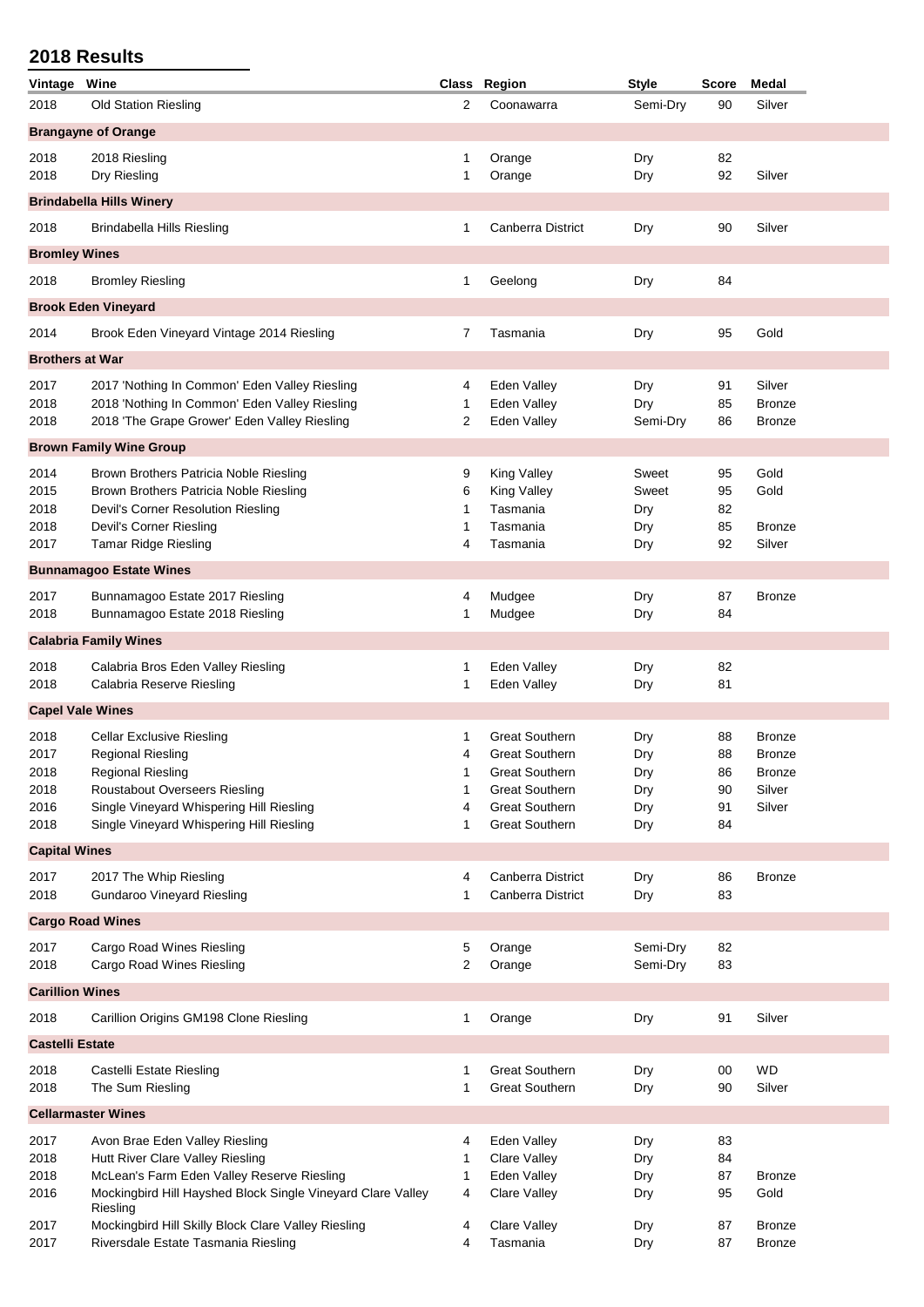| Vintage                | Wine                                                                    |        | Class Region                                   | <b>Style</b> | <b>Score</b> | <b>Medal</b>        |
|------------------------|-------------------------------------------------------------------------|--------|------------------------------------------------|--------------|--------------|---------------------|
| 2018                   | <b>Old Station Riesling</b>                                             | 2      | Coonawarra                                     | Semi-Dry     | 90           | Silver              |
|                        | <b>Brangayne of Orange</b>                                              |        |                                                |              |              |                     |
| 2018                   | 2018 Riesling                                                           | 1      | Orange                                         | Dry          | 82           |                     |
| 2018                   | Dry Riesling                                                            | 1      | Orange                                         | Dry          | 92           | Silver              |
|                        | <b>Brindabella Hills Winery</b>                                         |        |                                                |              |              |                     |
| 2018                   | Brindabella Hills Riesling                                              | 1      | <b>Canberra District</b>                       | Dry          | 90           | Silver              |
|                        |                                                                         |        |                                                |              |              |                     |
| <b>Bromley Wines</b>   |                                                                         |        |                                                |              |              |                     |
| 2018                   | <b>Bromley Riesling</b>                                                 | 1      | Geelong                                        | Dry          | 84           |                     |
|                        | <b>Brook Eden Vineyard</b>                                              |        |                                                |              |              |                     |
| 2014                   | Brook Eden Vineyard Vintage 2014 Riesling                               | 7      | Tasmania                                       | Dry          | 95           | Gold                |
| <b>Brothers at War</b> |                                                                         |        |                                                |              |              |                     |
| 2017                   | 2017 'Nothing In Common' Eden Valley Riesling                           | 4      | Eden Valley                                    | Dry          | 91           | Silver              |
| 2018                   | 2018 'Nothing In Common' Eden Valley Riesling                           | 1      | Eden Valley                                    | Dry          | 85           | <b>Bronze</b>       |
| 2018                   | 2018 'The Grape Grower' Eden Valley Riesling                            | 2      | Eden Valley                                    | Semi-Dry     | 86           | <b>Bronze</b>       |
|                        | <b>Brown Family Wine Group</b>                                          |        |                                                |              |              |                     |
| 2014                   | Brown Brothers Patricia Noble Riesling                                  | 9      | King Valley                                    | Sweet        | 95           | Gold                |
| 2015                   | Brown Brothers Patricia Noble Riesling                                  | 6      | King Valley                                    | Sweet        | 95           | Gold                |
| 2018                   | Devil's Corner Resolution Riesling                                      | 1      | Tasmania                                       | Dry          | 82           |                     |
| 2018                   | Devil's Corner Riesling                                                 | 1      | Tasmania                                       | Dry          | 85           | <b>Bronze</b>       |
| 2017                   | <b>Tamar Ridge Riesling</b>                                             | 4      | Tasmania                                       | Dry          | 92           | Silver              |
|                        | <b>Bunnamagoo Estate Wines</b>                                          |        |                                                |              |              |                     |
| 2017                   | Bunnamagoo Estate 2017 Riesling                                         | 4      | Mudgee                                         | Dry          | 87           | <b>Bronze</b>       |
| 2018                   | Bunnamagoo Estate 2018 Riesling                                         | 1      | Mudgee                                         | Dry          | 84           |                     |
|                        | <b>Calabria Family Wines</b>                                            |        |                                                |              |              |                     |
| 2018                   | Calabria Bros Eden Valley Riesling                                      | 1      | Eden Valley                                    | Dry          | 82           |                     |
| 2018                   | Calabria Reserve Riesling                                               | 1      | Eden Valley                                    | Dry          | 81           |                     |
|                        | <b>Capel Vale Wines</b>                                                 |        |                                                |              |              |                     |
| 2018                   | <b>Cellar Exclusive Riesling</b>                                        | 1      | <b>Great Southern</b>                          | Dry          | 88           | <b>Bronze</b>       |
| 2017                   | <b>Regional Riesling</b>                                                | 4      | <b>Great Southern</b>                          | Dry          | 88           | <b>Bronze</b>       |
| 2018                   | <b>Regional Riesling</b>                                                |        | <b>Great Southern</b>                          | Dry          | 86           | <b>Bronze</b>       |
| 2018                   | <b>Roustabout Overseers Riesling</b>                                    | 1      | <b>Great Southern</b>                          | Dry          | 90           | Silver              |
| 2016                   | Single Vineyard Whispering Hill Riesling                                | 4      | <b>Great Southern</b>                          | Dry          | 91           | Silver              |
| 2018                   | Single Vineyard Whispering Hill Riesling                                | 1      | <b>Great Southern</b>                          | Dry          | 84           |                     |
| <b>Capital Wines</b>   |                                                                         |        |                                                |              |              |                     |
| 2017                   | 2017 The Whip Riesling                                                  | 4      | Canberra District                              | Dry          | 86           | <b>Bronze</b>       |
| 2018                   | <b>Gundaroo Vineyard Riesling</b>                                       | 1      | Canberra District                              | Dry          | 83           |                     |
|                        | <b>Cargo Road Wines</b>                                                 |        |                                                |              |              |                     |
| 2017                   | Cargo Road Wines Riesling                                               | 5      | Orange                                         | Semi-Dry     | 82           |                     |
| 2018                   | Cargo Road Wines Riesling                                               | 2      | Orange                                         | Semi-Dry     | 83           |                     |
| <b>Carillion Wines</b> |                                                                         |        |                                                |              |              |                     |
| 2018                   | Carillion Origins GM198 Clone Riesling                                  | 1      | Orange                                         | Dry          | 91           | Silver              |
| <b>Castelli Estate</b> |                                                                         |        |                                                |              |              |                     |
|                        |                                                                         |        |                                                |              |              |                     |
| 2018<br>2018           | Castelli Estate Riesling<br>The Sum Riesling                            | 1<br>1 | <b>Great Southern</b><br><b>Great Southern</b> | Dry<br>Dry   | 00<br>90     | <b>WD</b><br>Silver |
|                        |                                                                         |        |                                                |              |              |                     |
|                        | <b>Cellarmaster Wines</b>                                               |        |                                                |              |              |                     |
| 2017                   | Avon Brae Eden Valley Riesling                                          | 4      | Eden Valley                                    | Dry          | 83           |                     |
| 2018                   | Hutt River Clare Valley Riesling                                        | 1      | Clare Valley                                   | Dry          | 84           |                     |
| 2018                   | McLean's Farm Eden Valley Reserve Riesling                              | 1      | Eden Valley                                    | Dry          | 87           | <b>Bronze</b>       |
| 2016                   | Mockingbird Hill Hayshed Block Single Vineyard Clare Valley<br>Riesling | 4      | Clare Valley                                   | Dry          | 95           | Gold                |
| 2017                   | Mockingbird Hill Skilly Block Clare Valley Riesling                     | 4      | Clare Valley                                   | Dry          | 87           | <b>Bronze</b>       |
| 2017                   | Riversdale Estate Tasmania Riesling                                     | 4      | Tasmania                                       | Dry          | 87           | <b>Bronze</b>       |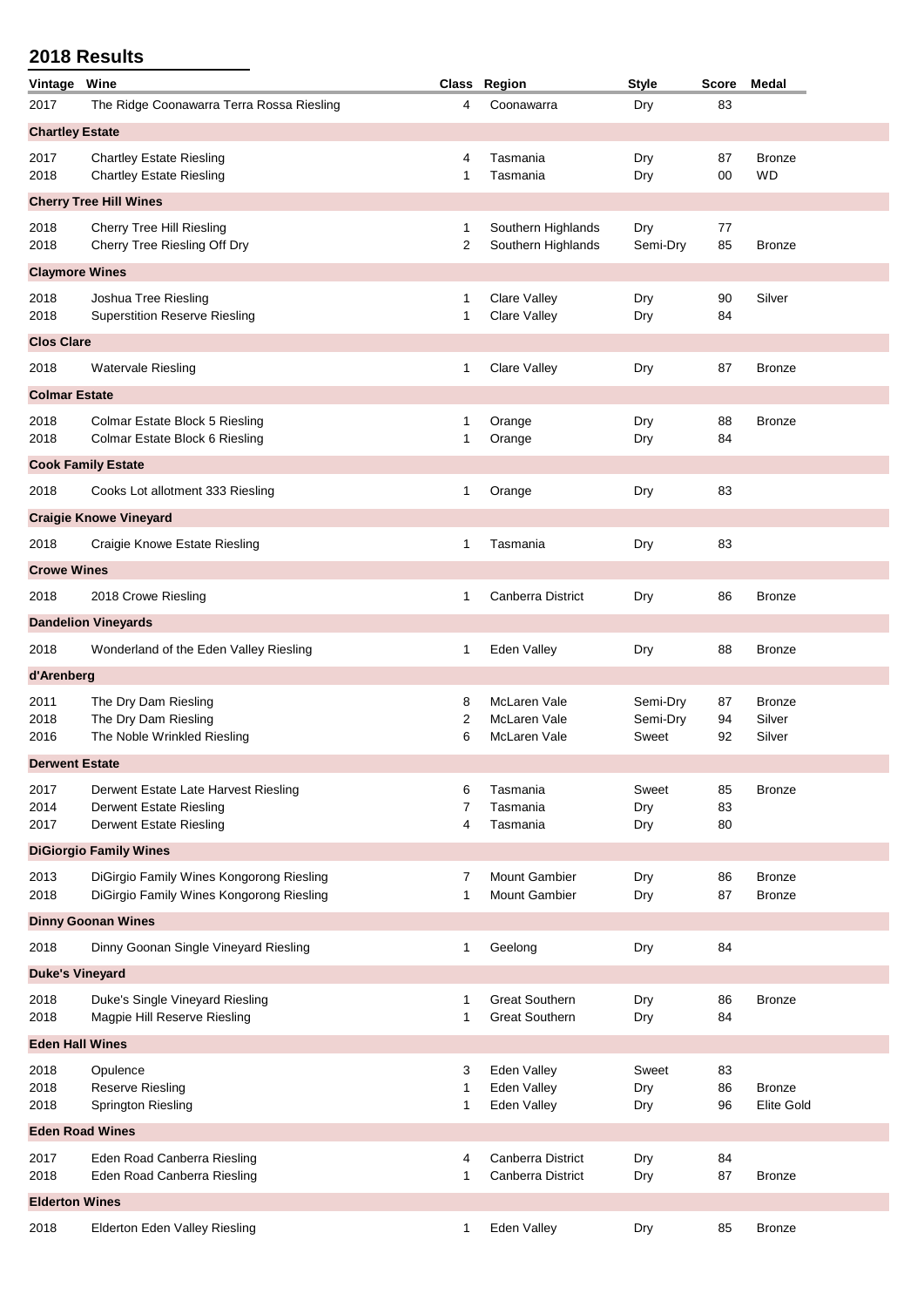| Vintage                | Wine                                                                                                     |              | Class Region                                   | <b>Style</b>                  | <b>Score</b>   | Medal                              |  |  |
|------------------------|----------------------------------------------------------------------------------------------------------|--------------|------------------------------------------------|-------------------------------|----------------|------------------------------------|--|--|
| 2017                   | The Ridge Coonawarra Terra Rossa Riesling                                                                | 4            | Coonawarra                                     | Dry                           | 83             |                                    |  |  |
| <b>Chartley Estate</b> |                                                                                                          |              |                                                |                               |                |                                    |  |  |
| 2017<br>2018           | <b>Chartley Estate Riesling</b><br><b>Chartley Estate Riesling</b>                                       | 4<br>1       | Tasmania<br>Tasmania                           | Dry<br>Dry                    | 87<br>00       | <b>Bronze</b><br>WD                |  |  |
|                        | <b>Cherry Tree Hill Wines</b>                                                                            |              |                                                |                               |                |                                    |  |  |
| 2018<br>2018           | Cherry Tree Hill Riesling<br>Cherry Tree Riesling Off Dry                                                | 1<br>2       | Southern Highlands<br>Southern Highlands       | Dry<br>Semi-Dry               | 77<br>85       | <b>Bronze</b>                      |  |  |
| <b>Claymore Wines</b>  |                                                                                                          |              |                                                |                               |                |                                    |  |  |
| 2018<br>2018           | Joshua Tree Riesling<br><b>Superstition Reserve Riesling</b>                                             | 1<br>1       | Clare Valley<br>Clare Valley                   | Dry<br>Dry                    | 90<br>84       | Silver                             |  |  |
| <b>Clos Clare</b>      |                                                                                                          |              |                                                |                               |                |                                    |  |  |
| 2018                   | <b>Watervale Riesling</b>                                                                                | 1            | Clare Valley                                   | Dry                           | 87             | <b>Bronze</b>                      |  |  |
| <b>Colmar Estate</b>   |                                                                                                          |              |                                                |                               |                |                                    |  |  |
| 2018<br>2018           | Colmar Estate Block 5 Riesling<br>Colmar Estate Block 6 Riesling                                         | 1<br>1       | Orange<br>Orange                               | Dry<br>Dry                    | 88<br>84       | Bronze                             |  |  |
|                        | <b>Cook Family Estate</b>                                                                                |              |                                                |                               |                |                                    |  |  |
| 2018                   | Cooks Lot allotment 333 Riesling                                                                         | 1            | Orange                                         | Dry                           | 83             |                                    |  |  |
|                        | <b>Craigie Knowe Vineyard</b>                                                                            |              |                                                |                               |                |                                    |  |  |
| 2018                   | Craigie Knowe Estate Riesling                                                                            | 1            | Tasmania                                       | Dry                           | 83             |                                    |  |  |
| <b>Crowe Wines</b>     |                                                                                                          |              |                                                |                               |                |                                    |  |  |
| 2018                   | 2018 Crowe Riesling                                                                                      | 1            | <b>Canberra District</b>                       | Dry                           | 86             | <b>Bronze</b>                      |  |  |
|                        | <b>Dandelion Vineyards</b>                                                                               |              |                                                |                               |                |                                    |  |  |
| 2018                   | Wonderland of the Eden Valley Riesling                                                                   | 1            | Eden Valley                                    | Dry                           | 88             | <b>Bronze</b>                      |  |  |
| d'Arenberg             |                                                                                                          |              |                                                |                               |                |                                    |  |  |
| 2011<br>2018<br>2016   | The Dry Dam Riesling<br>The Dry Dam Riesling<br>The Noble Wrinkled Riesling                              | 8<br>2<br>6  | McLaren Vale<br>McLaren Vale<br>McLaren Vale   | Semi-Dry<br>Semi-Dry<br>Sweet | 87<br>94<br>92 | <b>Bronze</b><br>Silver<br>Silver  |  |  |
| <b>Derwent Estate</b>  |                                                                                                          |              |                                                |                               |                |                                    |  |  |
| 2017<br>2014<br>2017   | Derwent Estate Late Harvest Riesling<br><b>Derwent Estate Riesling</b><br><b>Derwent Estate Riesling</b> | 6<br>7<br>4  | Tasmania<br>Tasmania<br>Tasmania               | Sweet<br>Dry<br>Dry           | 85<br>83<br>80 | <b>Bronze</b>                      |  |  |
|                        | <b>DiGiorgio Family Wines</b>                                                                            |              |                                                |                               |                |                                    |  |  |
| 2013<br>2018           | DiGirgio Family Wines Kongorong Riesling<br>DiGirgio Family Wines Kongorong Riesling                     | 7<br>1       | <b>Mount Gambier</b><br><b>Mount Gambier</b>   | Dry<br>Dry                    | 86<br>87       | <b>Bronze</b><br><b>Bronze</b>     |  |  |
|                        | <b>Dinny Goonan Wines</b>                                                                                |              |                                                |                               |                |                                    |  |  |
| 2018                   | Dinny Goonan Single Vineyard Riesling                                                                    | 1            | Geelong                                        | Dry                           | 84             |                                    |  |  |
| <b>Duke's Vineyard</b> |                                                                                                          |              |                                                |                               |                |                                    |  |  |
| 2018<br>2018           | Duke's Single Vineyard Riesling<br>Magpie Hill Reserve Riesling                                          | 1<br>1       | <b>Great Southern</b><br><b>Great Southern</b> | Dry<br>Dry                    | 86<br>84       | <b>Bronze</b>                      |  |  |
| <b>Eden Hall Wines</b> |                                                                                                          |              |                                                |                               |                |                                    |  |  |
| 2018<br>2018<br>2018   | Opulence<br>Reserve Riesling<br><b>Springton Riesling</b>                                                | 3<br>1<br>1  | Eden Valley<br>Eden Valley<br>Eden Valley      | Sweet<br>Dry<br>Dry           | 83<br>86<br>96 | <b>Bronze</b><br><b>Elite Gold</b> |  |  |
| <b>Eden Road Wines</b> |                                                                                                          |              |                                                |                               |                |                                    |  |  |
| 2017<br>2018           | Eden Road Canberra Riesling<br>Eden Road Canberra Riesling                                               | 4<br>1       | Canberra District<br>Canberra District         | Dry<br>Dry                    | 84<br>87       | <b>Bronze</b>                      |  |  |
| <b>Elderton Wines</b>  |                                                                                                          |              |                                                |                               |                |                                    |  |  |
| 2018                   | Elderton Eden Valley Riesling                                                                            | $\mathbf{1}$ | Eden Valley                                    | Dry                           | 85             | <b>Bronze</b>                      |  |  |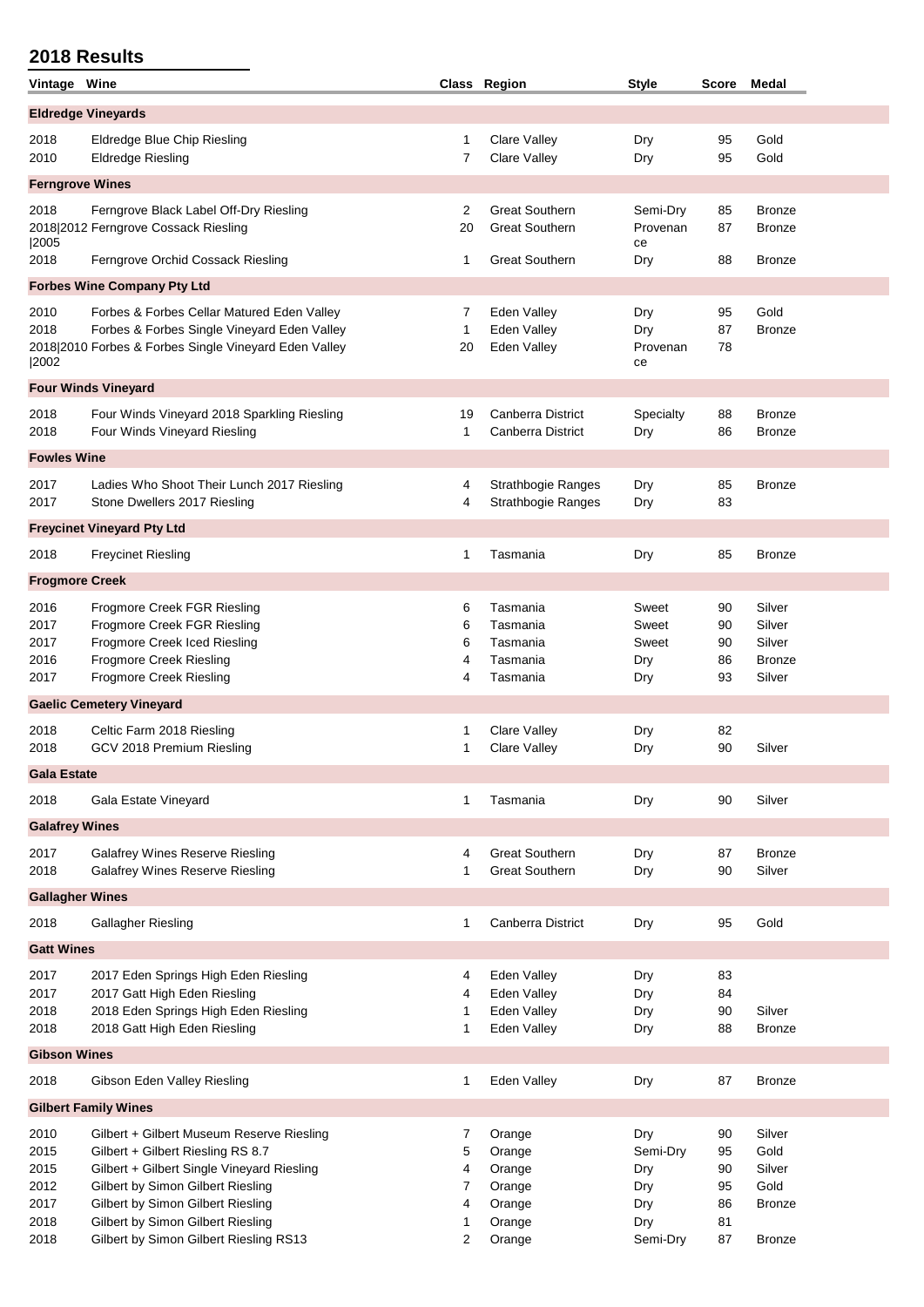| Vintage Wine                                 |                                                                                                                                                                                                                                             |                            | Class Region                                             | <b>Style</b>                                | Score                            | Medal                                                 |  |  |  |
|----------------------------------------------|---------------------------------------------------------------------------------------------------------------------------------------------------------------------------------------------------------------------------------------------|----------------------------|----------------------------------------------------------|---------------------------------------------|----------------------------------|-------------------------------------------------------|--|--|--|
| <b>Eldredge Vineyards</b>                    |                                                                                                                                                                                                                                             |                            |                                                          |                                             |                                  |                                                       |  |  |  |
| 2018<br>2010                                 | Eldredge Blue Chip Riesling<br><b>Eldredge Riesling</b>                                                                                                                                                                                     | 1<br>7                     | Clare Valley<br><b>Clare Valley</b>                      | Dry<br>Dry                                  | 95<br>95                         | Gold<br>Gold                                          |  |  |  |
| <b>Ferngrove Wines</b>                       |                                                                                                                                                                                                                                             |                            |                                                          |                                             |                                  |                                                       |  |  |  |
| 2018<br> 2005                                | Ferngrove Black Label Off-Dry Riesling<br>2018 2012 Ferngrove Cossack Riesling                                                                                                                                                              | 2<br>20                    | <b>Great Southern</b><br><b>Great Southern</b>           | Semi-Dry<br>Provenan<br>ce                  | 85<br>87                         | <b>Bronze</b><br><b>Bronze</b>                        |  |  |  |
| 2018                                         | Ferngrove Orchid Cossack Riesling                                                                                                                                                                                                           | 1                          | <b>Great Southern</b>                                    | Dry                                         | 88                               | <b>Bronze</b>                                         |  |  |  |
|                                              | <b>Forbes Wine Company Pty Ltd</b>                                                                                                                                                                                                          |                            |                                                          |                                             |                                  |                                                       |  |  |  |
| 2010<br>2018<br> 2002                        | Forbes & Forbes Cellar Matured Eden Valley<br>Forbes & Forbes Single Vineyard Eden Valley<br>2018 2010 Forbes & Forbes Single Vineyard Eden Valley                                                                                          | 7<br>1<br>20               | Eden Valley<br>Eden Valley<br>Eden Valley                | Dry<br>Dry<br>Provenan<br>ce                | 95<br>87<br>78                   | Gold<br><b>Bronze</b>                                 |  |  |  |
|                                              | <b>Four Winds Vineyard</b>                                                                                                                                                                                                                  |                            |                                                          |                                             |                                  |                                                       |  |  |  |
| 2018<br>2018                                 | Four Winds Vineyard 2018 Sparkling Riesling<br>Four Winds Vineyard Riesling                                                                                                                                                                 | 19<br>1                    | Canberra District<br>Canberra District                   | Specialty<br>Dry                            | 88<br>86                         | <b>Bronze</b><br><b>Bronze</b>                        |  |  |  |
| <b>Fowles Wine</b>                           |                                                                                                                                                                                                                                             |                            |                                                          |                                             |                                  |                                                       |  |  |  |
| 2017<br>2017                                 | Ladies Who Shoot Their Lunch 2017 Riesling<br>Stone Dwellers 2017 Riesling                                                                                                                                                                  | 4<br>4                     | Strathbogie Ranges<br>Strathbogie Ranges                 | Dry<br>Dry                                  | 85<br>83                         | <b>Bronze</b>                                         |  |  |  |
|                                              | <b>Freycinet Vineyard Pty Ltd</b>                                                                                                                                                                                                           |                            |                                                          |                                             |                                  |                                                       |  |  |  |
| 2018                                         | <b>Freycinet Riesling</b>                                                                                                                                                                                                                   | 1                          | Tasmania                                                 | Dry                                         | 85                               | <b>Bronze</b>                                         |  |  |  |
| <b>Frogmore Creek</b>                        |                                                                                                                                                                                                                                             |                            |                                                          |                                             |                                  |                                                       |  |  |  |
| 2016<br>2017<br>2017<br>2016<br>2017         | Frogmore Creek FGR Riesling<br>Frogmore Creek FGR Riesling<br>Frogmore Creek Iced Riesling<br>Frogmore Creek Riesling<br><b>Frogmore Creek Riesling</b>                                                                                     | 6<br>6<br>6<br>4<br>4      | Tasmania<br>Tasmania<br>Tasmania<br>Tasmania<br>Tasmania | Sweet<br>Sweet<br>Sweet<br>Dry<br>Dry       | 90<br>90<br>90<br>86<br>93       | Silver<br>Silver<br>Silver<br><b>Bronze</b><br>Silver |  |  |  |
|                                              | <b>Gaelic Cemetery Vineyard</b>                                                                                                                                                                                                             |                            |                                                          |                                             |                                  |                                                       |  |  |  |
| 2018<br>2018                                 | Celtic Farm 2018 Riesling<br>GCV 2018 Premium Riesling                                                                                                                                                                                      | 1<br>1                     | <b>Clare Valley</b><br><b>Clare Valley</b>               | Dry<br>Dry                                  | 82<br>90                         | Silver                                                |  |  |  |
| <b>Gala Estate</b>                           |                                                                                                                                                                                                                                             |                            |                                                          |                                             |                                  |                                                       |  |  |  |
| 2018                                         | Gala Estate Vineyard                                                                                                                                                                                                                        | 1                          | Tasmania                                                 | Dry                                         | 90                               | Silver                                                |  |  |  |
| <b>Galafrey Wines</b>                        |                                                                                                                                                                                                                                             |                            |                                                          |                                             |                                  |                                                       |  |  |  |
| 2017<br>2018                                 | <b>Galafrey Wines Reserve Riesling</b><br><b>Galafrey Wines Reserve Riesling</b>                                                                                                                                                            | 4<br>1                     | <b>Great Southern</b><br><b>Great Southern</b>           | Dry<br>Dry                                  | 87<br>90                         | <b>Bronze</b><br>Silver                               |  |  |  |
| <b>Gallagher Wines</b>                       |                                                                                                                                                                                                                                             |                            |                                                          |                                             |                                  |                                                       |  |  |  |
| 2018                                         | Gallagher Riesling                                                                                                                                                                                                                          | 1                          | Canberra District                                        | Dry                                         | 95                               | Gold                                                  |  |  |  |
| <b>Gatt Wines</b>                            |                                                                                                                                                                                                                                             |                            |                                                          |                                             |                                  |                                                       |  |  |  |
| 2017<br>2017<br>2018<br>2018                 | 2017 Eden Springs High Eden Riesling<br>2017 Gatt High Eden Riesling<br>2018 Eden Springs High Eden Riesling<br>2018 Gatt High Eden Riesling                                                                                                | 4<br>4<br>1<br>1           | Eden Valley<br>Eden Valley<br>Eden Valley<br>Eden Valley | Dry<br>Dry<br>Dry<br>Dry                    | 83<br>84<br>90<br>88             | Silver<br><b>Bronze</b>                               |  |  |  |
| <b>Gibson Wines</b>                          |                                                                                                                                                                                                                                             |                            |                                                          |                                             |                                  |                                                       |  |  |  |
| 2018                                         | Gibson Eden Valley Riesling                                                                                                                                                                                                                 | 1                          | Eden Valley                                              | Dry                                         | 87                               | <b>Bronze</b>                                         |  |  |  |
|                                              | <b>Gilbert Family Wines</b>                                                                                                                                                                                                                 |                            |                                                          |                                             |                                  |                                                       |  |  |  |
| 2010<br>2015<br>2015<br>2012<br>2017<br>2018 | Gilbert + Gilbert Museum Reserve Riesling<br>Gilbert + Gilbert Riesling RS 8.7<br>Gilbert + Gilbert Single Vineyard Riesling<br>Gilbert by Simon Gilbert Riesling<br>Gilbert by Simon Gilbert Riesling<br>Gilbert by Simon Gilbert Riesling | 7<br>5<br>4<br>7<br>4<br>1 | Orange<br>Orange<br>Orange<br>Orange<br>Orange<br>Orange | Dry<br>Semi-Dry<br>Dry<br>Dry<br>Dry<br>Dry | 90<br>95<br>90<br>95<br>86<br>81 | Silver<br>Gold<br>Silver<br>Gold<br><b>Bronze</b>     |  |  |  |
| 2018                                         | Gilbert by Simon Gilbert Riesling RS13                                                                                                                                                                                                      | 2                          | Orange                                                   | Semi-Dry                                    | 87                               | <b>Bronze</b>                                         |  |  |  |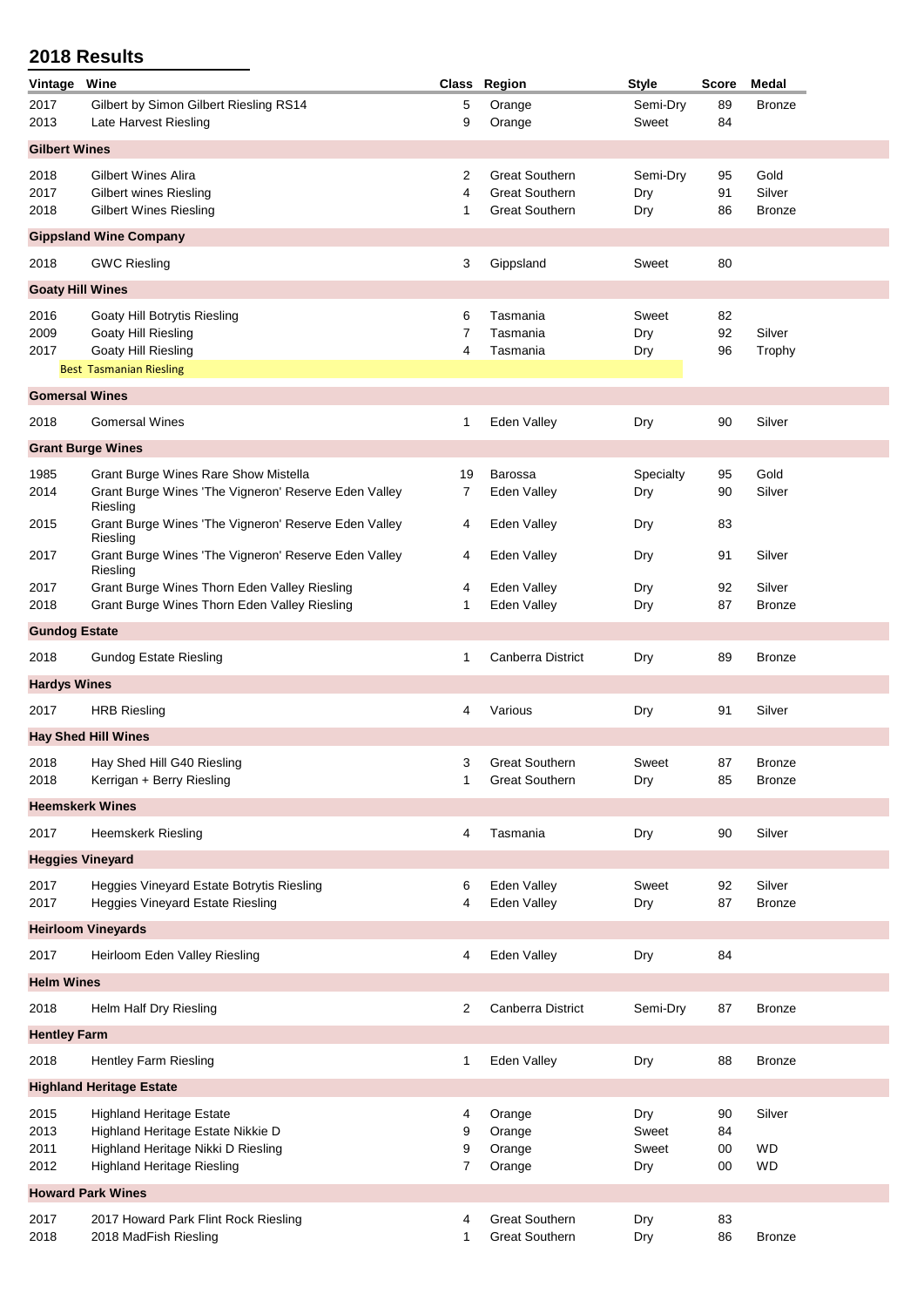| Vintage                 | Wine                                                             |              | Class Region          | <b>Style</b> | <b>Score</b> | <b>Medal</b>  |
|-------------------------|------------------------------------------------------------------|--------------|-----------------------|--------------|--------------|---------------|
| 2017                    | Gilbert by Simon Gilbert Riesling RS14                           | 5            | Orange                | Semi-Dry     | 89           | <b>Bronze</b> |
| 2013                    | Late Harvest Riesling                                            | 9            | Orange                | Sweet        | 84           |               |
| <b>Gilbert Wines</b>    |                                                                  |              |                       |              |              |               |
| 2018                    | <b>Gilbert Wines Alira</b>                                       | 2            | <b>Great Southern</b> | Semi-Dry     | 95           | Gold          |
| 2017                    | Gilbert wines Riesling                                           | 4            | <b>Great Southern</b> | Dry          | 91           | Silver        |
| 2018                    | Gilbert Wines Riesling                                           | 1            | <b>Great Southern</b> | Dry          | 86           | <b>Bronze</b> |
|                         |                                                                  |              |                       |              |              |               |
|                         | <b>Gippsland Wine Company</b>                                    |              |                       |              |              |               |
| 2018                    | <b>GWC Riesling</b>                                              | 3            | Gippsland             | Sweet        | 80           |               |
| <b>Goaty Hill Wines</b> |                                                                  |              |                       |              |              |               |
| 2016                    | Goaty Hill Botrytis Riesling                                     | 6            | Tasmania              | Sweet        | 82           |               |
| 2009                    | Goaty Hill Riesling                                              | 7            | Tasmania              | Dry          | 92           | Silver        |
| 2017                    | Goaty Hill Riesling                                              | 4            | Tasmania              | Dry          | 96           | Trophy        |
|                         | <b>Best Tasmanian Riesling</b>                                   |              |                       |              |              |               |
| <b>Gomersal Wines</b>   |                                                                  |              |                       |              |              |               |
| 2018                    | <b>Gomersal Wines</b>                                            | 1            | Eden Valley           | Dry          | 90           | Silver        |
|                         |                                                                  |              |                       |              |              |               |
|                         | <b>Grant Burge Wines</b>                                         |              |                       |              |              |               |
| 1985                    | Grant Burge Wines Rare Show Mistella                             | 19           | Barossa               | Specialty    | 95           | Gold          |
| 2014                    | Grant Burge Wines 'The Vigneron' Reserve Eden Valley<br>Riesling | 7            | Eden Valley           | Dry          | 90           | Silver        |
| 2015                    | Grant Burge Wines 'The Vigneron' Reserve Eden Valley             | 4            | Eden Valley           | Dry          | 83           |               |
| 2017                    | Riesling<br>Grant Burge Wines 'The Vigneron' Reserve Eden Valley | 4            | Eden Valley           | Dry          | 91           | Silver        |
|                         | Riesling                                                         |              |                       |              |              |               |
| 2017                    | Grant Burge Wines Thorn Eden Valley Riesling                     | 4            | Eden Valley           | Dry          | 92           | Silver        |
| 2018                    | Grant Burge Wines Thorn Eden Valley Riesling                     | 1            | Eden Valley           | Dry          | 87           | <b>Bronze</b> |
|                         |                                                                  |              |                       |              |              |               |
| <b>Gundog Estate</b>    |                                                                  |              |                       |              |              |               |
| 2018                    | <b>Gundog Estate Riesling</b>                                    | $\mathbf{1}$ | Canberra District     | Dry          | 89           | <b>Bronze</b> |
| <b>Hardys Wines</b>     |                                                                  |              |                       |              |              |               |
| 2017                    | <b>HRB Riesling</b>                                              | 4            | Various               | Dry          | 91           | Silver        |
|                         | <b>Hay Shed Hill Wines</b>                                       |              |                       |              |              |               |
| 2018                    | Hay Shed Hill G40 Riesling                                       | 3            | <b>Great Southern</b> | Sweet        | 87           | <b>Bronze</b> |
| 2018                    | Kerrigan + Berry Riesling                                        | 1            | <b>Great Southern</b> | Dry          | 85           | <b>Bronze</b> |
|                         |                                                                  |              |                       |              |              |               |
|                         | <b>Heemskerk Wines</b>                                           |              |                       |              |              |               |
| 2017                    | Heemskerk Riesling                                               | 4            | Tasmania              | Dry          | 90           | Silver        |
|                         | <b>Heggies Vineyard</b>                                          |              |                       |              |              |               |
| 2017                    | Heggies Vineyard Estate Botrytis Riesling                        | 6            | Eden Valley           | Sweet        | 92           | Silver        |
| 2017                    | Heggies Vineyard Estate Riesling                                 | 4            | Eden Valley           | Dry          | 87           | <b>Bronze</b> |
|                         | <b>Heirloom Vineyards</b>                                        |              |                       |              |              |               |
|                         | Heirloom Eden Valley Riesling                                    |              | Eden Valley           | Dry          | 84           |               |
| 2017                    |                                                                  | 4            |                       |              |              |               |
| <b>Helm Wines</b>       |                                                                  |              |                       |              |              |               |
| 2018                    | Helm Half Dry Riesling                                           | 2            | Canberra District     | Semi-Dry     | 87           | <b>Bronze</b> |
| <b>Hentley Farm</b>     |                                                                  |              |                       |              |              |               |
| 2018                    | Hentley Farm Riesling                                            | $\mathbf{1}$ | <b>Eden Valley</b>    | Dry          | 88           | <b>Bronze</b> |
|                         | <b>Highland Heritage Estate</b>                                  |              |                       |              |              |               |
|                         |                                                                  |              |                       |              |              |               |
| 2015                    | <b>Highland Heritage Estate</b>                                  | 4            | Orange                | Dry          | 90           | Silver        |
| 2013                    | Highland Heritage Estate Nikkie D                                | 9            | Orange                | Sweet        | 84           |               |
| 2011                    | Highland Heritage Nikki D Riesling                               | 9            | Orange                | Sweet        | 00           | WD            |
| 2012                    | <b>Highland Heritage Riesling</b>                                | 7            | Orange                | Dry          | 00           | <b>WD</b>     |
|                         | <b>Howard Park Wines</b>                                         |              |                       |              |              |               |
| 2017                    | 2017 Howard Park Flint Rock Riesling                             | 4            | <b>Great Southern</b> | Dry          | 83           |               |
| 2018                    | 2018 MadFish Riesling                                            | 1            | <b>Great Southern</b> | Dry          | 86           | Bronze        |
|                         |                                                                  |              |                       |              |              |               |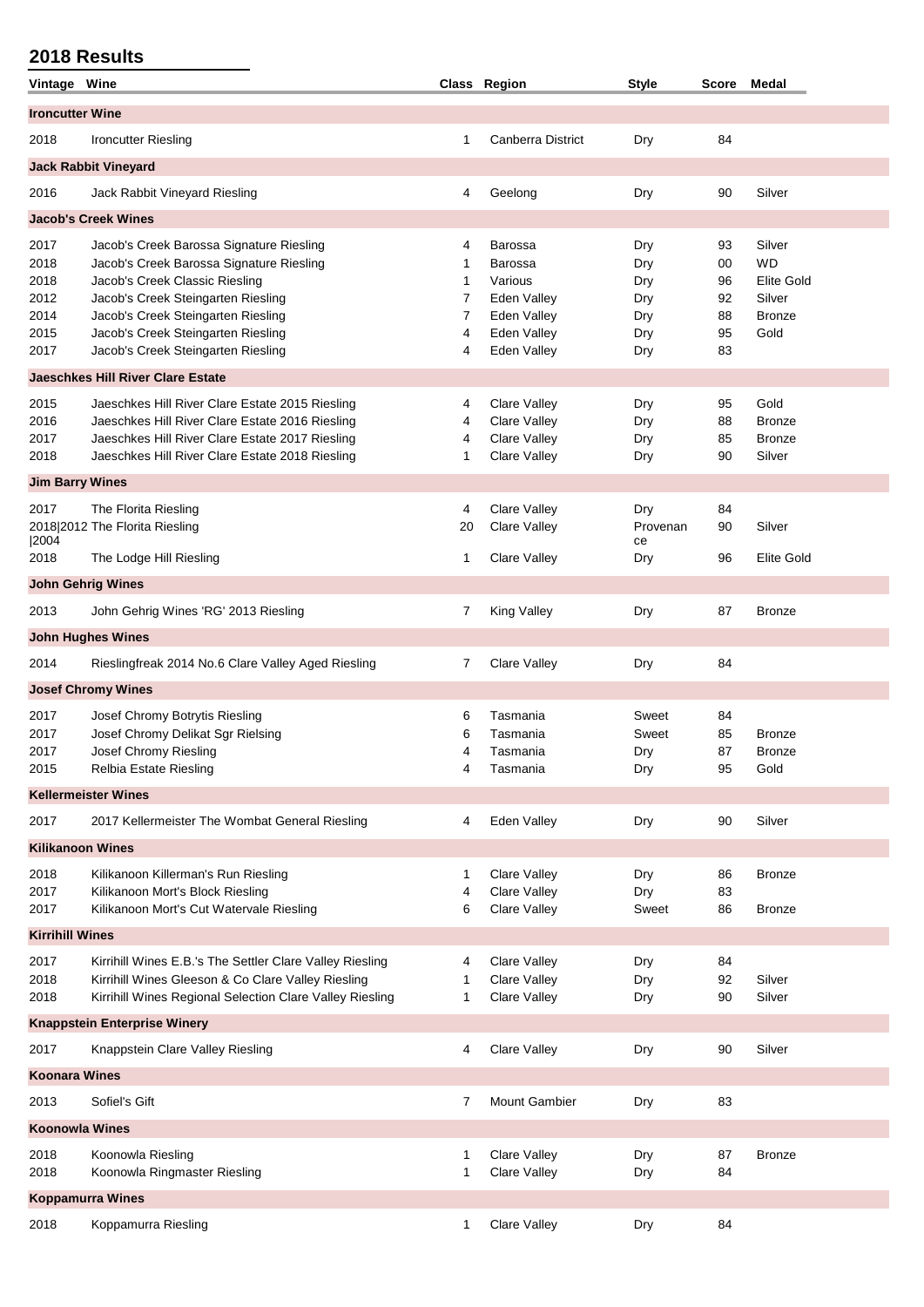| Vintage Wine            |                                                          |        | Class Region                 | <b>Style</b>   | Score Medal |               |
|-------------------------|----------------------------------------------------------|--------|------------------------------|----------------|-------------|---------------|
| <b>Ironcutter Wine</b>  |                                                          |        |                              |                |             |               |
| 2018                    | <b>Ironcutter Riesling</b>                               | 1      | Canberra District            | Dry            | 84          |               |
|                         | <b>Jack Rabbit Vineyard</b>                              |        |                              |                |             |               |
| 2016                    | Jack Rabbit Vineyard Riesling                            | 4      | Geelong                      | Dry            | 90          | Silver        |
|                         | <b>Jacob's Creek Wines</b>                               |        |                              |                |             |               |
|                         |                                                          |        |                              |                |             | Silver        |
| 2017                    | Jacob's Creek Barossa Signature Riesling                 | 4      | Barossa                      | Dry            | 93          |               |
| 2018                    | Jacob's Creek Barossa Signature Riesling                 | 1      | <b>Barossa</b>               | Dry            | 00          | <b>WD</b>     |
| 2018                    | Jacob's Creek Classic Riesling                           | 1      | Various                      | Dry            | 96          | Elite Gold    |
| 2012                    | Jacob's Creek Steingarten Riesling                       | 7      | Eden Valley                  | Dry            | 92          | Silver        |
| 2014                    | Jacob's Creek Steingarten Riesling                       | 7      | Eden Valley                  | Dry            | 88          | Bronze        |
| 2015                    | Jacob's Creek Steingarten Riesling                       | 4      | Eden Valley                  | Dry            | 95          | Gold          |
| 2017                    | Jacob's Creek Steingarten Riesling                       | 4      | Eden Valley                  | Dry            | 83          |               |
|                         | <b>Jaeschkes Hill River Clare Estate</b>                 |        |                              |                |             |               |
| 2015                    | Jaeschkes Hill River Clare Estate 2015 Riesling          | 4      | <b>Clare Valley</b>          | Dry            | 95          | Gold          |
| 2016                    | Jaeschkes Hill River Clare Estate 2016 Riesling          | 4      | <b>Clare Valley</b>          | Dry            | 88          | <b>Bronze</b> |
| 2017                    | Jaeschkes Hill River Clare Estate 2017 Riesling          | 4      | Clare Valley                 | Dry            | 85          | <b>Bronze</b> |
| 2018                    | Jaeschkes Hill River Clare Estate 2018 Riesling          | 1      | <b>Clare Valley</b>          | Dry            | 90          | Silver        |
| <b>Jim Barry Wines</b>  |                                                          |        |                              |                |             |               |
| 2017                    |                                                          | 4      | <b>Clare Valley</b>          |                | 84          |               |
|                         | The Florita Riesling                                     |        |                              | Dry            |             |               |
| 2004                    | 2018 2012 The Florita Riesling                           | 20     | <b>Clare Valley</b>          | Provenan<br>ce | 90          | Silver        |
| 2018                    | The Lodge Hill Riesling                                  | 1      | <b>Clare Valley</b>          | Dry            | 96          | Elite Gold    |
|                         | <b>John Gehrig Wines</b>                                 |        |                              |                |             |               |
| 2013                    | John Gehrig Wines 'RG' 2013 Riesling                     | 7      | King Valley                  | Dry            | 87          | <b>Bronze</b> |
|                         |                                                          |        |                              |                |             |               |
|                         | <b>John Hughes Wines</b>                                 |        |                              |                |             |               |
| 2014                    | Rieslingfreak 2014 No.6 Clare Valley Aged Riesling       | 7      | Clare Valley                 | Dry            | 84          |               |
|                         | <b>Josef Chromy Wines</b>                                |        |                              |                |             |               |
| 2017                    | Josef Chromy Botrytis Riesling                           | 6      | Tasmania                     | Sweet          | 84          |               |
| 2017                    | Josef Chromy Delikat Sgr Rielsing                        | 6      | Tasmania                     | Sweet          | 85          | <b>Bronze</b> |
| 2017                    | Josef Chromy Riesling                                    | 4      | Tasmania                     | Dry            | 87          | <b>Bronze</b> |
| 2015                    | Relbia Estate Riesling                                   |        | Tasmania                     | Dry            | 95          | Gold          |
|                         | <b>Kellermeister Wines</b>                               |        |                              |                |             |               |
|                         |                                                          |        |                              |                |             |               |
| 2017                    | 2017 Kellermeister The Wombat General Riesling           | 4      | Eden Valley                  | Dry            | 90          | Silver        |
| <b>Kilikanoon Wines</b> |                                                          |        |                              |                |             |               |
| 2018                    | Kilikanoon Killerman's Run Riesling                      | 1      | Clare Valley                 | Dry            | 86          | <b>Bronze</b> |
| 2017                    | Kilikanoon Mort's Block Riesling                         | 4      | Clare Valley                 | Dry            | 83          |               |
| 2017                    | Kilikanoon Mort's Cut Watervale Riesling                 | 6      | Clare Valley                 | Sweet          | 86          | <b>Bronze</b> |
| <b>Kirrihill Wines</b>  |                                                          |        |                              |                |             |               |
| 2017                    | Kirrihill Wines E.B.'s The Settler Clare Valley Riesling | 4      | <b>Clare Valley</b>          | Dry            | 84          |               |
| 2018                    | Kirrihill Wines Gleeson & Co Clare Valley Riesling       | 1      | <b>Clare Valley</b>          | Dry            | 92          | Silver        |
| 2018                    | Kirrihill Wines Regional Selection Clare Valley Riesling | 1      | Clare Valley                 | Dry            | 90          | Silver        |
|                         | <b>Knappstein Enterprise Winery</b>                      |        |                              |                |             |               |
| 2017                    | Knappstein Clare Valley Riesling                         | 4      | <b>Clare Valley</b>          | Dry            | 90          | Silver        |
| <b>Koonara Wines</b>    |                                                          |        |                              |                |             |               |
| 2013                    | Sofiel's Gift                                            | 7      | <b>Mount Gambier</b>         | Dry            | 83          |               |
| <b>Koonowla Wines</b>   |                                                          |        |                              |                |             |               |
|                         |                                                          |        |                              |                |             |               |
| 2018<br>2018            | Koonowla Riesling<br>Koonowla Ringmaster Riesling        | 1<br>1 | Clare Valley<br>Clare Valley | Dry<br>Dry     | 87<br>84    | <b>Bronze</b> |
|                         | <b>Koppamurra Wines</b>                                  |        |                              |                |             |               |
|                         |                                                          |        |                              |                |             |               |
| 2018                    | Koppamurra Riesling                                      | 1      | Clare Valley                 | Dry            | 84          |               |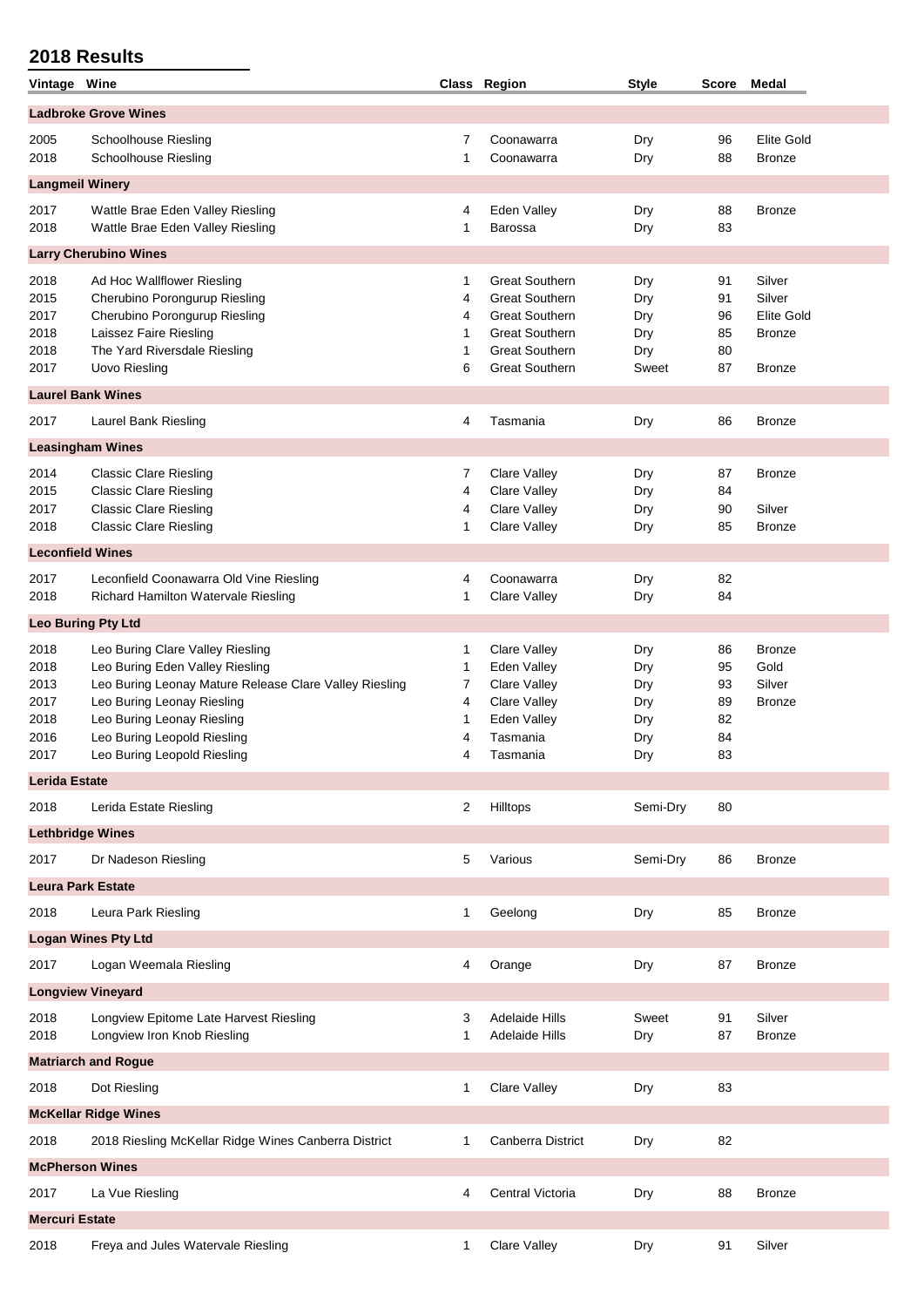| Vintage Wine          |                                                          |              | Class Region                        | <b>Style</b> | Score    | Medal                   |
|-----------------------|----------------------------------------------------------|--------------|-------------------------------------|--------------|----------|-------------------------|
|                       | <b>Ladbroke Grove Wines</b>                              |              |                                     |              |          |                         |
| 2005                  | Schoolhouse Riesling                                     | 7            | Coonawarra                          | Dry          | 96       | <b>Elite Gold</b>       |
| 2018                  | Schoolhouse Riesling                                     | 1            | Coonawarra                          | Dry          | 88       | Bronze                  |
|                       | <b>Langmeil Winery</b>                                   |              |                                     |              |          |                         |
| 2017                  | Wattle Brae Eden Valley Riesling                         | 4            | Eden Valley                         | Dry          | 88       | <b>Bronze</b>           |
| 2018                  | Wattle Brae Eden Valley Riesling                         | 1            | <b>Barossa</b>                      | Dry          | 83       |                         |
|                       | <b>Larry Cherubino Wines</b>                             |              |                                     |              |          |                         |
| 2018                  | Ad Hoc Wallflower Riesling                               | 1            | <b>Great Southern</b>               | Dry          | 91       | Silver                  |
| 2015                  | Cherubino Porongurup Riesling                            | 4            | <b>Great Southern</b>               | Dry          | 91       | Silver                  |
| 2017                  | Cherubino Porongurup Riesling                            | 4            | <b>Great Southern</b>               | Dry          | 96       | <b>Elite Gold</b>       |
| 2018                  | Laissez Faire Riesling                                   | 1            | <b>Great Southern</b>               | Dry          | 85       | <b>Bronze</b>           |
| 2018                  | The Yard Riversdale Riesling                             | 1            | <b>Great Southern</b>               | Dry          | 80       |                         |
| 2017                  | <b>Uovo Riesling</b>                                     | 6            | <b>Great Southern</b>               | Sweet        | 87       | <b>Bronze</b>           |
|                       | <b>Laurel Bank Wines</b>                                 |              |                                     |              |          |                         |
| 2017                  | Laurel Bank Riesling                                     | 4            | Tasmania                            | Dry          | 86       | <b>Bronze</b>           |
|                       | <b>Leasingham Wines</b>                                  |              |                                     |              |          |                         |
| 2014                  | <b>Classic Clare Riesling</b>                            | 7            | Clare Valley                        | Dry          | 87       | <b>Bronze</b>           |
| 2015                  | <b>Classic Clare Riesling</b>                            | 4            | <b>Clare Valley</b>                 | Dry          | 84       |                         |
| 2017<br>2018          | <b>Classic Clare Riesling</b>                            | 4            | Clare Valley<br><b>Clare Valley</b> | Dry          | 90<br>85 | Silver                  |
|                       | <b>Classic Clare Riesling</b>                            | 1            |                                     | Dry          |          | <b>Bronze</b>           |
|                       | <b>Leconfield Wines</b>                                  |              |                                     |              |          |                         |
| 2017                  | Leconfield Coonawarra Old Vine Riesling                  | 4            | Coonawarra                          | Dry          | 82       |                         |
| 2018                  | Richard Hamilton Watervale Riesling                      | 1            | <b>Clare Valley</b>                 | Dry          | 84       |                         |
|                       | Leo Buring Pty Ltd                                       |              |                                     |              |          |                         |
| 2018                  | Leo Buring Clare Valley Riesling                         | 1            | <b>Clare Valley</b>                 | Dry          | 86       | <b>Bronze</b>           |
| 2018                  | Leo Buring Eden Valley Riesling                          | $\mathbf{1}$ | Eden Valley                         | Dry          | 95       | Gold                    |
| 2013<br>2017          | Leo Buring Leonay Mature Release Clare Valley Riesling   | 7<br>4       | Clare Valley<br>Clare Valley        | Dry          | 93<br>89 | Silver<br><b>Bronze</b> |
| 2018                  | Leo Buring Leonay Riesling<br>Leo Buring Leonay Riesling | 1            | Eden Valley                         | Dry<br>Dry   | 82       |                         |
| 2016                  | Leo Buring Leopold Riesling                              | 4            | Tasmania                            | Dry          | 84       |                         |
| 2017                  | Leo Buring Leopold Riesling                              | 4            | Tasmania                            | Dry          | 83       |                         |
| <b>Lerida Estate</b>  |                                                          |              |                                     |              |          |                         |
| 2018                  | Lerida Estate Riesling                                   | 2            | Hilltops                            | Semi-Dry     | 80       |                         |
|                       | <b>Lethbridge Wines</b>                                  |              |                                     |              |          |                         |
| 2017                  | Dr Nadeson Riesling                                      | 5            | Various                             | Semi-Dry     | 86       | <b>Bronze</b>           |
|                       |                                                          |              |                                     |              |          |                         |
|                       | <b>Leura Park Estate</b>                                 |              |                                     |              |          |                         |
| 2018                  | Leura Park Riesling                                      | 1            | Geelong                             | Dry          | 85       | <b>Bronze</b>           |
|                       | <b>Logan Wines Pty Ltd</b>                               |              |                                     |              |          |                         |
| 2017                  | Logan Weemala Riesling                                   | 4            | Orange                              | Dry          | 87       | <b>Bronze</b>           |
|                       | <b>Longview Vineyard</b>                                 |              |                                     |              |          |                         |
| 2018                  | Longview Epitome Late Harvest Riesling                   | 3            | Adelaide Hills                      | Sweet        | 91       | Silver                  |
| 2018                  | Longview Iron Knob Riesling                              | 1            | <b>Adelaide Hills</b>               | Dry          | 87       | Bronze                  |
|                       | <b>Matriarch and Rogue</b>                               |              |                                     |              |          |                         |
| 2018                  | Dot Riesling                                             | 1            | Clare Valley                        | Dry          | 83       |                         |
|                       | <b>McKellar Ridge Wines</b>                              |              |                                     |              |          |                         |
| 2018                  | 2018 Riesling McKellar Ridge Wines Canberra District     | 1            | Canberra District                   | Dry          | 82       |                         |
|                       | <b>McPherson Wines</b>                                   |              |                                     |              |          |                         |
| 2017                  | La Vue Riesling                                          | 4            | Central Victoria                    | Dry          | 88       | <b>Bronze</b>           |
| <b>Mercuri Estate</b> |                                                          |              |                                     |              |          |                         |
| 2018                  | Freya and Jules Watervale Riesling                       | $\mathbf{1}$ | Clare Valley                        | Dry          | 91       | Silver                  |
|                       |                                                          |              |                                     |              |          |                         |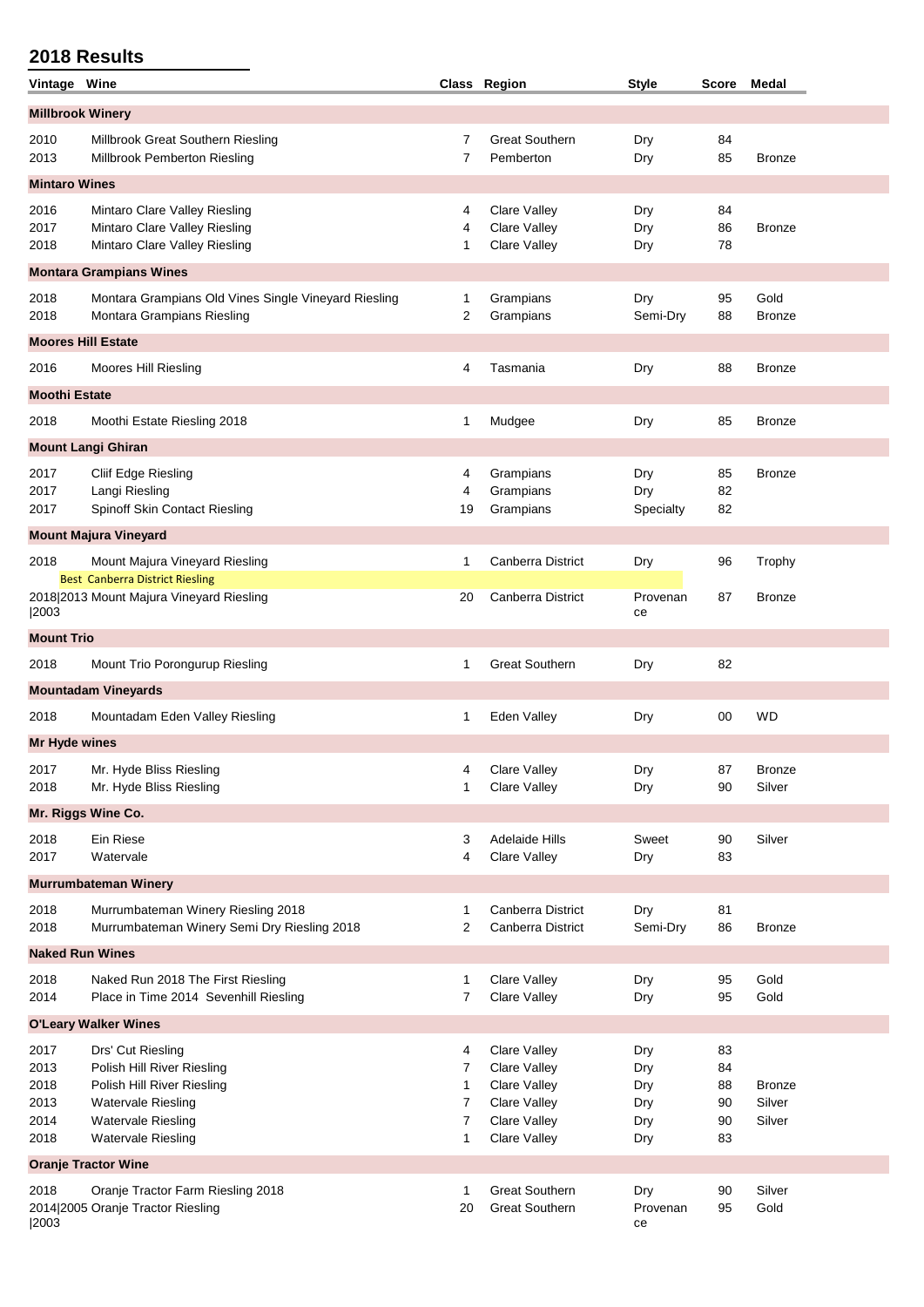| Vintage Wine            |                                                                                    |           | Class Region                 | <b>Style</b>     | <b>Score</b> | Medal                 |
|-------------------------|------------------------------------------------------------------------------------|-----------|------------------------------|------------------|--------------|-----------------------|
| <b>Millbrook Winery</b> |                                                                                    |           |                              |                  |              |                       |
| 2010                    | Millbrook Great Southern Riesling                                                  | 7         | <b>Great Southern</b>        | Dry              | 84           |                       |
| 2013                    | Millbrook Pemberton Riesling                                                       | 7         | Pemberton                    | Dry              | 85           | <b>Bronze</b>         |
| <b>Mintaro Wines</b>    |                                                                                    |           |                              |                  |              |                       |
| 2016                    | Mintaro Clare Valley Riesling                                                      | 4         | Clare Valley                 | Dry              | 84           |                       |
| 2017<br>2018            | Mintaro Clare Valley Riesling<br>Mintaro Clare Valley Riesling                     | 4<br>1    | Clare Valley<br>Clare Valley | Dry<br>Dry       | 86<br>78     | <b>Bronze</b>         |
|                         |                                                                                    |           |                              |                  |              |                       |
|                         | <b>Montara Grampians Wines</b>                                                     |           |                              |                  |              |                       |
| 2018<br>2018            | Montara Grampians Old Vines Single Vineyard Riesling<br>Montara Grampians Riesling | 1<br>2    | Grampians<br>Grampians       | Dry<br>Semi-Dry  | 95<br>88     | Gold<br><b>Bronze</b> |
|                         | <b>Moores Hill Estate</b>                                                          |           |                              |                  |              |                       |
| 2016                    | Moores Hill Riesling                                                               | 4         | Tasmania                     | Dry              | 88           | <b>Bronze</b>         |
|                         |                                                                                    |           |                              |                  |              |                       |
| <b>Moothi Estate</b>    |                                                                                    |           |                              |                  |              |                       |
| 2018                    | Moothi Estate Riesling 2018                                                        | 1         | Mudgee                       | Dry              | 85           | <b>Bronze</b>         |
|                         | <b>Mount Langi Ghiran</b>                                                          |           |                              |                  |              |                       |
| 2017                    | Cliif Edge Riesling                                                                | 4         | Grampians                    | Dry              | 85           | <b>Bronze</b>         |
| 2017<br>2017            | Langi Riesling<br>Spinoff Skin Contact Riesling                                    | 4<br>19   | Grampians<br>Grampians       | Dry<br>Specialty | 82<br>82     |                       |
|                         | <b>Mount Majura Vineyard</b>                                                       |           |                              |                  |              |                       |
| 2018                    |                                                                                    | 1         | Canberra District            |                  |              |                       |
|                         | Mount Majura Vineyard Riesling<br><b>Best Canberra District Riesling</b>           |           |                              | Dry              | 96           | Trophy                |
|                         | 2018 2013 Mount Majura Vineyard Riesling                                           | 20        | <b>Canberra District</b>     | Provenan         | 87           | <b>Bronze</b>         |
| 2003                    |                                                                                    |           |                              | ce               |              |                       |
| <b>Mount Trio</b>       |                                                                                    |           |                              |                  |              |                       |
| 2018                    | Mount Trio Porongurup Riesling                                                     | 1         | <b>Great Southern</b>        | Dry              | 82           |                       |
|                         | <b>Mountadam Vineyards</b>                                                         |           |                              |                  |              |                       |
| 2018                    | Mountadam Eden Valley Riesling                                                     | 1         | Eden Valley                  | Dry              | 00           | <b>WD</b>             |
| <b>Mr Hyde wines</b>    |                                                                                    |           |                              |                  |              |                       |
| 2017                    | Mr. Hyde Bliss Riesling                                                            | $\Lambda$ | Clare Valley                 | Dry              | 87           | Bronze                |
| 2018                    | Mr. Hyde Bliss Riesling                                                            | 1         | Clare Valley                 | Dry              | 90           | Silver                |
|                         | Mr. Riggs Wine Co.                                                                 |           |                              |                  |              |                       |
| 2018                    | Ein Riese                                                                          | 3         | <b>Adelaide Hills</b>        | Sweet            | 90           | Silver                |
| 2017                    | Watervale                                                                          | 4         | Clare Valley                 | Dry              | 83           |                       |
|                         | <b>Murrumbateman Winery</b>                                                        |           |                              |                  |              |                       |
| 2018                    | Murrumbateman Winery Riesling 2018                                                 | 1         | Canberra District            | Dry              | 81           |                       |
| 2018                    | Murrumbateman Winery Semi Dry Riesling 2018                                        | 2         | Canberra District            | Semi-Dry         | 86           | <b>Bronze</b>         |
|                         | <b>Naked Run Wines</b>                                                             |           |                              |                  |              |                       |
| 2018<br>2014            | Naked Run 2018 The First Riesling<br>Place in Time 2014 Sevenhill Riesling         | 1<br>7    | Clare Valley<br>Clare Valley | Dry<br>Dry       | 95<br>95     | Gold<br>Gold          |
|                         |                                                                                    |           |                              |                  |              |                       |
|                         | <b>O'Leary Walker Wines</b>                                                        |           |                              |                  |              |                       |
| 2017<br>2013            | Drs' Cut Riesling<br>Polish Hill River Riesling                                    | 4<br>7    | Clare Valley<br>Clare Valley | Dry<br>Dry       | 83<br>84     |                       |
| 2018                    | Polish Hill River Riesling                                                         | 1         | Clare Valley                 | Dry              | 88           | <b>Bronze</b>         |
| 2013                    | <b>Watervale Riesling</b>                                                          | 7         | Clare Valley                 | Dry              | 90           | Silver                |
| 2014                    | <b>Watervale Riesling</b>                                                          | 7         | Clare Valley                 | Dry              | 90           | Silver                |
| 2018                    | <b>Watervale Riesling</b>                                                          | 1         | Clare Valley                 | Dry              | 83           |                       |
|                         | <b>Oranje Tractor Wine</b>                                                         |           |                              |                  |              |                       |
| 2018                    | Oranje Tractor Farm Riesling 2018                                                  | 1         | <b>Great Southern</b>        | Dry              | 90           | Silver                |
| 2003                    | 2014 2005 Oranje Tractor Riesling                                                  | 20        | <b>Great Southern</b>        | Provenan<br>ce   | 95           | Gold                  |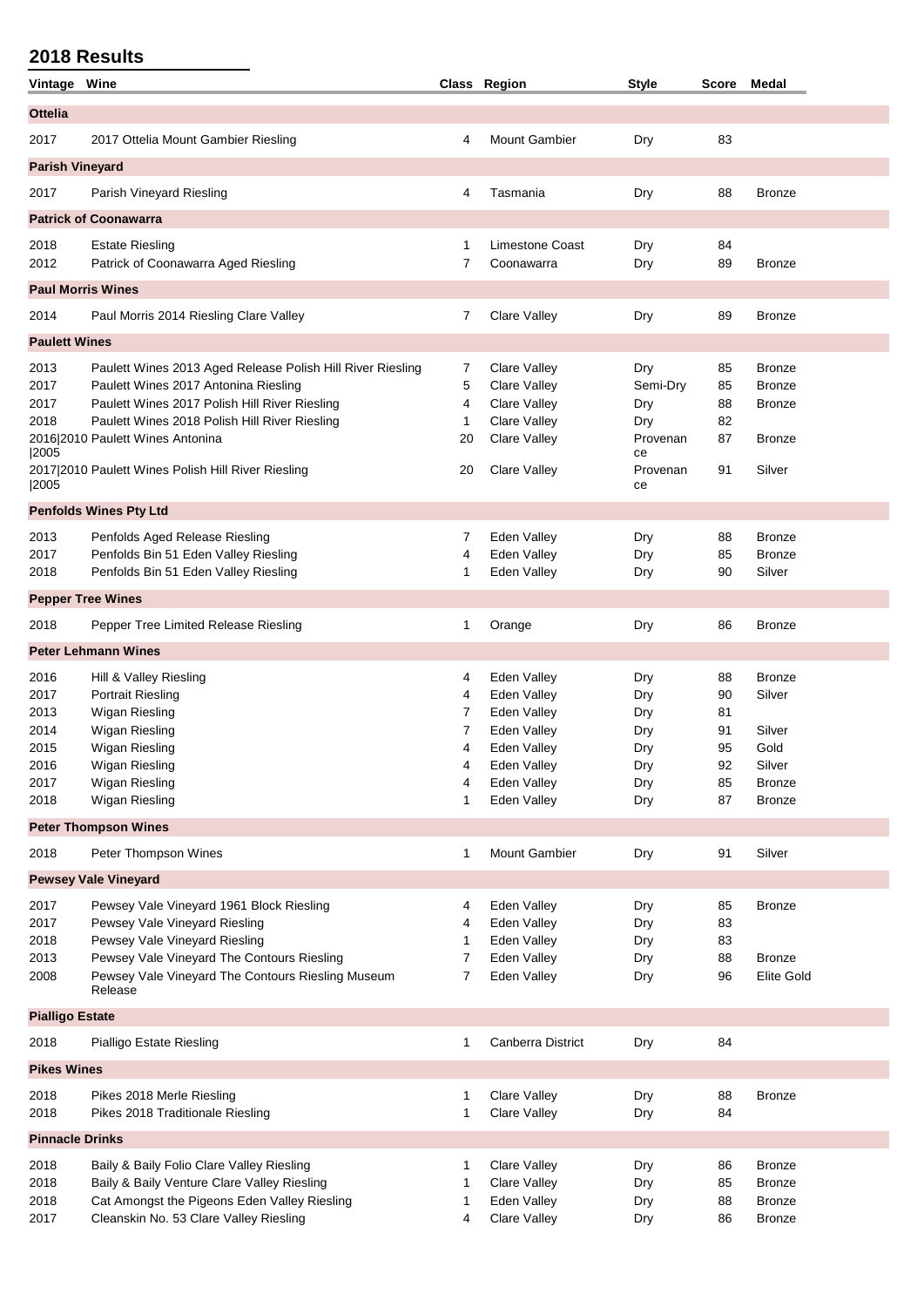| Vintage Wine               |                                                               |        | Class Region                        | <b>Style</b>   | Score    | <b>Medal</b>  |  |  |
|----------------------------|---------------------------------------------------------------|--------|-------------------------------------|----------------|----------|---------------|--|--|
| <b>Ottelia</b>             |                                                               |        |                                     |                |          |               |  |  |
| 2017                       | 2017 Ottelia Mount Gambier Riesling                           | 4      | <b>Mount Gambier</b>                | Dry            | 83       |               |  |  |
| <b>Parish Vineyard</b>     |                                                               |        |                                     |                |          |               |  |  |
| 2017                       | Parish Vineyard Riesling                                      | 4      | Tasmania                            | Dry            | 88       | <b>Bronze</b> |  |  |
|                            | <b>Patrick of Coonawarra</b>                                  |        |                                     |                |          |               |  |  |
| 2018                       | <b>Estate Riesling</b>                                        | 1      | <b>Limestone Coast</b>              | Dry            | 84       |               |  |  |
| 2012                       | Patrick of Coonawarra Aged Riesling                           | 7      | Coonawarra                          | Dry            | 89       | <b>Bronze</b> |  |  |
| <b>Paul Morris Wines</b>   |                                                               |        |                                     |                |          |               |  |  |
| 2014                       | Paul Morris 2014 Riesling Clare Valley                        | 7      | Clare Valley                        | Dry            | 89       | <b>Bronze</b> |  |  |
| <b>Paulett Wines</b>       |                                                               |        |                                     |                |          |               |  |  |
| 2013                       | Paulett Wines 2013 Aged Release Polish Hill River Riesling    | 7      | <b>Clare Valley</b>                 | Dry            | 85       | <b>Bronze</b> |  |  |
| 2017                       | Paulett Wines 2017 Antonina Riesling                          | 5      | Clare Valley                        | Semi-Dry       | 85       | <b>Bronze</b> |  |  |
| 2017                       | Paulett Wines 2017 Polish Hill River Riesling                 | 4      | Clare Valley                        | Dry            | 88       | <b>Bronze</b> |  |  |
| 2018                       | Paulett Wines 2018 Polish Hill River Riesling                 | 1      | Clare Valley                        | Dry            | 82       |               |  |  |
|                            | 2016 2010 Paulett Wines Antonina                              | 20     |                                     | Provenan       | 87       |               |  |  |
| 2005                       |                                                               |        | Clare Valley                        | ce             |          | <b>Bronze</b> |  |  |
| 2005                       | 2017 2010 Paulett Wines Polish Hill River Riesling            | 20     | <b>Clare Valley</b>                 | Provenan<br>ce | 91       | Silver        |  |  |
|                            | <b>Penfolds Wines Pty Ltd</b>                                 |        |                                     |                |          |               |  |  |
|                            |                                                               |        |                                     |                |          |               |  |  |
| 2013                       | Penfolds Aged Release Riesling                                | 7      | Eden Valley                         | Dry            | 88       | <b>Bronze</b> |  |  |
| 2017                       | Penfolds Bin 51 Eden Valley Riesling                          | 4      | Eden Valley                         | Dry            | 85       | <b>Bronze</b> |  |  |
| 2018                       | Penfolds Bin 51 Eden Valley Riesling                          | 1      | Eden Valley                         | Dry            | 90       | Silver        |  |  |
| <b>Pepper Tree Wines</b>   |                                                               |        |                                     |                |          |               |  |  |
| 2018                       | Pepper Tree Limited Release Riesling                          | 1      | Orange                              | Dry            | 86       | <b>Bronze</b> |  |  |
| <b>Peter Lehmann Wines</b> |                                                               |        |                                     |                |          |               |  |  |
| 2016                       | Hill & Valley Riesling                                        | 4      | Eden Valley                         | Dry            | 88       | <b>Bronze</b> |  |  |
| 2017                       | <b>Portrait Riesling</b>                                      | 4      | Eden Valley                         | Dry            | 90       | Silver        |  |  |
| 2013                       | Wigan Riesling                                                | 7      | Eden Valley                         | Dry            | 81       |               |  |  |
| 2014                       | Wigan Riesling                                                | 7      | Eden Valley                         | Dry            | 91       | Silver        |  |  |
| 2015                       | Wigan Riesling                                                | 4      | Eden Valley                         | Dry            | 95       | Gold          |  |  |
| 2016                       | Wigan Riesling                                                | 4      | Eden Valley                         | Dry            | 92       | Silver        |  |  |
| 2017                       | Wigan Riesling                                                | 4      | Eden Valley                         | Dry            | 85       | <b>Bronze</b> |  |  |
| 2018                       | Wigan Riesling                                                | 1      | Eden Valley                         | Dry            | 87       | <b>Bronze</b> |  |  |
|                            | <b>Peter Thompson Wines</b>                                   |        |                                     |                |          |               |  |  |
| 2018                       | Peter Thompson Wines                                          | 1      | <b>Mount Gambier</b>                | Dry            | 91       | Silver        |  |  |
|                            | <b>Pewsey Vale Vineyard</b>                                   |        |                                     |                |          |               |  |  |
|                            |                                                               |        |                                     |                |          |               |  |  |
| 2017                       | Pewsey Vale Vineyard 1961 Block Riesling                      | 4      | Eden Valley                         | Dry            | 85       | <b>Bronze</b> |  |  |
| 2017                       | Pewsey Vale Vineyard Riesling                                 | 4      | Eden Valley                         | Dry            | 83       |               |  |  |
| 2018                       | Pewsey Vale Vineyard Riesling                                 | 1      | Eden Valley                         | Dry            | 83       |               |  |  |
| 2013                       | Pewsey Vale Vineyard The Contours Riesling                    | 7      | Eden Valley                         | Dry            | 88       | <b>Bronze</b> |  |  |
| 2008                       | Pewsey Vale Vineyard The Contours Riesling Museum<br>Release  | 7      | Eden Valley                         | Dry            | 96       | Elite Gold    |  |  |
| <b>Pialligo Estate</b>     |                                                               |        |                                     |                |          |               |  |  |
| 2018                       | Pialligo Estate Riesling                                      | 1      | <b>Canberra District</b>            | Dry            | 84       |               |  |  |
| <b>Pikes Wines</b>         |                                                               |        |                                     |                |          |               |  |  |
|                            |                                                               |        |                                     |                |          |               |  |  |
| 2018<br>2018               | Pikes 2018 Merle Riesling<br>Pikes 2018 Traditionale Riesling | 1<br>1 | Clare Valley<br><b>Clare Valley</b> | Dry<br>Dry     | 88<br>84 | <b>Bronze</b> |  |  |
| <b>Pinnacle Drinks</b>     |                                                               |        |                                     |                |          |               |  |  |
|                            |                                                               |        |                                     |                |          |               |  |  |
| 2018                       | Baily & Baily Folio Clare Valley Riesling                     | 1      | Clare Valley                        | Dry            | 86       | <b>Bronze</b> |  |  |
| 2018                       | Baily & Baily Venture Clare Valley Riesling                   | 1      | Clare Valley                        | Dry            | 85       | <b>Bronze</b> |  |  |
| 2018                       | Cat Amongst the Pigeons Eden Valley Riesling                  | 1      | Eden Valley                         | Dry            | 88       | <b>Bronze</b> |  |  |
| 2017                       | Cleanskin No. 53 Clare Valley Riesling                        | 4      | Clare Valley                        | Dry            | 86       | <b>Bronze</b> |  |  |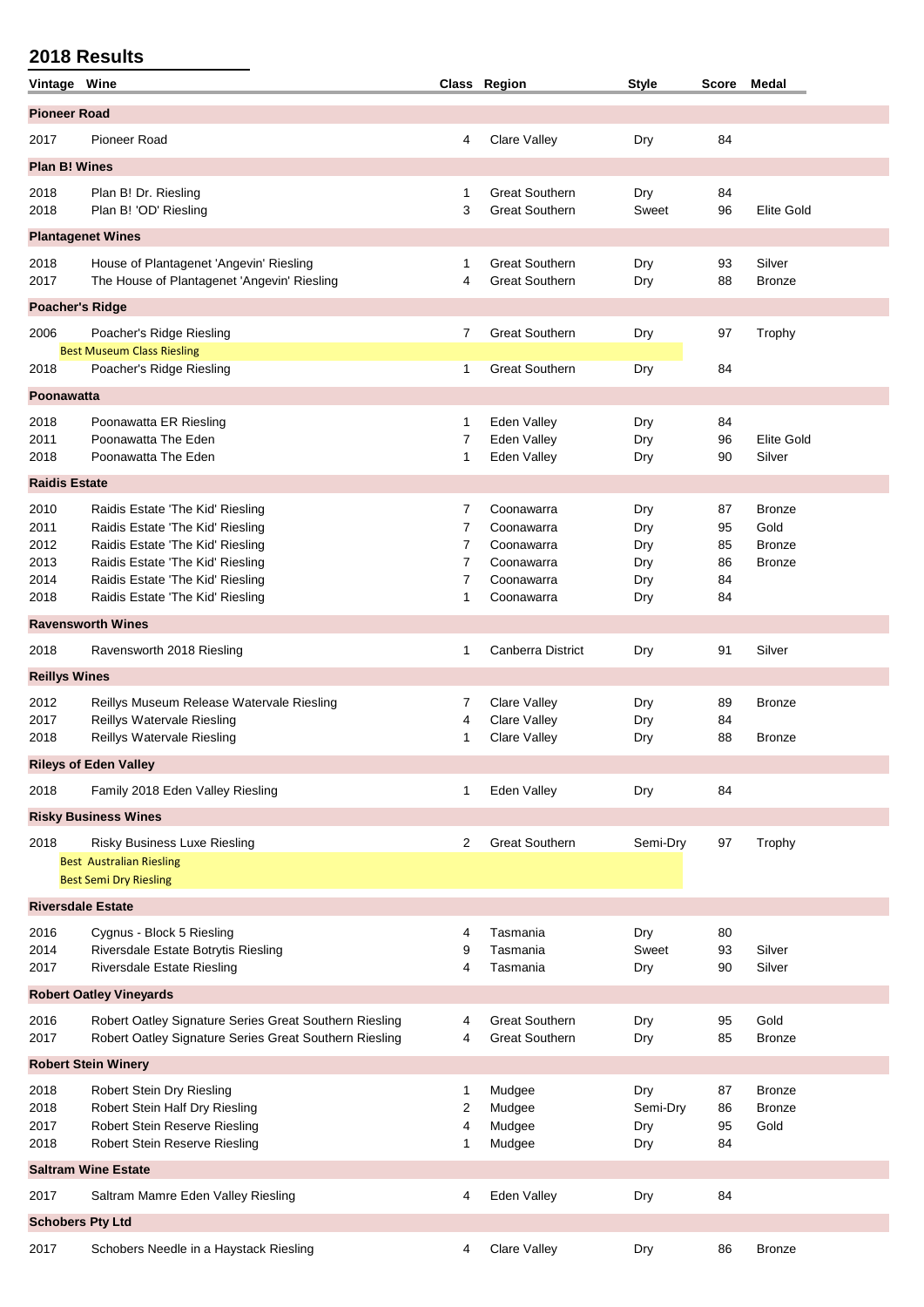| Vintage Wine             |                                                                                                                  |                     | Class Region                                   | <b>Style</b> | Score    | Medal                   |  |  |  |
|--------------------------|------------------------------------------------------------------------------------------------------------------|---------------------|------------------------------------------------|--------------|----------|-------------------------|--|--|--|
| <b>Pioneer Road</b>      |                                                                                                                  |                     |                                                |              |          |                         |  |  |  |
| 2017                     | <b>Pioneer Road</b>                                                                                              | 4                   | <b>Clare Valley</b>                            | Dry          | 84       |                         |  |  |  |
| <b>Plan B! Wines</b>     |                                                                                                                  |                     |                                                |              |          |                         |  |  |  |
| 2018<br>2018             | Plan B! Dr. Riesling<br>Plan B! 'OD' Riesling                                                                    | 1<br>3              | <b>Great Southern</b><br><b>Great Southern</b> | Dry<br>Sweet | 84<br>96 | <b>Elite Gold</b>       |  |  |  |
|                          | <b>Plantagenet Wines</b>                                                                                         |                     |                                                |              |          |                         |  |  |  |
| 2018<br>2017             | House of Plantagenet 'Angevin' Riesling<br>The House of Plantagenet 'Angevin' Riesling                           | 1<br>4              | <b>Great Southern</b><br><b>Great Southern</b> | Dry<br>Dry   | 93<br>88 | Silver<br><b>Bronze</b> |  |  |  |
| <b>Poacher's Ridge</b>   |                                                                                                                  |                     |                                                |              |          |                         |  |  |  |
| 2006                     | Poacher's Ridge Riesling                                                                                         | 7                   | <b>Great Southern</b>                          | Dry          | 97       | Trophy                  |  |  |  |
|                          | <b>Best Museum Class Riesling</b>                                                                                |                     |                                                |              |          |                         |  |  |  |
| 2018                     | Poacher's Ridge Riesling                                                                                         | 1                   | <b>Great Southern</b>                          | Dry          | 84       |                         |  |  |  |
| <b>Poonawatta</b>        |                                                                                                                  |                     |                                                |              |          |                         |  |  |  |
| 2018                     | Poonawatta ER Riesling                                                                                           | 1                   | Eden Valley                                    | Dry          | 84       |                         |  |  |  |
| 2011                     | Poonawatta The Eden                                                                                              | 7                   | Eden Valley                                    | Dry          | 96       | <b>Elite Gold</b>       |  |  |  |
| 2018                     | Poonawatta The Eden                                                                                              | 1                   | Eden Valley                                    | Dry          | 90       | Silver                  |  |  |  |
| <b>Raidis Estate</b>     |                                                                                                                  |                     |                                                |              |          |                         |  |  |  |
| 2010                     | Raidis Estate 'The Kid' Riesling                                                                                 | 7                   | Coonawarra                                     | Dry          | 87       | <b>Bronze</b>           |  |  |  |
| 2011<br>2012             | Raidis Estate 'The Kid' Riesling<br>Raidis Estate 'The Kid' Riesling                                             | 7<br>$\overline{7}$ | Coonawarra<br>Coonawarra                       | Dry<br>Dry   | 95<br>85 | Gold<br><b>Bronze</b>   |  |  |  |
| 2013                     | Raidis Estate 'The Kid' Riesling                                                                                 | $\overline{7}$      | Coonawarra                                     | Dry          | 86       | <b>Bronze</b>           |  |  |  |
| 2014                     | Raidis Estate 'The Kid' Riesling                                                                                 | 7                   | Coonawarra                                     | Dry          | 84       |                         |  |  |  |
| 2018                     | Raidis Estate 'The Kid' Riesling                                                                                 | 1                   | Coonawarra                                     | Dry          | 84       |                         |  |  |  |
| <b>Ravensworth Wines</b> |                                                                                                                  |                     |                                                |              |          |                         |  |  |  |
| 2018                     | Ravensworth 2018 Riesling                                                                                        | 1                   | <b>Canberra District</b>                       | Dry          | 91       | Silver                  |  |  |  |
| <b>Reillys Wines</b>     |                                                                                                                  |                     |                                                |              |          |                         |  |  |  |
| 2012                     | Reillys Museum Release Watervale Riesling                                                                        | 7                   | Clare Valley                                   | Dry          | 89       | <b>Bronze</b>           |  |  |  |
| 2017                     | Reillys Watervale Riesling                                                                                       | 4                   | Clare Valley                                   | Dry          | 84       |                         |  |  |  |
| 2018                     | Reillys Watervale Riesling                                                                                       | 1                   | Clare Valley                                   | Dry          | 88       | <b>Bronze</b>           |  |  |  |
|                          | <b>Rileys of Eden Valley</b>                                                                                     |                     |                                                |              |          |                         |  |  |  |
| 2018                     | Family 2018 Eden Valley Riesling                                                                                 | 1                   | Eden Valley                                    | Dry          | 84       |                         |  |  |  |
|                          | <b>Risky Business Wines</b>                                                                                      |                     |                                                |              |          |                         |  |  |  |
| 2018                     | <b>Risky Business Luxe Riesling</b>                                                                              | 2                   | <b>Great Southern</b>                          | Semi-Dry     | 97       | Trophy                  |  |  |  |
|                          | <b>Best Australian Riesling</b>                                                                                  |                     |                                                |              |          |                         |  |  |  |
|                          | <b>Best Semi Dry Riesling</b>                                                                                    |                     |                                                |              |          |                         |  |  |  |
|                          | <b>Riversdale Estate</b>                                                                                         |                     |                                                |              |          |                         |  |  |  |
| 2016                     | Cygnus - Block 5 Riesling                                                                                        | 4                   | Tasmania                                       | Dry          | 80       |                         |  |  |  |
| 2014<br>2017             | Riversdale Estate Botrytis Riesling<br>Riversdale Estate Riesling                                                | 9<br>4              | Tasmania<br>Tasmania                           | Sweet<br>Dry | 93<br>90 | Silver<br>Silver        |  |  |  |
|                          |                                                                                                                  |                     |                                                |              |          |                         |  |  |  |
|                          | <b>Robert Oatley Vineyards</b>                                                                                   |                     |                                                |              |          |                         |  |  |  |
| 2016<br>2017             | Robert Oatley Signature Series Great Southern Riesling<br>Robert Oatley Signature Series Great Southern Riesling | 4<br>4              | <b>Great Southern</b><br><b>Great Southern</b> | Dry<br>Dry   | 95<br>85 | Gold<br><b>Bronze</b>   |  |  |  |
|                          | <b>Robert Stein Winery</b>                                                                                       |                     |                                                |              |          |                         |  |  |  |
| 2018                     | Robert Stein Dry Riesling                                                                                        | 1                   | Mudgee                                         | Dry          | 87       | <b>Bronze</b>           |  |  |  |
| 2018                     | Robert Stein Half Dry Riesling                                                                                   | 2                   | Mudgee                                         | Semi-Dry     | 86       | <b>Bronze</b>           |  |  |  |
| 2017<br>2018             | Robert Stein Reserve Riesling<br>Robert Stein Reserve Riesling                                                   | 4<br>1              | Mudgee<br>Mudgee                               | Dry<br>Dry   | 95<br>84 | Gold                    |  |  |  |
|                          | <b>Saltram Wine Estate</b>                                                                                       |                     |                                                |              |          |                         |  |  |  |
|                          |                                                                                                                  |                     |                                                |              |          |                         |  |  |  |
| 2017                     | Saltram Mamre Eden Valley Riesling                                                                               | 4                   | Eden Valley                                    | Dry          | 84       |                         |  |  |  |
| <b>Schobers Pty Ltd</b>  |                                                                                                                  |                     |                                                |              |          |                         |  |  |  |
| 2017                     | Schobers Needle in a Haystack Riesling                                                                           | 4                   | Clare Valley                                   | Dry          | 86       | <b>Bronze</b>           |  |  |  |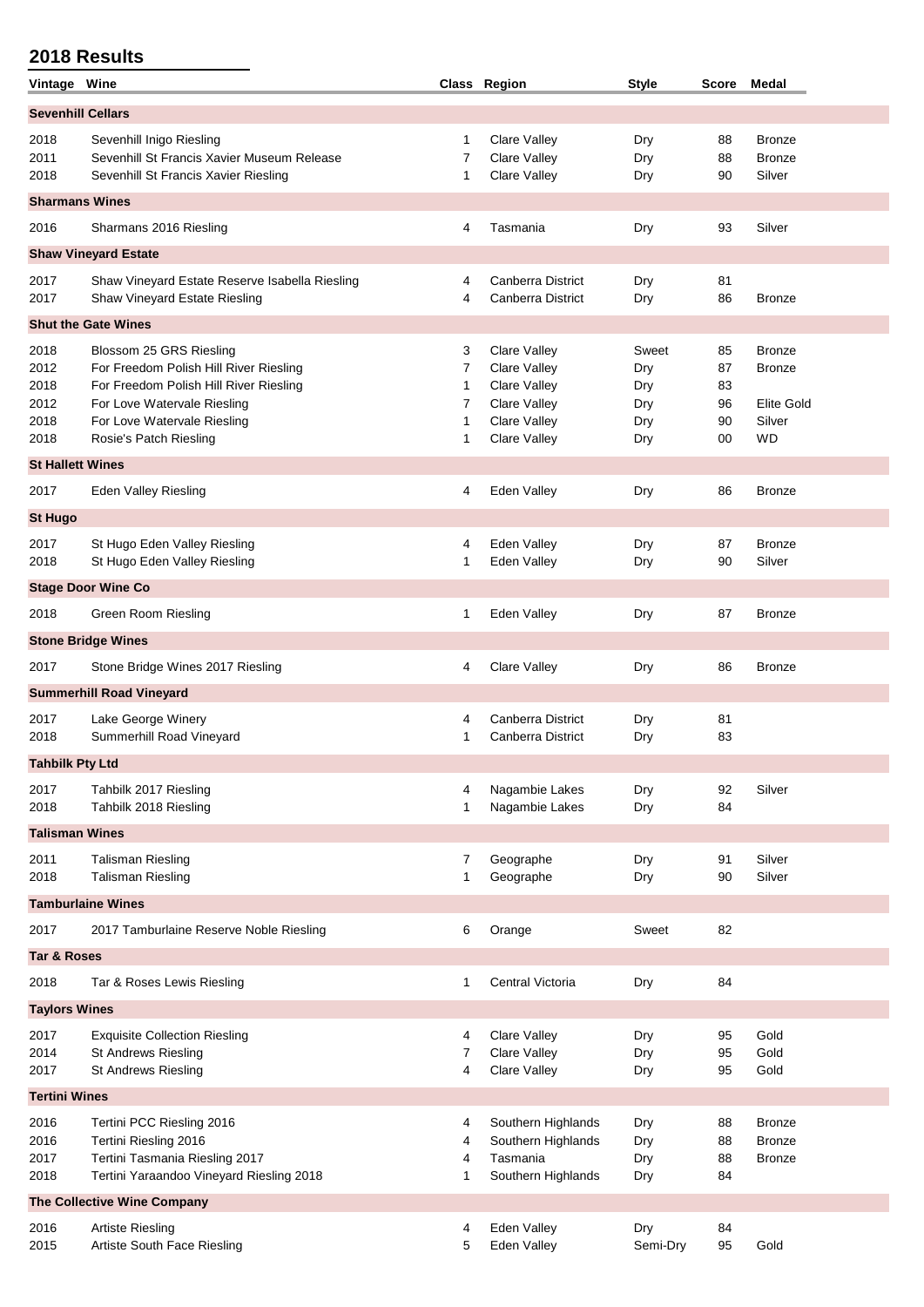| Vintage Wine              |                                                |   | Class Region        | <b>Style</b> | Score | Medal         |  |  |  |  |
|---------------------------|------------------------------------------------|---|---------------------|--------------|-------|---------------|--|--|--|--|
| <b>Sevenhill Cellars</b>  |                                                |   |                     |              |       |               |  |  |  |  |
| 2018                      | Sevenhill Inigo Riesling                       | 1 | Clare Valley        | Dry          | 88    | <b>Bronze</b> |  |  |  |  |
| 2011                      | Sevenhill St Francis Xavier Museum Release     | 7 | <b>Clare Valley</b> | Dry          | 88    | <b>Bronze</b> |  |  |  |  |
| 2018                      | Sevenhill St Francis Xavier Riesling           | 1 | Clare Valley        | Dry          | 90    | Silver        |  |  |  |  |
| <b>Sharmans Wines</b>     |                                                |   |                     |              |       |               |  |  |  |  |
| 2016                      | Sharmans 2016 Riesling                         | 4 | Tasmania            | Dry          | 93    | Silver        |  |  |  |  |
|                           | <b>Shaw Vineyard Estate</b>                    |   |                     |              |       |               |  |  |  |  |
| 2017                      | Shaw Vineyard Estate Reserve Isabella Riesling | 4 | Canberra District   | Dry          | 81    |               |  |  |  |  |
| 2017                      | Shaw Vineyard Estate Riesling                  | 4 | Canberra District   | Dry          | 86    | <b>Bronze</b> |  |  |  |  |
|                           | <b>Shut the Gate Wines</b>                     |   |                     |              |       |               |  |  |  |  |
| 2018                      | Blossom 25 GRS Riesling                        | 3 | Clare Valley        | Sweet        | 85    | <b>Bronze</b> |  |  |  |  |
| 2012                      | For Freedom Polish Hill River Riesling         | 7 | <b>Clare Valley</b> | Dry          | 87    | <b>Bronze</b> |  |  |  |  |
| 2018                      | For Freedom Polish Hill River Riesling         | 1 | <b>Clare Valley</b> | Dry          | 83    |               |  |  |  |  |
| 2012                      | For Love Watervale Riesling                    | 7 | <b>Clare Valley</b> | Dry          | 96    | Elite Gold    |  |  |  |  |
| 2018                      | For Love Watervale Riesling                    | 1 | <b>Clare Valley</b> | Dry          | 90    | Silver        |  |  |  |  |
| 2018                      | Rosie's Patch Riesling                         | 1 | Clare Valley        | Dry          | 00    | <b>WD</b>     |  |  |  |  |
| <b>St Hallett Wines</b>   |                                                |   |                     |              |       |               |  |  |  |  |
| 2017                      | <b>Eden Valley Riesling</b>                    | 4 | Eden Valley         | Dry          | 86    | <b>Bronze</b> |  |  |  |  |
| <b>St Hugo</b>            |                                                |   |                     |              |       |               |  |  |  |  |
| 2017                      | St Hugo Eden Valley Riesling                   | 4 | Eden Valley         | Dry          | 87    | <b>Bronze</b> |  |  |  |  |
| 2018                      | St Hugo Eden Valley Riesling                   | 1 | Eden Valley         | Dry          | 90    | Silver        |  |  |  |  |
| <b>Stage Door Wine Co</b> |                                                |   |                     |              |       |               |  |  |  |  |
| 2018                      | Green Room Riesling                            | 1 | Eden Valley         | Dry          | 87    | <b>Bronze</b> |  |  |  |  |
|                           | <b>Stone Bridge Wines</b>                      |   |                     |              |       |               |  |  |  |  |
| 2017                      | Stone Bridge Wines 2017 Riesling               | 4 | Clare Valley        | Dry          | 86    | <b>Bronze</b> |  |  |  |  |
|                           | <b>Summerhill Road Vineyard</b>                |   |                     |              |       |               |  |  |  |  |
| 2017                      | Lake George Winery                             | 4 | Canberra District   | Dry          | 81    |               |  |  |  |  |
| 2018                      | Summerhill Road Vineyard                       | 1 | Canberra District   | Dry          | 83    |               |  |  |  |  |
| <b>Tahbilk Pty Ltd</b>    |                                                |   |                     |              |       |               |  |  |  |  |
| 2017                      | Tahbilk 2017 Riesling                          | 4 | Nagambie Lakes      | Dry          | 92    | Silver        |  |  |  |  |
| 2018                      | Tahbilk 2018 Riesling                          | 1 | Nagambie Lakes      | Dry          | 84    |               |  |  |  |  |
| <b>Talisman Wines</b>     |                                                |   |                     |              |       |               |  |  |  |  |
| 2011                      | Talisman Riesling                              | 7 | Geographe           | Dry          | 91    | Silver        |  |  |  |  |
| 2018                      | <b>Talisman Riesling</b>                       | 1 | Geographe           | Dry          | 90    | Silver        |  |  |  |  |
|                           | <b>Tamburlaine Wines</b>                       |   |                     |              |       |               |  |  |  |  |
| 2017                      | 2017 Tamburlaine Reserve Noble Riesling        | 6 | Orange              | Sweet        | 82    |               |  |  |  |  |
| <b>Tar &amp; Roses</b>    |                                                |   |                     |              |       |               |  |  |  |  |
| 2018                      | Tar & Roses Lewis Riesling                     | 1 | Central Victoria    | Dry          | 84    |               |  |  |  |  |
| <b>Taylors Wines</b>      |                                                |   |                     |              |       |               |  |  |  |  |
| 2017                      | <b>Exquisite Collection Riesling</b>           | 4 | Clare Valley        | Dry          | 95    | Gold          |  |  |  |  |
| 2014                      | <b>St Andrews Riesling</b>                     | 7 | Clare Valley        | Dry          | 95    | Gold          |  |  |  |  |
| 2017                      | <b>St Andrews Riesling</b>                     | 4 | Clare Valley        | Dry          | 95    | Gold          |  |  |  |  |
| <b>Tertini Wines</b>      |                                                |   |                     |              |       |               |  |  |  |  |
| 2016                      | Tertini PCC Riesling 2016                      | 4 | Southern Highlands  | Dry          | 88    | <b>Bronze</b> |  |  |  |  |
| 2016                      | Tertini Riesling 2016                          | 4 | Southern Highlands  | Dry          | 88    | <b>Bronze</b> |  |  |  |  |
| 2017                      | Tertini Tasmania Riesling 2017                 | 4 | Tasmania            | Dry          | 88    | <b>Bronze</b> |  |  |  |  |
| 2018                      | Tertini Yaraandoo Vineyard Riesling 2018       | 1 | Southern Highlands  | Dry          | 84    |               |  |  |  |  |
|                           | The Collective Wine Company                    |   |                     |              |       |               |  |  |  |  |
| 2016                      | <b>Artiste Riesling</b>                        | 4 | Eden Valley         | Dry          | 84    |               |  |  |  |  |
| 2015                      | Artiste South Face Riesling                    | 5 | Eden Valley         | Semi-Dry     | 95    | Gold          |  |  |  |  |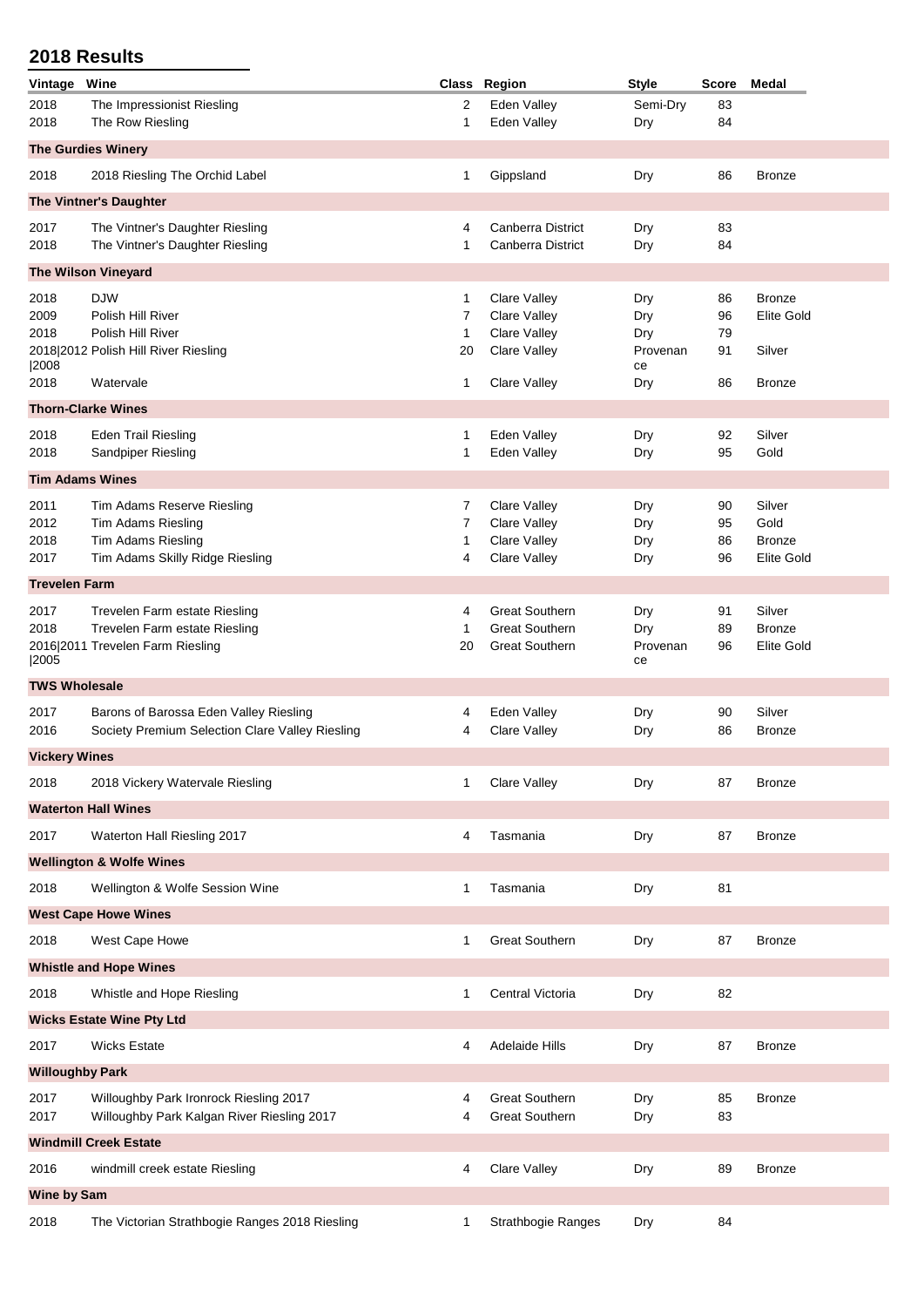| Vintage                      | Wine                                                      |         | Class Region                        | <b>Style</b>    | <b>Score</b> | Medal             |  |  |
|------------------------------|-----------------------------------------------------------|---------|-------------------------------------|-----------------|--------------|-------------------|--|--|
| 2018                         | The Impressionist Riesling                                | 2       | Eden Valley                         | Semi-Dry        | 83           |                   |  |  |
| 2018                         | The Row Riesling                                          | 1       | Eden Valley                         | Dry             | 84           |                   |  |  |
|                              | <b>The Gurdies Winery</b>                                 |         |                                     |                 |              |                   |  |  |
| 2018                         | 2018 Riesling The Orchid Label                            | 1       | Gippsland                           | Dry             | 86           | <b>Bronze</b>     |  |  |
|                              | The Vintner's Daughter                                    |         |                                     |                 |              |                   |  |  |
| 2017                         | The Vintner's Daughter Riesling                           | 4       | <b>Canberra District</b>            | Dry             | 83           |                   |  |  |
| 2018                         | The Vintner's Daughter Riesling                           | 1       | <b>Canberra District</b>            | Dry             | 84           |                   |  |  |
|                              | <b>The Wilson Vineyard</b>                                |         |                                     |                 |              |                   |  |  |
| 2018                         | <b>DJW</b>                                                | 1       | Clare Valley                        | Dry             | 86           | <b>Bronze</b>     |  |  |
| 2009                         | Polish Hill River                                         | 7       | <b>Clare Valley</b>                 | Dry             | 96           | <b>Elite Gold</b> |  |  |
| 2018                         | Polish Hill River<br>2018 2012 Polish Hill River Riesling | 1<br>20 | Clare Valley<br><b>Clare Valley</b> | Dry<br>Provenan | 79<br>91     | Silver            |  |  |
| 2008                         |                                                           |         |                                     | ce              |              |                   |  |  |
| 2018                         | Watervale                                                 | 1       | Clare Valley                        | Dry             | 86           | <b>Bronze</b>     |  |  |
|                              | <b>Thorn-Clarke Wines</b>                                 |         |                                     |                 |              |                   |  |  |
| 2018                         | <b>Eden Trail Riesling</b>                                | 1       | Eden Valley                         | Dry             | 92           | Silver            |  |  |
| 2018                         | Sandpiper Riesling                                        | 1       | Eden Valley                         | Dry             | 95           | Gold              |  |  |
| <b>Tim Adams Wines</b>       |                                                           |         |                                     |                 |              |                   |  |  |
| 2011                         | Tim Adams Reserve Riesling                                | 7       | <b>Clare Valley</b>                 | Dry             | 90           | Silver            |  |  |
| 2012                         | <b>Tim Adams Riesling</b>                                 | 7       | Clare Valley                        | Dry             | 95           | Gold              |  |  |
| 2018                         | Tim Adams Riesling                                        | 1       | Clare Valley                        | Dry             | 86           | <b>Bronze</b>     |  |  |
| 2017                         | Tim Adams Skilly Ridge Riesling                           | 4       | <b>Clare Valley</b>                 | Dry             | 96           | <b>Elite Gold</b> |  |  |
| <b>Trevelen Farm</b>         |                                                           |         |                                     |                 |              |                   |  |  |
| 2017                         | Trevelen Farm estate Riesling                             | 4       | <b>Great Southern</b>               | Dry             | 91           | Silver            |  |  |
| 2018                         | Trevelen Farm estate Riesling                             | 1       | <b>Great Southern</b>               | Dry             | 89           | <b>Bronze</b>     |  |  |
| 2005                         | 2016 2011 Trevelen Farm Riesling                          | 20      | <b>Great Southern</b>               | Provenan<br>ce  | 96           | <b>Elite Gold</b> |  |  |
| <b>TWS Wholesale</b>         |                                                           |         |                                     |                 |              |                   |  |  |
| 2017                         | Barons of Barossa Eden Valley Riesling                    | 4       | Eden Valley                         | Dry             | 90           | Silver            |  |  |
| 2016                         | Society Premium Selection Clare Valley Riesling           | 4       | Clare Valley                        | Dry             | 86           | <b>Bronze</b>     |  |  |
| <b>Vickery Wines</b>         |                                                           |         |                                     |                 |              |                   |  |  |
| 2018                         | 2018 Vickery Watervale Riesling                           | 1       | <b>Clare Valley</b>                 | Dry             | 87           | <b>Bronze</b>     |  |  |
|                              | <b>Waterton Hall Wines</b>                                |         |                                     |                 |              |                   |  |  |
| 2017                         | Waterton Hall Riesling 2017                               | 4       | Tasmania                            | Dry             | 87           | <b>Bronze</b>     |  |  |
|                              |                                                           |         |                                     |                 |              |                   |  |  |
|                              | <b>Wellington &amp; Wolfe Wines</b>                       |         |                                     |                 |              |                   |  |  |
| 2018                         | Wellington & Wolfe Session Wine                           | 1       | Tasmania                            | Dry             | 81           |                   |  |  |
|                              | <b>West Cape Howe Wines</b>                               |         |                                     |                 |              |                   |  |  |
| 2018                         | West Cape Howe                                            | 1       | <b>Great Southern</b>               | Dry             | 87           | <b>Bronze</b>     |  |  |
|                              | <b>Whistle and Hope Wines</b>                             |         |                                     |                 |              |                   |  |  |
| 2018                         | Whistle and Hope Riesling                                 | 1       | Central Victoria                    | Dry             | 82           |                   |  |  |
|                              | <b>Wicks Estate Wine Pty Ltd</b>                          |         |                                     |                 |              |                   |  |  |
| 2017                         | <b>Wicks Estate</b>                                       | 4       | <b>Adelaide Hills</b>               | Dry             | 87           | <b>Bronze</b>     |  |  |
| <b>Willoughby Park</b>       |                                                           |         |                                     |                 |              |                   |  |  |
| 2017                         | Willoughby Park Ironrock Riesling 2017                    | 4       | <b>Great Southern</b>               | Dry             | 85           | <b>Bronze</b>     |  |  |
| 2017                         | Willoughby Park Kalgan River Riesling 2017                | 4       | <b>Great Southern</b>               | Dry             | 83           |                   |  |  |
| <b>Windmill Creek Estate</b> |                                                           |         |                                     |                 |              |                   |  |  |
| 2016                         | windmill creek estate Riesling                            | 4       | Clare Valley                        | Dry             | 89           | <b>Bronze</b>     |  |  |
|                              |                                                           |         |                                     |                 |              |                   |  |  |
| Wine by Sam                  |                                                           |         |                                     |                 |              |                   |  |  |
| 2018                         | The Victorian Strathbogie Ranges 2018 Riesling            | 1       | Strathbogie Ranges                  | Dry             | 84           |                   |  |  |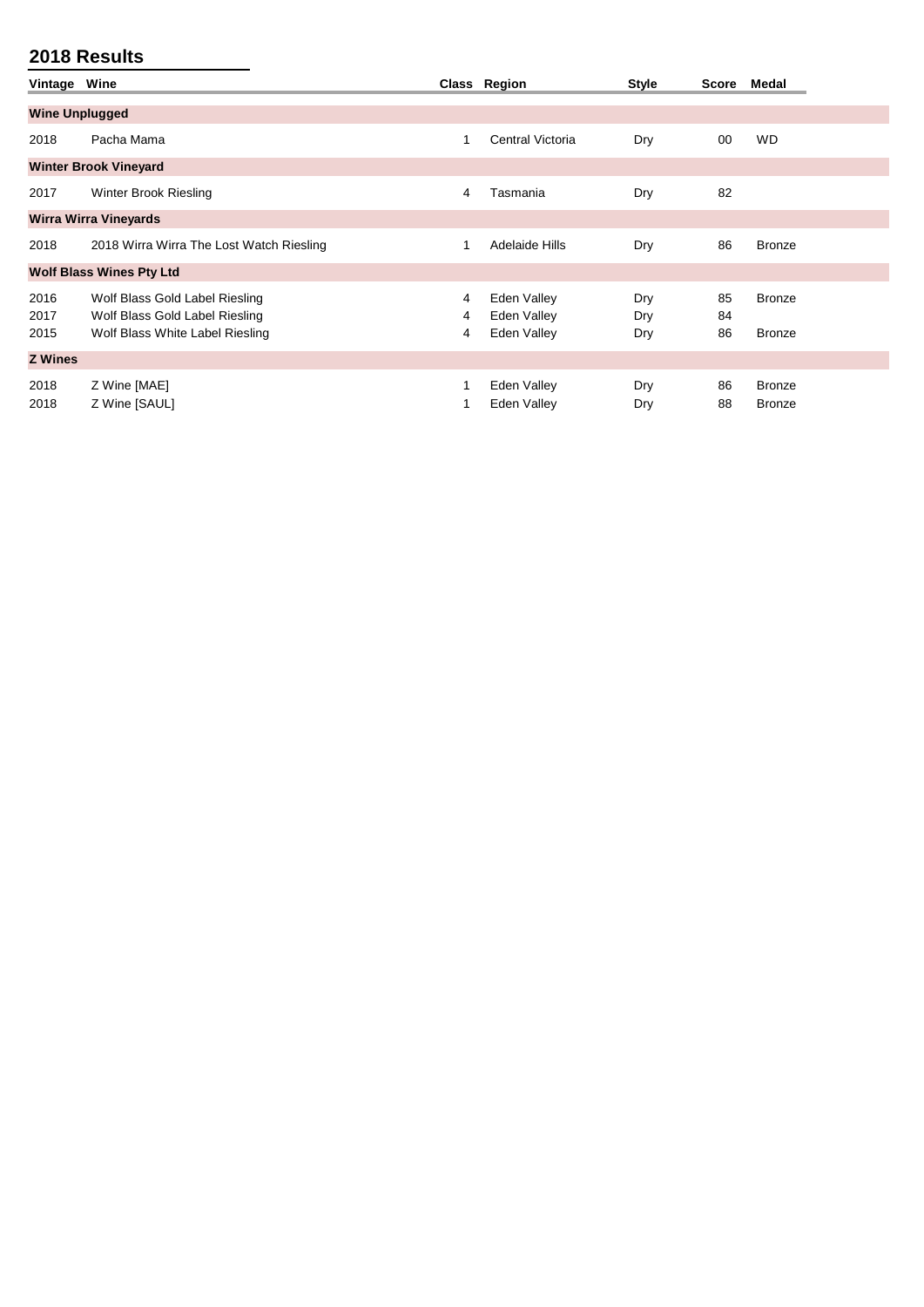| Vintage               | Wine                                                                                                |             | Class Region                              | <b>Style</b>      | Score          | Medal                   |
|-----------------------|-----------------------------------------------------------------------------------------------------|-------------|-------------------------------------------|-------------------|----------------|-------------------------|
| <b>Wine Unplugged</b> |                                                                                                     |             |                                           |                   |                |                         |
| 2018                  | Pacha Mama                                                                                          | 1           | Central Victoria                          | Dry               | 00             | <b>WD</b>               |
|                       | <b>Winter Brook Vineyard</b>                                                                        |             |                                           |                   |                |                         |
| 2017                  | Winter Brook Riesling                                                                               | 4           | Tasmania                                  | Dry               | 82             |                         |
|                       | <b>Wirra Wirra Vineyards</b>                                                                        |             |                                           |                   |                |                         |
| 2018                  | 2018 Wirra Wirra The Lost Watch Riesling                                                            | 1           | Adelaide Hills                            | Dry               | 86             | <b>Bronze</b>           |
|                       | <b>Wolf Blass Wines Pty Ltd</b>                                                                     |             |                                           |                   |                |                         |
| 2016<br>2017<br>2015  | Wolf Blass Gold Label Riesling<br>Wolf Blass Gold Label Riesling<br>Wolf Blass White Label Riesling | 4<br>4<br>4 | Eden Valley<br>Eden Valley<br>Eden Valley | Dry<br>Dry<br>Dry | 85<br>84<br>86 | Bronze<br>Bronze        |
| <b>Z</b> Wines        |                                                                                                     |             |                                           |                   |                |                         |
| 2018<br>2018          | Z Wine [MAE]<br>Z Wine [SAUL]                                                                       |             | <b>Eden Valley</b><br>Eden Valley         | Dry<br>Dry        | 86<br>88       | <b>Bronze</b><br>Bronze |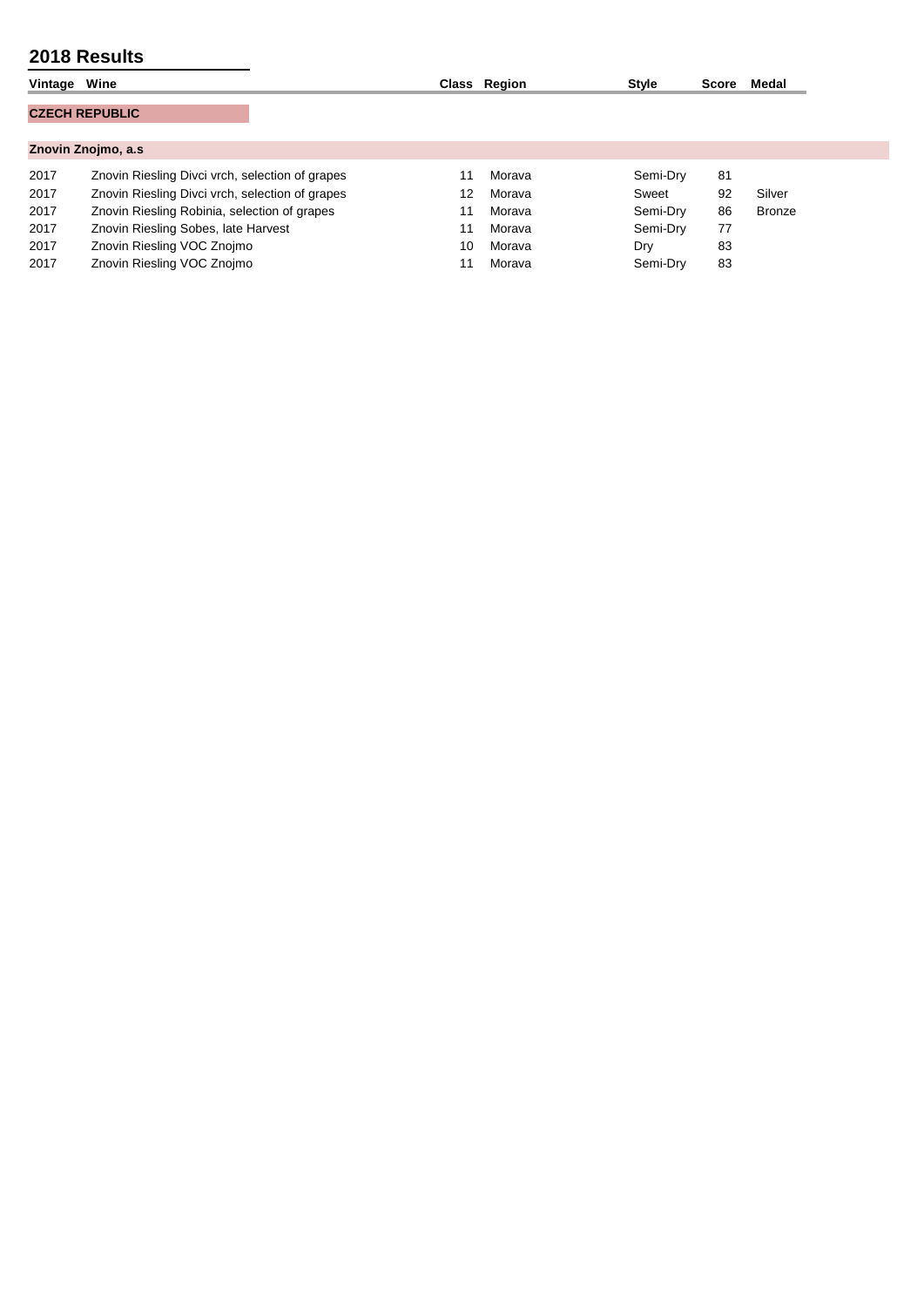| Vintage | Wine                                            |    | Class Region | <b>Style</b> | Score | Medal  |
|---------|-------------------------------------------------|----|--------------|--------------|-------|--------|
|         | <b>CZECH REPUBLIC</b>                           |    |              |              |       |        |
|         |                                                 |    |              |              |       |        |
|         | Znovin Znojmo, a.s.                             |    |              |              |       |        |
| 2017    | Znovin Riesling Divci vrch, selection of grapes |    | Morava       | Semi-Dry     | 81    |        |
| 2017    | Znovin Riesling Divci vrch, selection of grapes | 12 | Morava       | Sweet        | 92    | Silver |
| 2017    | Znovin Riesling Robinia, selection of grapes    | 11 | Morava       | Semi-Dry     | 86    | Bronze |
| 2017    | Znovin Riesling Sobes, late Harvest             | 11 | Morava       | Semi-Dry     | 77    |        |
| 2017    | Znovin Riesling VOC Znojmo                      | 10 | Morava       | Dry          | 83    |        |
| 2017    | Znovin Riesling VOC Znojmo                      |    | Morava       | Semi-Dry     | 83    |        |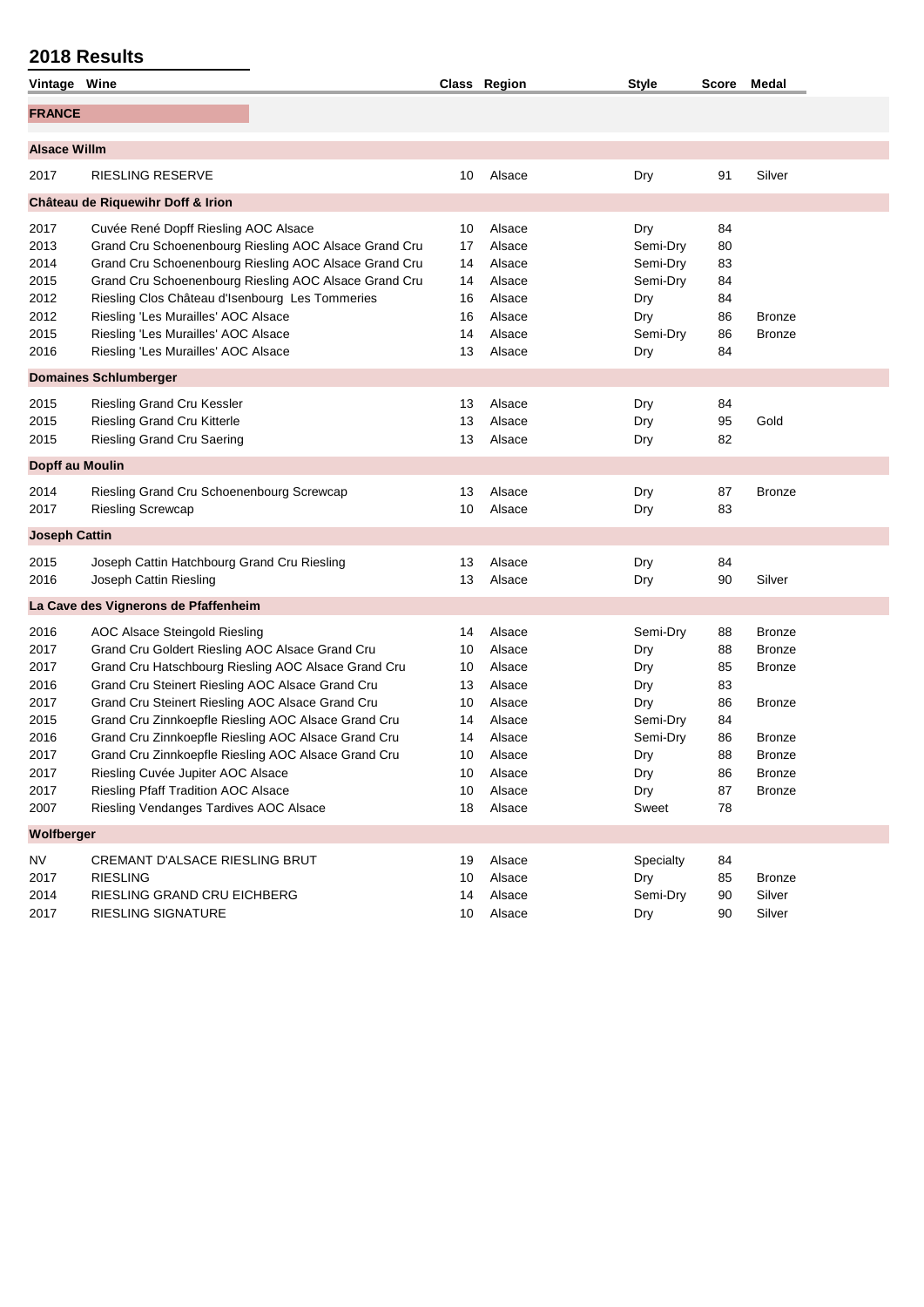| Vintage Wine         |                                                     |                                                       |    | Class Region | <b>Style</b> |    | Score Medal   |
|----------------------|-----------------------------------------------------|-------------------------------------------------------|----|--------------|--------------|----|---------------|
| <b>FRANCE</b>        |                                                     |                                                       |    |              |              |    |               |
|                      |                                                     |                                                       |    |              |              |    |               |
| <b>Alsace Willm</b>  |                                                     |                                                       |    |              |              |    |               |
| 2017                 | <b>RIESLING RESERVE</b>                             |                                                       | 10 | Alsace       | Dry          | 91 | Silver        |
|                      | Château de Riquewihr Doff & Irion                   |                                                       |    |              |              |    |               |
| 2017                 | Cuvée René Dopff Riesling AOC Alsace                |                                                       | 10 | Alsace       | Dry          | 84 |               |
| 2013                 |                                                     | Grand Cru Schoenenbourg Riesling AOC Alsace Grand Cru | 17 | Alsace       | Semi-Dry     | 80 |               |
| 2014                 |                                                     | Grand Cru Schoenenbourg Riesling AOC Alsace Grand Cru | 14 | Alsace       | Semi-Dry     | 83 |               |
| 2015                 |                                                     | Grand Cru Schoenenbourg Riesling AOC Alsace Grand Cru | 14 | Alsace       | Semi-Dry     | 84 |               |
| 2012                 | Riesling Clos Château d'Isenbourg Les Tommeries     |                                                       | 16 | Alsace       | Dry          | 84 |               |
| 2012                 | Riesling 'Les Murailles' AOC Alsace                 |                                                       | 16 | Alsace       | Dry          | 86 | <b>Bronze</b> |
| 2015                 | Riesling 'Les Murailles' AOC Alsace                 |                                                       | 14 | Alsace       | Semi-Dry     | 86 | <b>Bronze</b> |
| 2016                 | Riesling 'Les Murailles' AOC Alsace                 |                                                       | 13 | Alsace       | Dry          | 84 |               |
|                      | <b>Domaines Schlumberger</b>                        |                                                       |    |              |              |    |               |
| 2015                 | <b>Riesling Grand Cru Kessler</b>                   |                                                       | 13 | Alsace       | Dry          | 84 |               |
| 2015                 | Riesling Grand Cru Kitterle                         |                                                       | 13 | Alsace       | Dry          | 95 | Gold          |
| 2015                 | <b>Riesling Grand Cru Saering</b>                   |                                                       | 13 | Alsace       | Dry          | 82 |               |
| Dopff au Moulin      |                                                     |                                                       |    |              |              |    |               |
| 2014                 | Riesling Grand Cru Schoenenbourg Screwcap           |                                                       | 13 | Alsace       | Dry          | 87 | <b>Bronze</b> |
| 2017                 | <b>Riesling Screwcap</b>                            |                                                       | 10 | Alsace       | Dry          | 83 |               |
| <b>Joseph Cattin</b> |                                                     |                                                       |    |              |              |    |               |
| 2015                 | Joseph Cattin Hatchbourg Grand Cru Riesling         |                                                       | 13 | Alsace       | Dry          | 84 |               |
| 2016                 | Joseph Cattin Riesling                              |                                                       | 13 | Alsace       | Dry          | 90 | Silver        |
|                      | La Cave des Vignerons de Pfaffenheim                |                                                       |    |              |              |    |               |
| 2016                 | AOC Alsace Steingold Riesling                       |                                                       | 14 | Alsace       | Semi-Dry     | 88 | <b>Bronze</b> |
| 2017                 | Grand Cru Goldert Riesling AOC Alsace Grand Cru     |                                                       | 10 | Alsace       | Dry          | 88 | <b>Bronze</b> |
| 2017                 |                                                     | Grand Cru Hatschbourg Riesling AOC Alsace Grand Cru   | 10 | Alsace       | Dry          | 85 | <b>Bronze</b> |
| 2016                 | Grand Cru Steinert Riesling AOC Alsace Grand Cru    |                                                       | 13 | Alsace       | Dry          | 83 |               |
| 2017                 | Grand Cru Steinert Riesling AOC Alsace Grand Cru    |                                                       | 10 | Alsace       | Dry          | 86 | <b>Bronze</b> |
| 2015                 | Grand Cru Zinnkoepfle Riesling AOC Alsace Grand Cru |                                                       | 14 | Alsace       | Semi-Dry     | 84 |               |
| 2016                 | Grand Cru Zinnkoepfle Riesling AOC Alsace Grand Cru |                                                       | 14 | Alsace       | Semi-Dry     | 86 | <b>Bronze</b> |
| 2017                 | Grand Cru Zinnkoepfle Riesling AOC Alsace Grand Cru |                                                       | 10 | Alsace       | Dry          | 88 | Bronze        |
| 2017                 | Riesling Cuvée Jupiter AOC Alsace                   |                                                       | 10 | Alsace       | Dry          | 86 | <b>Bronze</b> |
| 2017                 | Riesling Pfaff Tradition AOC Alsace                 |                                                       | 10 | Alsace       | Dry          | 87 | <b>Bronze</b> |
| 2007                 | Riesling Vendanges Tardives AOC Alsace              |                                                       | 18 | Alsace       | Sweet        | 78 |               |
| Wolfberger           |                                                     |                                                       |    |              |              |    |               |
| <b>NV</b>            | <b>CREMANT D'ALSACE RIESLING BRUT</b>               |                                                       | 19 | Alsace       | Specialty    | 84 |               |
| 2017                 | <b>RIESLING</b>                                     |                                                       | 10 | Alsace       | Dry          | 85 | <b>Bronze</b> |
| 2014                 | RIESLING GRAND CRU EICHBERG                         |                                                       | 14 | Alsace       | Semi-Dry     | 90 | Silver        |
| 2017                 | RIESLING SIGNATURE                                  |                                                       | 10 | Alsace       | Dry          | 90 | Silver        |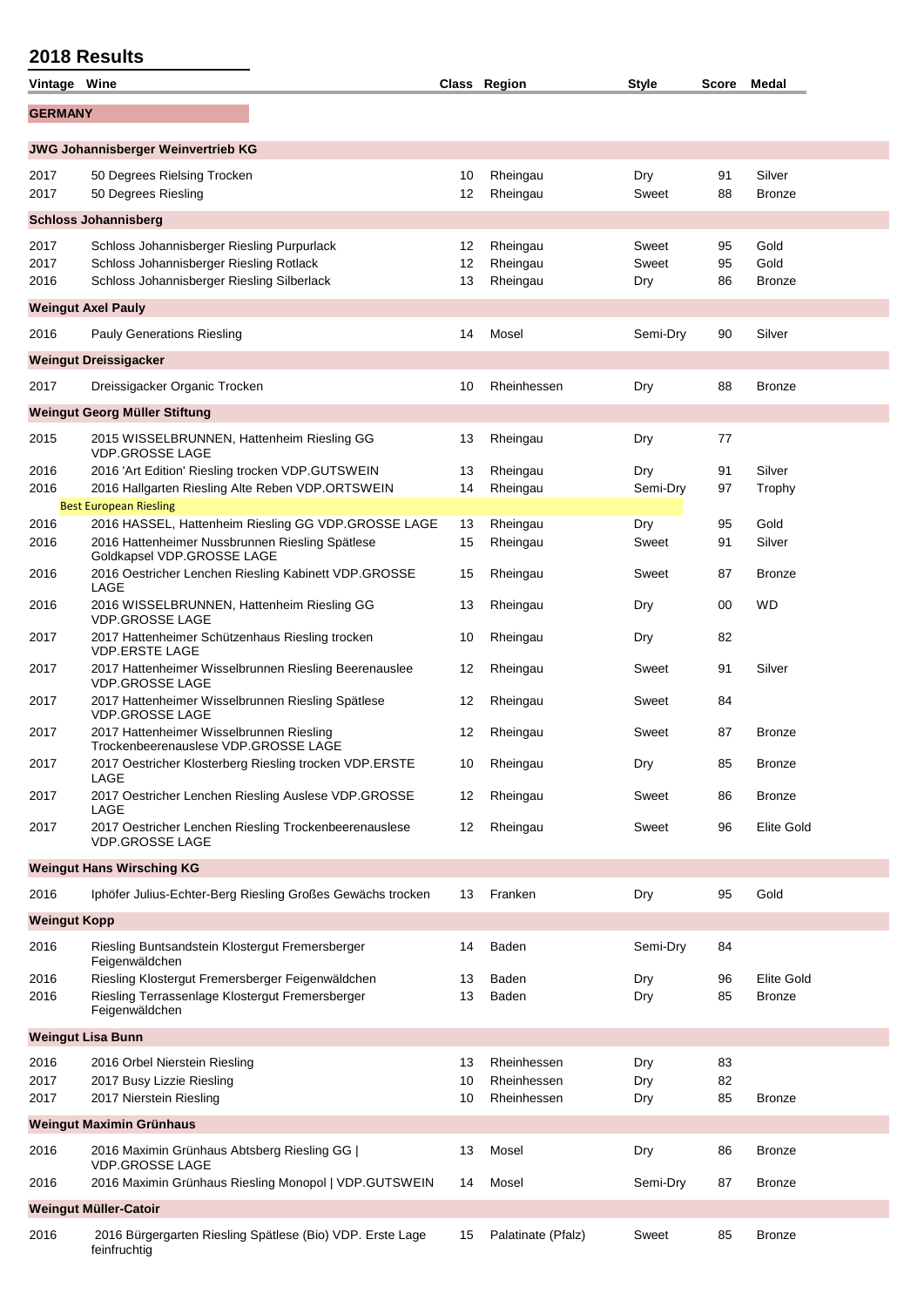| Vintage Wine                |                                                                                                                                      |                | Class Region                     | <b>Style</b>          | Score Medal    |                               |  |  |  |
|-----------------------------|--------------------------------------------------------------------------------------------------------------------------------------|----------------|----------------------------------|-----------------------|----------------|-------------------------------|--|--|--|
| <b>GERMANY</b>              |                                                                                                                                      |                |                                  |                       |                |                               |  |  |  |
|                             | JWG Johannisberger Weinvertrieb KG                                                                                                   |                |                                  |                       |                |                               |  |  |  |
| 2017<br>2017                | 50 Degrees Rielsing Trocken<br>50 Degrees Riesling                                                                                   | 10<br>12       | Rheingau<br>Rheingau             | Dry<br>Sweet          | 91<br>88       | Silver<br><b>Bronze</b>       |  |  |  |
| <b>Schloss Johannisberg</b> |                                                                                                                                      |                |                                  |                       |                |                               |  |  |  |
| 2017<br>2017<br>2016        | Schloss Johannisberger Riesling Purpurlack<br>Schloss Johannisberger Riesling Rotlack<br>Schloss Johannisberger Riesling Silberlack  | 12<br>12<br>13 | Rheingau<br>Rheingau<br>Rheingau | Sweet<br>Sweet<br>Dry | 95<br>95<br>86 | Gold<br>Gold<br><b>Bronze</b> |  |  |  |
|                             | <b>Weingut Axel Pauly</b>                                                                                                            |                |                                  |                       |                |                               |  |  |  |
| 2016                        | <b>Pauly Generations Riesling</b>                                                                                                    | 14             | Mosel                            | Semi-Dry              | 90             | Silver                        |  |  |  |
|                             | <b>Weingut Dreissigacker</b>                                                                                                         |                |                                  |                       |                |                               |  |  |  |
| 2017                        | Dreissigacker Organic Trocken                                                                                                        | 10             | Rheinhessen                      | Dry                   | 88             | <b>Bronze</b>                 |  |  |  |
|                             | Weingut Georg Müller Stiftung                                                                                                        |                |                                  |                       |                |                               |  |  |  |
| 2015                        | 2015 WISSELBRUNNEN, Hattenheim Riesling GG<br><b>VDP.GROSSE LAGE</b>                                                                 | 13             | Rheingau                         | Dry                   | 77             |                               |  |  |  |
| 2016                        | 2016 'Art Edition' Riesling trocken VDP.GUTSWEIN                                                                                     | 13             | Rheingau                         | Dry                   | 91             | Silver                        |  |  |  |
| 2016                        | 2016 Hallgarten Riesling Alte Reben VDP.ORTSWEIN<br><b>Best European Riesling</b>                                                    | 14             | Rheingau                         | Semi-Dry              | 97             | Trophy                        |  |  |  |
| 2016<br>2016                | 2016 HASSEL, Hattenheim Riesling GG VDP.GROSSE LAGE<br>2016 Hattenheimer Nussbrunnen Riesling Spätlese<br>Goldkapsel VDP.GROSSE LAGE | 13<br>15       | Rheingau<br>Rheingau             | Dry<br>Sweet          | 95<br>91       | Gold<br>Silver                |  |  |  |
| 2016                        | 2016 Oestricher Lenchen Riesling Kabinett VDP.GROSSE<br>LAGE                                                                         | 15             | Rheingau                         | Sweet                 | 87             | <b>Bronze</b>                 |  |  |  |
| 2016                        | 2016 WISSELBRUNNEN, Hattenheim Riesling GG<br><b>VDP.GROSSE LAGE</b>                                                                 | 13             | Rheingau                         | Dry                   | 00             | WD                            |  |  |  |
| 2017                        | 2017 Hattenheimer Schützenhaus Riesling trocken<br><b>VDP.ERSTE LAGE</b>                                                             | 10             | Rheingau                         | Dry                   | 82             |                               |  |  |  |
| 2017                        | 2017 Hattenheimer Wisselbrunnen Riesling Beerenauslee<br><b>VDP.GROSSE LAGE</b>                                                      | 12             | Rheingau                         | Sweet                 | 91             | Silver                        |  |  |  |
| 2017                        | 2017 Hattenheimer Wisselbrunnen Riesling Spätlese<br><b>VDP.GROSSE LAGE</b>                                                          | 12             | Rheingau                         | Sweet                 | 84             |                               |  |  |  |
| 2017                        | 2017 Hattenheimer Wisselbrunnen Riesling<br>Trockenbeerenauslese VDP.GROSSE LAGE                                                     | 12             | Rheingau                         | Sweet                 | 87             | <b>Bronze</b>                 |  |  |  |
| 2017                        | 2017 Oestricher Klosterberg Riesling trocken VDP.ERSTE<br>LAGE                                                                       | 10             | Rheingau                         | Dry                   | 85             | <b>Bronze</b>                 |  |  |  |
| 2017                        | 2017 Oestricher Lenchen Riesling Auslese VDP.GROSSE<br>LAGE                                                                          | 12             | Rheingau                         | Sweet                 | 86             | <b>Bronze</b>                 |  |  |  |
| 2017                        | 2017 Oestricher Lenchen Riesling Trockenbeerenauslese<br><b>VDP.GROSSE LAGE</b>                                                      | 12             | Rheingau                         | Sweet                 | 96             | <b>Elite Gold</b>             |  |  |  |
|                             | <b>Weingut Hans Wirsching KG</b>                                                                                                     |                |                                  |                       |                |                               |  |  |  |
| 2016                        | Iphöfer Julius-Echter-Berg Riesling Großes Gewächs trocken                                                                           | 13             | Franken                          | Dry                   | 95             | Gold                          |  |  |  |
| <b>Weingut Kopp</b>         |                                                                                                                                      |                |                                  |                       |                |                               |  |  |  |
| 2016                        | Riesling Buntsandstein Klostergut Fremersberger<br>Feigenwäldchen                                                                    | 14             | Baden                            | Semi-Dry              | 84             |                               |  |  |  |
| 2016<br>2016                | Riesling Klostergut Fremersberger Feigenwäldchen<br>Riesling Terrassenlage Klostergut Fremersberger<br>Feigenwäldchen                | 13<br>13       | Baden<br>Baden                   | Dry<br>Dry            | 96<br>85       | Elite Gold<br><b>Bronze</b>   |  |  |  |
|                             | <b>Weingut Lisa Bunn</b>                                                                                                             |                |                                  |                       |                |                               |  |  |  |
| 2016<br>2017                | 2016 Orbel Nierstein Riesling<br>2017 Busy Lizzie Riesling                                                                           | 13<br>10       | Rheinhessen<br>Rheinhessen       | Dry<br>Dry            | 83<br>82       |                               |  |  |  |
| 2017                        | 2017 Nierstein Riesling                                                                                                              | 10             | Rheinhessen                      | Dry                   | 85             | <b>Bronze</b>                 |  |  |  |
|                             | <b>Weingut Maximin Grünhaus</b>                                                                                                      |                |                                  |                       |                |                               |  |  |  |
| 2016                        | 2016 Maximin Grünhaus Abtsberg Riesling GG  <br><b>VDP.GROSSE LAGE</b>                                                               | 13             | Mosel                            | Dry                   | 86             | <b>Bronze</b>                 |  |  |  |
| 2016                        | 2016 Maximin Grünhaus Riesling Monopol   VDP.GUTSWEIN                                                                                | 14             | Mosel                            | Semi-Dry              | 87             | <b>Bronze</b>                 |  |  |  |
|                             | Weingut Müller-Catoir                                                                                                                |                |                                  |                       |                |                               |  |  |  |
| 2016                        | 2016 Bürgergarten Riesling Spätlese (Bio) VDP. Erste Lage<br>feinfruchtig                                                            | 15             | Palatinate (Pfalz)               | Sweet                 | 85             | <b>Bronze</b>                 |  |  |  |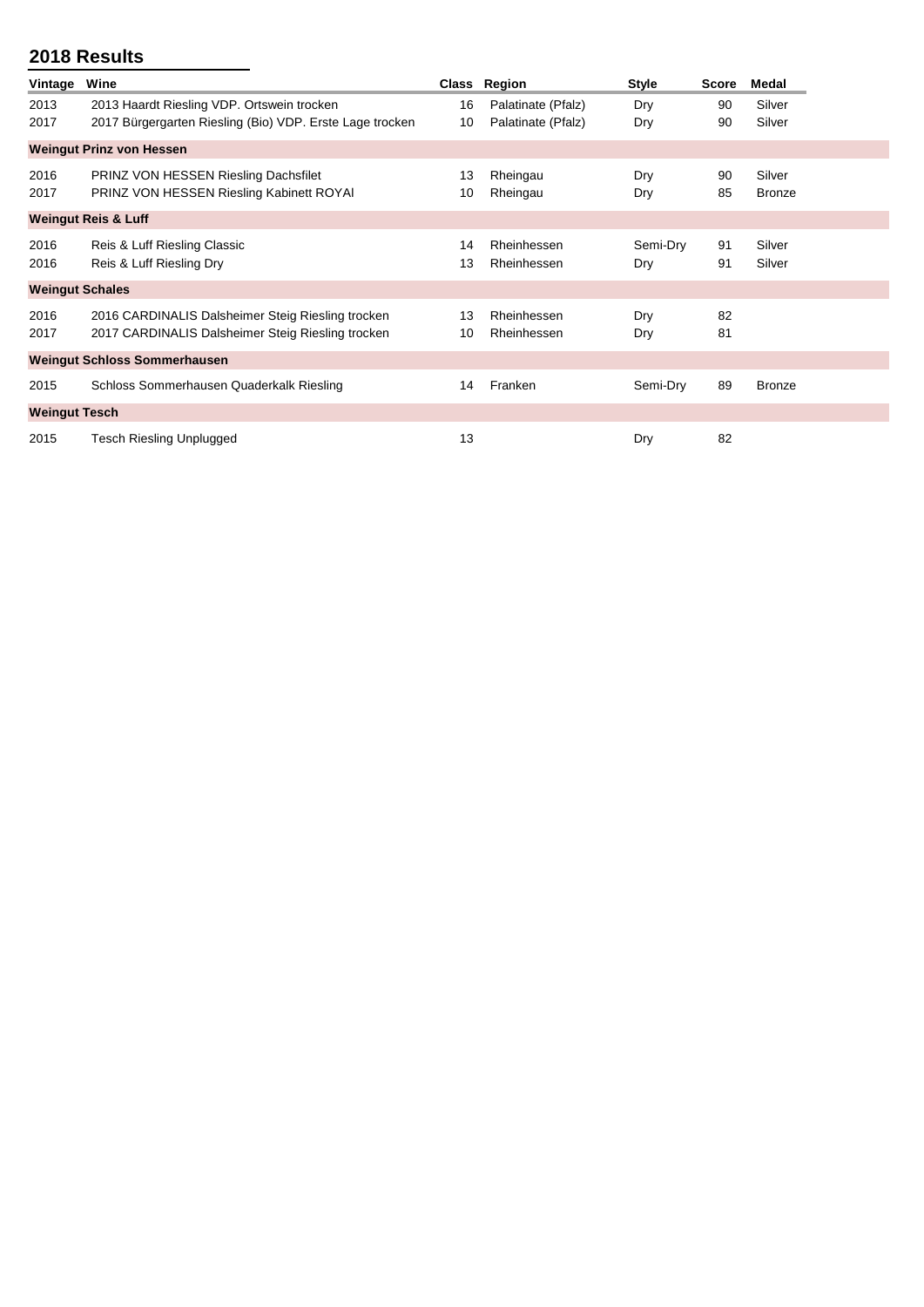| Vintage                | Wine                                                                                                   |          | Class Region               | <b>Style</b>    | <b>Score</b> | Medal                   |
|------------------------|--------------------------------------------------------------------------------------------------------|----------|----------------------------|-----------------|--------------|-------------------------|
| 2013                   | 2013 Haardt Riesling VDP. Ortswein trocken                                                             | 16       | Palatinate (Pfalz)         | Dry             | 90           | Silver                  |
| 2017                   | 2017 Bürgergarten Riesling (Bio) VDP. Erste Lage trocken                                               | 10       | Palatinate (Pfalz)         | Dry             | 90           | Silver                  |
|                        | <b>Weingut Prinz von Hessen</b>                                                                        |          |                            |                 |              |                         |
| 2016<br>2017           | PRINZ VON HESSEN Riesling Dachsfilet<br>PRINZ VON HESSEN Riesling Kabinett ROYAI                       | 13<br>10 | Rheingau<br>Rheingau       | Dry<br>Dry      | 90<br>85     | Silver<br><b>Bronze</b> |
|                        | <b>Weingut Reis &amp; Luff</b>                                                                         |          |                            |                 |              |                         |
| 2016<br>2016           | Reis & Luff Riesling Classic<br>Reis & Luff Riesling Dry                                               | 14<br>13 | Rheinhessen<br>Rheinhessen | Semi-Dry<br>Dry | 91<br>91     | Silver<br>Silver        |
| <b>Weingut Schales</b> |                                                                                                        |          |                            |                 |              |                         |
| 2016<br>2017           | 2016 CARDINALIS Dalsheimer Steig Riesling trocken<br>2017 CARDINALIS Dalsheimer Steig Riesling trocken | 13<br>10 | Rheinhessen<br>Rheinhessen | Dry<br>Dry      | 82<br>81     |                         |
|                        | <b>Weingut Schloss Sommerhausen</b>                                                                    |          |                            |                 |              |                         |
| 2015                   | Schloss Sommerhausen Quaderkalk Riesling                                                               | 14       | Franken                    | Semi-Dry        | 89           | Bronze                  |
| <b>Weingut Tesch</b>   |                                                                                                        |          |                            |                 |              |                         |
| 2015                   | <b>Tesch Riesling Unplugged</b>                                                                        | 13       |                            | Dry             | 82           |                         |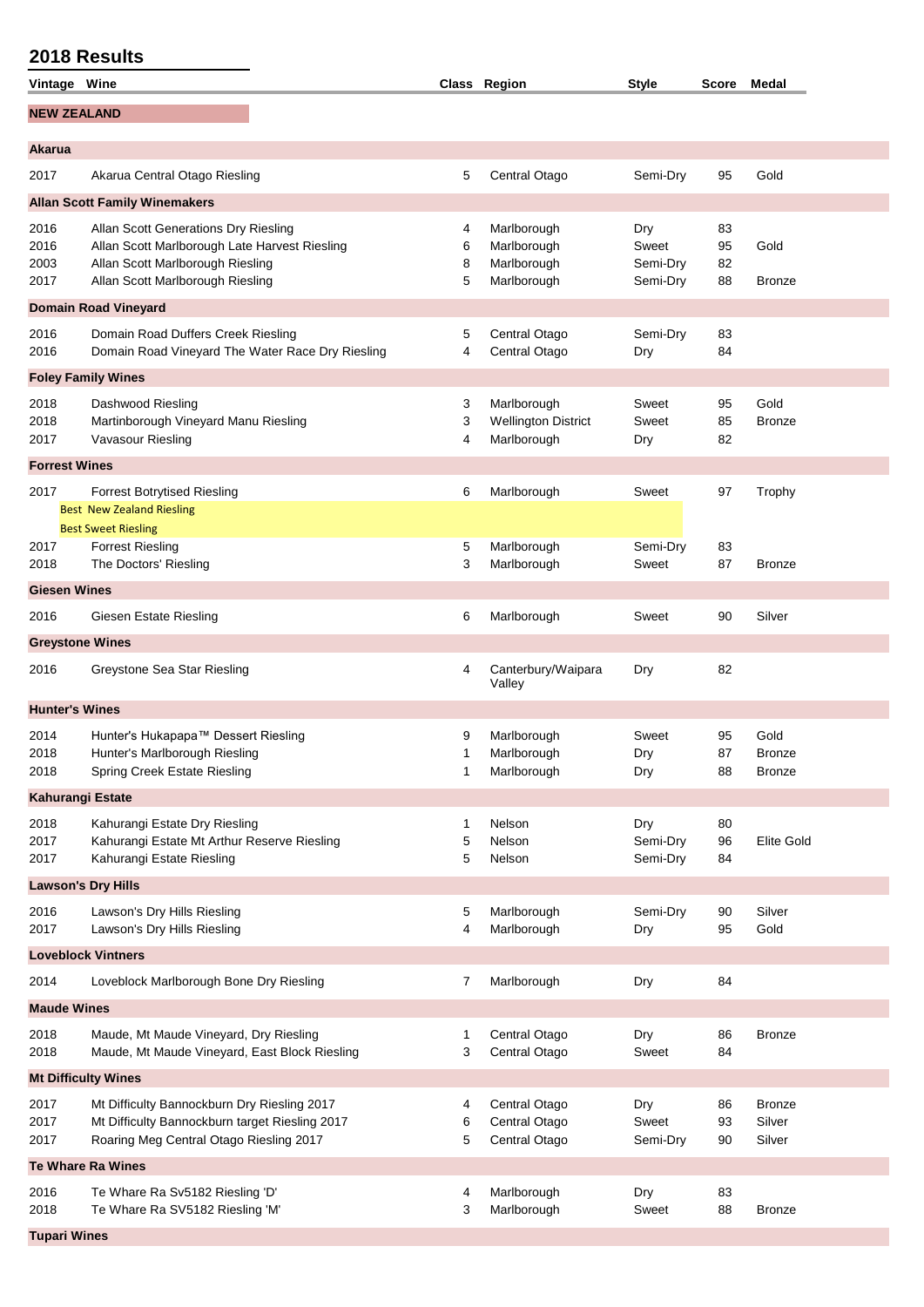**Tupari Wines**

|                        | <b>2018 Results</b>                                                                       |        |                                |                      |          |                   |
|------------------------|-------------------------------------------------------------------------------------------|--------|--------------------------------|----------------------|----------|-------------------|
| Vintage Wine           |                                                                                           |        | Class Region                   | <b>Style</b>         |          | Score Medal       |
| <b>NEW ZEALAND</b>     |                                                                                           |        |                                |                      |          |                   |
| Akarua                 |                                                                                           |        |                                |                      |          |                   |
|                        |                                                                                           |        |                                |                      |          |                   |
| 2017                   | Akarua Central Otago Riesling                                                             | 5      | Central Otago                  | Semi-Dry             | 95       | Gold              |
|                        | <b>Allan Scott Family Winemakers</b>                                                      |        |                                |                      |          |                   |
| 2016                   | Allan Scott Generations Dry Riesling                                                      | 4      | Marlborough                    | Dry                  | 83       |                   |
| 2016                   | Allan Scott Marlborough Late Harvest Riesling                                             | 6      | Marlborough                    | Sweet                | 95       | Gold              |
| 2003<br>2017           | Allan Scott Marlborough Riesling<br>Allan Scott Marlborough Riesling                      | 8<br>5 | Marlborough<br>Marlborough     | Semi-Dry<br>Semi-Dry | 82<br>88 | <b>Bronze</b>     |
|                        |                                                                                           |        |                                |                      |          |                   |
|                        | <b>Domain Road Vineyard</b>                                                               |        |                                |                      |          |                   |
| 2016<br>2016           | Domain Road Duffers Creek Riesling<br>Domain Road Vineyard The Water Race Dry Riesling    | 5<br>4 | Central Otago<br>Central Otago | Semi-Dry<br>Dry      | 83<br>84 |                   |
|                        |                                                                                           |        |                                |                      |          |                   |
|                        | <b>Foley Family Wines</b>                                                                 |        |                                |                      |          |                   |
| 2018                   | Dashwood Riesling                                                                         | 3      | Marlborough                    | Sweet                | 95       | Gold              |
| 2018                   | Martinborough Vineyard Manu Riesling                                                      | 3      | <b>Wellington District</b>     | Sweet                | 85       | <b>Bronze</b>     |
| 2017                   | Vavasour Riesling                                                                         | 4      | Marlborough                    | Dry                  | 82       |                   |
| <b>Forrest Wines</b>   |                                                                                           |        |                                |                      |          |                   |
| 2017                   | <b>Forrest Botrytised Riesling</b>                                                        | 6      | Marlborough                    | Sweet                | 97       | Trophy            |
|                        | <b>Best New Zealand Riesling</b>                                                          |        |                                |                      |          |                   |
| 2017                   | <b>Best Sweet Riesling</b><br><b>Forrest Riesling</b>                                     | 5      | Marlborough                    | Semi-Dry             | 83       |                   |
| 2018                   | The Doctors' Riesling                                                                     | 3      | Marlborough                    | Sweet                | 87       | <b>Bronze</b>     |
|                        |                                                                                           |        |                                |                      |          |                   |
| <b>Giesen Wines</b>    |                                                                                           |        |                                |                      |          |                   |
| 2016                   | Giesen Estate Riesling                                                                    | 6      | Marlborough                    | Sweet                | 90       | Silver            |
| <b>Greystone Wines</b> |                                                                                           |        |                                |                      |          |                   |
| 2016                   | Greystone Sea Star Riesling                                                               | 4      | Canterbury/Waipara             | Dry                  | 82       |                   |
|                        |                                                                                           |        | Valley                         |                      |          |                   |
| <b>Hunter's Wines</b>  |                                                                                           |        |                                |                      |          |                   |
| 2014                   | Hunter's Hukapapa™ Dessert Riesling                                                       | 9      | Marlborough                    | Sweet                | 95       | Gold              |
| 2018                   | Hunter's Marlborough Riesling                                                             | 1      | Marlborough                    | Dry                  | 87       | <b>Bronze</b>     |
| 2018                   | Spring Creek Estate Riesling                                                              | 1      | Marlborough                    | Dry                  | 88       | <b>Bronze</b>     |
|                        | Kahurangi Estate                                                                          |        |                                |                      |          |                   |
| 2018                   | Kahurangi Estate Dry Riesling                                                             | 1      | Nelson                         | Dry                  | 80       |                   |
| 2017                   | Kahurangi Estate Mt Arthur Reserve Riesling                                               | 5      | Nelson                         | Semi-Dry             | 96       | <b>Elite Gold</b> |
| 2017                   | Kahurangi Estate Riesling                                                                 | 5      | Nelson                         | Semi-Dry             | 84       |                   |
|                        | <b>Lawson's Dry Hills</b>                                                                 |        |                                |                      |          |                   |
| 2016                   | Lawson's Dry Hills Riesling                                                               | 5      | Marlborough                    | Semi-Dry             | 90       | Silver            |
| 2017                   | Lawson's Dry Hills Riesling                                                               | 4      | Marlborough                    | Dry                  | 95       | Gold              |
|                        | <b>Loveblock Vintners</b>                                                                 |        |                                |                      |          |                   |
| 2014                   | Loveblock Marlborough Bone Dry Riesling                                                   | 7      | Marlborough                    | Dry                  | 84       |                   |
| <b>Maude Wines</b>     |                                                                                           |        |                                |                      |          |                   |
| 2018                   | Maude, Mt Maude Vineyard, Dry Riesling                                                    | 1      | Central Otago                  | Dry                  | 86       | <b>Bronze</b>     |
| 2018                   | Maude, Mt Maude Vineyard, East Block Riesling                                             | 3      | Central Otago                  | Sweet                | 84       |                   |
|                        | <b>Mt Difficulty Wines</b>                                                                |        |                                |                      |          |                   |
|                        |                                                                                           |        |                                |                      |          |                   |
| 2017                   | Mt Difficulty Bannockburn Dry Riesling 2017                                               | 4      | Central Otago                  | Dry                  | 86       | <b>Bronze</b>     |
| 2017<br>2017           | Mt Difficulty Bannockburn target Riesling 2017<br>Roaring Meg Central Otago Riesling 2017 | 6<br>5 | Central Otago<br>Central Otago | Sweet<br>Semi-Dry    | 93<br>90 | Silver<br>Silver  |
|                        | <b>Te Whare Ra Wines</b>                                                                  |        |                                |                      |          |                   |
|                        |                                                                                           |        |                                |                      |          |                   |
| 2016<br>2018           | Te Whare Ra Sv5182 Riesling 'D'                                                           | 4      | Marlborough<br>Marlborough     | Dry                  | 83       | <b>Bronze</b>     |
|                        | Te Whare Ra SV5182 Riesling 'M'                                                           | 3      |                                | Sweet                | 88       |                   |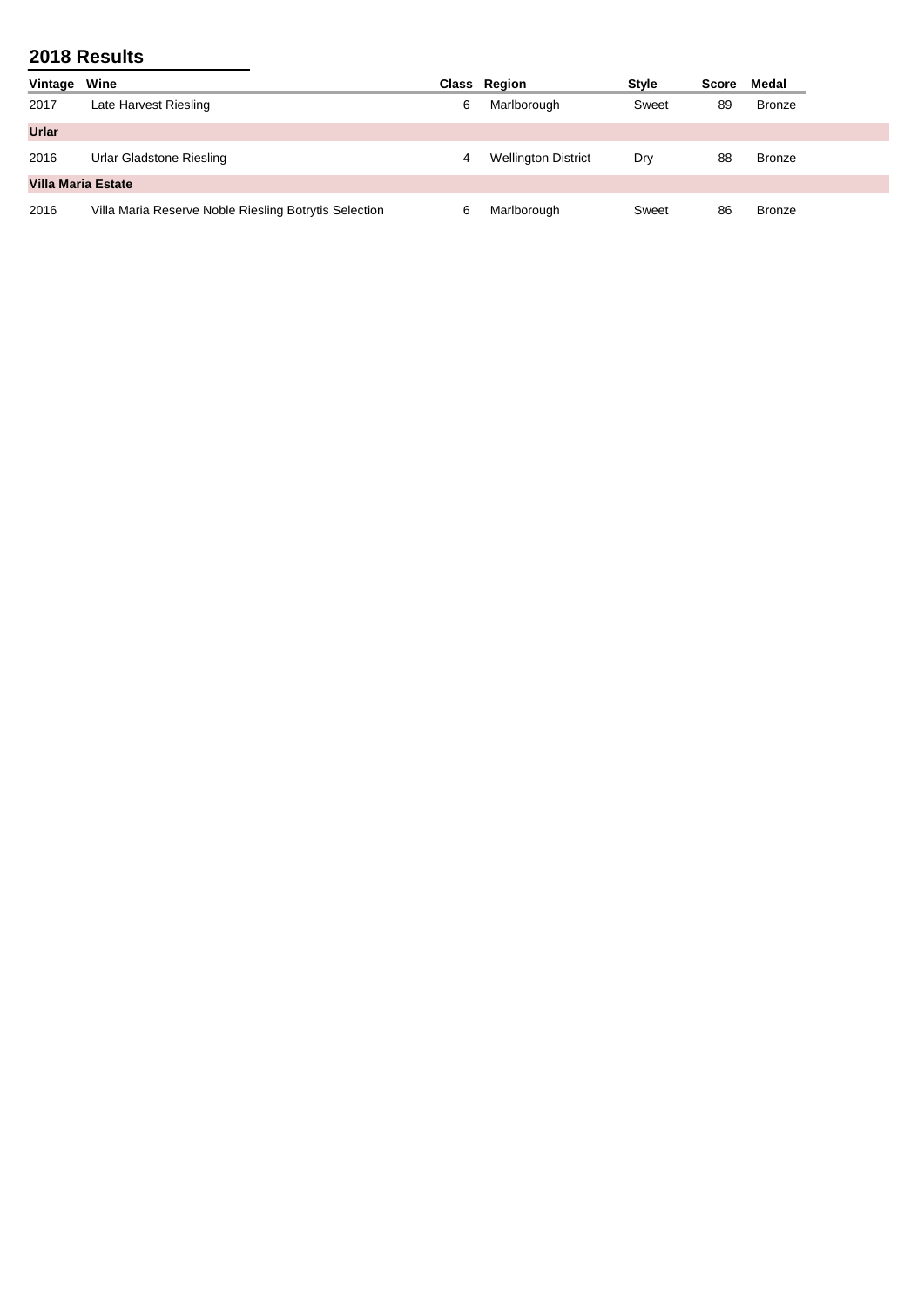| Vintage                   | Wine                                                  |   | Class Region               | <b>Style</b> | Score | Medal         |  |
|---------------------------|-------------------------------------------------------|---|----------------------------|--------------|-------|---------------|--|
| 2017                      | Late Harvest Riesling                                 | 6 | Marlborough                | Sweet        | 89    | Bronze        |  |
| <b>Urlar</b>              |                                                       |   |                            |              |       |               |  |
| 2016                      | Urlar Gladstone Riesling                              | 4 | <b>Wellington District</b> | Dry          | 88    | Bronze        |  |
| <b>Villa Maria Estate</b> |                                                       |   |                            |              |       |               |  |
| 2016                      | Villa Maria Reserve Noble Riesling Botrytis Selection | 6 | Marlborough                | Sweet        | 86    | <b>Bronze</b> |  |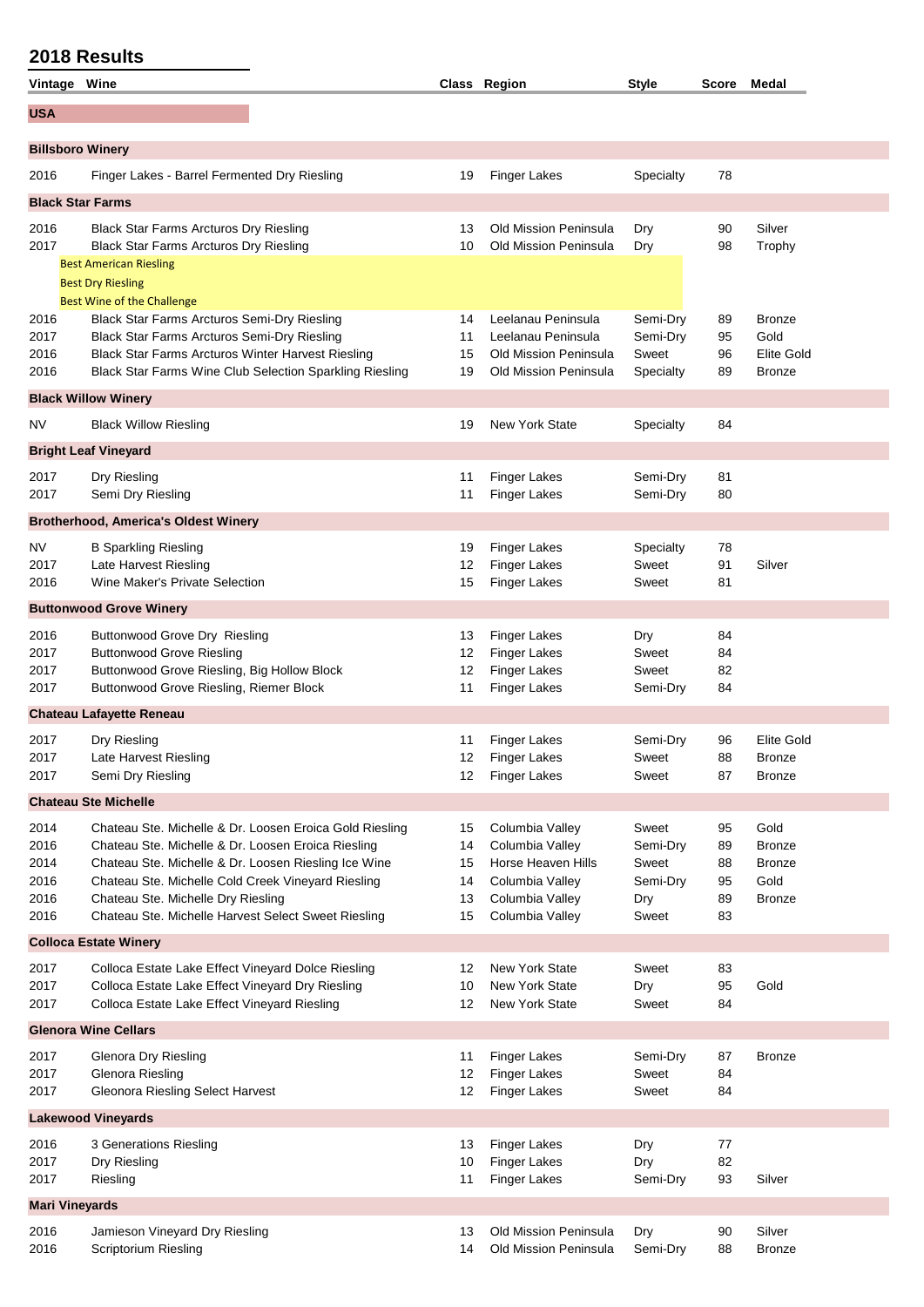| Vintage Wine                                 |                                                                                                                                                                                                                                                                                                                          |                                  | Class Region                                                                                                      | <b>Style</b>                                           | Score                            | Medal                                                           |
|----------------------------------------------|--------------------------------------------------------------------------------------------------------------------------------------------------------------------------------------------------------------------------------------------------------------------------------------------------------------------------|----------------------------------|-------------------------------------------------------------------------------------------------------------------|--------------------------------------------------------|----------------------------------|-----------------------------------------------------------------|
| <b>USA</b>                                   |                                                                                                                                                                                                                                                                                                                          |                                  |                                                                                                                   |                                                        |                                  |                                                                 |
| <b>Billsboro Winery</b>                      |                                                                                                                                                                                                                                                                                                                          |                                  |                                                                                                                   |                                                        |                                  |                                                                 |
| 2016                                         | Finger Lakes - Barrel Fermented Dry Riesling                                                                                                                                                                                                                                                                             | 19                               | <b>Finger Lakes</b>                                                                                               | Specialty                                              | 78                               |                                                                 |
| <b>Black Star Farms</b>                      |                                                                                                                                                                                                                                                                                                                          |                                  |                                                                                                                   |                                                        |                                  |                                                                 |
| 2016<br>2017                                 | <b>Black Star Farms Arcturos Dry Riesling</b><br><b>Black Star Farms Arcturos Dry Riesling</b>                                                                                                                                                                                                                           | 13<br>10                         | <b>Old Mission Peninsula</b><br><b>Old Mission Peninsula</b>                                                      | Dry<br>Dry                                             | 90<br>98                         | Silver<br>Trophy                                                |
|                                              | <b>Best American Riesling</b><br><b>Best Dry Riesling</b><br><b>Best Wine of the Challenge</b>                                                                                                                                                                                                                           |                                  |                                                                                                                   |                                                        |                                  |                                                                 |
| 2016<br>2017<br>2016<br>2016                 | Black Star Farms Arcturos Semi-Dry Riesling<br>Black Star Farms Arcturos Semi-Dry Riesling<br><b>Black Star Farms Arcturos Winter Harvest Riesling</b><br>Black Star Farms Wine Club Selection Sparkling Riesling                                                                                                        | 14<br>11<br>15<br>19             | Leelanau Peninsula<br>Leelanau Peninsula<br><b>Old Mission Peninsula</b><br>Old Mission Peninsula                 | Semi-Dry<br>Semi-Dry<br>Sweet<br>Specialty             | 89<br>95<br>96<br>89             | <b>Bronze</b><br>Gold<br>Elite Gold<br>Bronze                   |
|                                              | <b>Black Willow Winery</b>                                                                                                                                                                                                                                                                                               |                                  |                                                                                                                   |                                                        |                                  |                                                                 |
| NV                                           | <b>Black Willow Riesling</b>                                                                                                                                                                                                                                                                                             | 19                               | <b>New York State</b>                                                                                             | Specialty                                              | 84                               |                                                                 |
|                                              | <b>Bright Leaf Vineyard</b>                                                                                                                                                                                                                                                                                              |                                  |                                                                                                                   |                                                        |                                  |                                                                 |
| 2017<br>2017                                 | Dry Riesling<br>Semi Dry Riesling                                                                                                                                                                                                                                                                                        | 11<br>11                         | <b>Finger Lakes</b><br><b>Finger Lakes</b>                                                                        | Semi-Dry<br>Semi-Dry                                   | 81<br>80                         |                                                                 |
|                                              | <b>Brotherhood, America's Oldest Winery</b>                                                                                                                                                                                                                                                                              |                                  |                                                                                                                   |                                                        |                                  |                                                                 |
| NV<br>2017<br>2016                           | <b>B Sparkling Riesling</b><br>Late Harvest Riesling<br>Wine Maker's Private Selection                                                                                                                                                                                                                                   | 19<br>12<br>15                   | <b>Finger Lakes</b><br><b>Finger Lakes</b><br><b>Finger Lakes</b>                                                 | Specialty<br>Sweet<br>Sweet                            | 78<br>91<br>81                   | Silver                                                          |
|                                              | <b>Buttonwood Grove Winery</b>                                                                                                                                                                                                                                                                                           |                                  |                                                                                                                   |                                                        |                                  |                                                                 |
| 2016<br>2017<br>2017<br>2017                 | Buttonwood Grove Dry Riesling<br><b>Buttonwood Grove Riesling</b><br>Buttonwood Grove Riesling, Big Hollow Block<br>Buttonwood Grove Riesling, Riemer Block                                                                                                                                                              | 13<br>12<br>12<br>11             | <b>Finger Lakes</b><br><b>Finger Lakes</b><br><b>Finger Lakes</b><br><b>Finger Lakes</b>                          | Dry<br>Sweet<br>Sweet<br>Semi-Dry                      | 84<br>84<br>82<br>84             |                                                                 |
|                                              | <b>Chateau Lafayette Reneau</b>                                                                                                                                                                                                                                                                                          |                                  |                                                                                                                   |                                                        |                                  |                                                                 |
| 2017<br>2017<br>2017                         | Dry Riesling<br>Late Harvest Riesling<br>Semi Dry Riesling                                                                                                                                                                                                                                                               | 11<br>12<br>12                   | Finger Lakes<br><b>Finger Lakes</b><br><b>Finger Lakes</b>                                                        | Semi-Dry<br>Sweet<br>Sweet                             | 96<br>88<br>87                   | Elite Gold<br>Bronze<br><b>Bronze</b>                           |
|                                              | <b>Chateau Ste Michelle</b>                                                                                                                                                                                                                                                                                              |                                  |                                                                                                                   |                                                        |                                  |                                                                 |
| 2014<br>2016<br>2014<br>2016<br>2016<br>2016 | Chateau Ste. Michelle & Dr. Loosen Eroica Gold Riesling<br>Chateau Ste. Michelle & Dr. Loosen Eroica Riesling<br>Chateau Ste. Michelle & Dr. Loosen Riesling Ice Wine<br>Chateau Ste. Michelle Cold Creek Vineyard Riesling<br>Chateau Ste. Michelle Dry Riesling<br>Chateau Ste. Michelle Harvest Select Sweet Riesling | 15<br>14<br>15<br>14<br>13<br>15 | Columbia Valley<br>Columbia Valley<br>Horse Heaven Hills<br>Columbia Valley<br>Columbia Valley<br>Columbia Valley | Sweet<br>Semi-Dry<br>Sweet<br>Semi-Dry<br>Dry<br>Sweet | 95<br>89<br>88<br>95<br>89<br>83 | Gold<br><b>Bronze</b><br><b>Bronze</b><br>Gold<br><b>Bronze</b> |
|                                              | <b>Colloca Estate Winery</b>                                                                                                                                                                                                                                                                                             |                                  |                                                                                                                   |                                                        |                                  |                                                                 |
| 2017<br>2017<br>2017                         | Colloca Estate Lake Effect Vineyard Dolce Riesling<br>Colloca Estate Lake Effect Vineyard Dry Riesling<br>Colloca Estate Lake Effect Vineyard Riesling                                                                                                                                                                   | 12<br>10<br>12                   | <b>New York State</b><br>New York State<br><b>New York State</b>                                                  | Sweet<br>Dry<br>Sweet                                  | 83<br>95<br>84                   | Gold                                                            |
|                                              | <b>Glenora Wine Cellars</b>                                                                                                                                                                                                                                                                                              |                                  |                                                                                                                   |                                                        |                                  |                                                                 |
| 2017<br>2017<br>2017                         | Glenora Dry Riesling<br><b>Glenora Riesling</b><br>Gleonora Riesling Select Harvest                                                                                                                                                                                                                                      | 11<br>12<br>12                   | <b>Finger Lakes</b><br><b>Finger Lakes</b><br><b>Finger Lakes</b>                                                 | Semi-Dry<br>Sweet<br>Sweet                             | 87<br>84<br>84                   | <b>Bronze</b>                                                   |
|                                              | <b>Lakewood Vineyards</b>                                                                                                                                                                                                                                                                                                |                                  |                                                                                                                   |                                                        |                                  |                                                                 |
| 2016<br>2017<br>2017                         | 3 Generations Riesling<br>Dry Riesling<br>Riesling                                                                                                                                                                                                                                                                       | 13<br>10<br>11                   | <b>Finger Lakes</b><br><b>Finger Lakes</b><br><b>Finger Lakes</b>                                                 | Dry<br>Dry<br>Semi-Dry                                 | 77<br>82<br>93                   | Silver                                                          |
| <b>Mari Vineyards</b>                        |                                                                                                                                                                                                                                                                                                                          |                                  |                                                                                                                   |                                                        |                                  |                                                                 |
| 2016<br>2016                                 | Jamieson Vineyard Dry Riesling<br>Scriptorium Riesling                                                                                                                                                                                                                                                                   | 13<br>14                         | Old Mission Peninsula<br>Old Mission Peninsula                                                                    | Dry<br>Semi-Dry                                        | 90<br>88                         | Silver<br><b>Bronze</b>                                         |